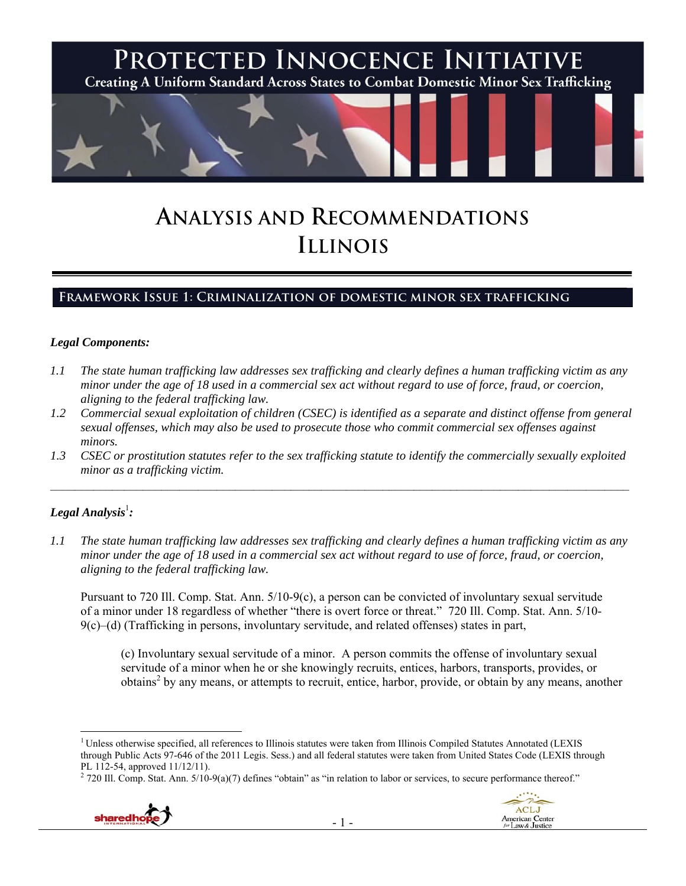

# **ANALYSIS AND RECOMMENDATIONS ILLINOIS**

## **Framework Issue 1: Criminalization of domestic minor sex trafficking**

#### *Legal Components:*

- *1.1 The state human trafficking law addresses sex trafficking and clearly defines a human trafficking victim as any minor under the age of 18 used in a commercial sex act without regard to use of force, fraud, or coercion, aligning to the federal trafficking law.*
- *1.2 Commercial sexual exploitation of children (CSEC) is identified as a separate and distinct offense from general sexual offenses, which may also be used to prosecute those who commit commercial sex offenses against minors.*
- *1.3 CSEC or prostitution statutes refer to the sex trafficking statute to identify the commercially sexually exploited minor as a trafficking victim.*   $\mathcal{L}_\mathcal{L} = \{ \mathcal{L}_\mathcal{L} = \{ \mathcal{L}_\mathcal{L} = \{ \mathcal{L}_\mathcal{L} = \{ \mathcal{L}_\mathcal{L} = \{ \mathcal{L}_\mathcal{L} = \{ \mathcal{L}_\mathcal{L} = \{ \mathcal{L}_\mathcal{L} = \{ \mathcal{L}_\mathcal{L} = \{ \mathcal{L}_\mathcal{L} = \{ \mathcal{L}_\mathcal{L} = \{ \mathcal{L}_\mathcal{L} = \{ \mathcal{L}_\mathcal{L} = \{ \mathcal{L}_\mathcal{L} = \{ \mathcal{L}_\mathcal{$

## $\bm{\mathit{Legal\, Analysis^!}}$ :

 $\overline{a}$ 

*1.1 The state human trafficking law addresses sex trafficking and clearly defines a human trafficking victim as any minor under the age of 18 used in a commercial sex act without regard to use of force, fraud, or coercion, aligning to the federal trafficking law.* 

Pursuant to 720 Ill. Comp. Stat. Ann. 5/10-9(c), a person can be convicted of involuntary sexual servitude of a minor under 18 regardless of whether "there is overt force or threat." 720 Ill. Comp. Stat. Ann. 5/10- 9(c)–(d) (Trafficking in persons, involuntary servitude, and related offenses) states in part,

(c) Involuntary sexual servitude of a minor. A person commits the offense of involuntary sexual servitude of a minor when he or she knowingly recruits, entices, harbors, transports, provides, or obtains<sup>2</sup> by any means, or attempts to recruit, entice, harbor, provide, or obtain by any means, another

 $2$  720 Ill. Comp. Stat. Ann.  $5/10-9(a)(7)$  defines "obtain" as "in relation to labor or services, to secure performance thereof."





<sup>&</sup>lt;sup>1</sup> Unless otherwise specified, all references to Illinois statutes were taken from Illinois Compiled Statutes Annotated (LEXIS through Public Acts 97-646 of the 2011 Legis. Sess.) and all federal statutes were taken from United States Code (LEXIS through PL 112-54, approved 11/12/11).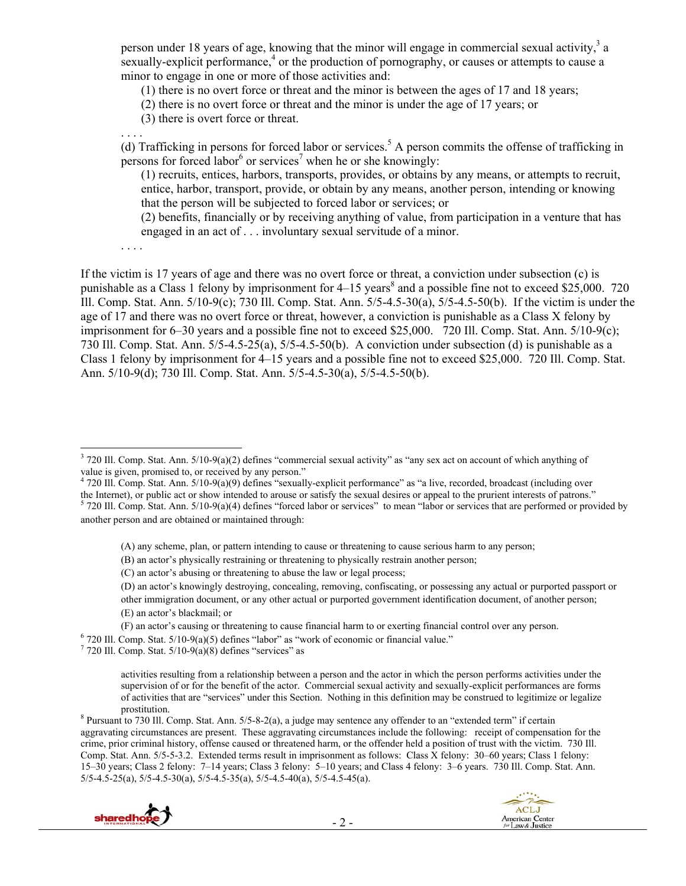person under 18 years of age, knowing that the minor will engage in commercial sexual activity,  $3a$ sexually-explicit performance, $4$  or the production of pornography, or causes or attempts to cause a minor to engage in one or more of those activities and:

(1) there is no overt force or threat and the minor is between the ages of 17 and 18 years;

(2) there is no overt force or threat and the minor is under the age of 17 years; or

(3) there is overt force or threat.

. . . . (d) Trafficking in persons for forced labor or services.<sup>5</sup> A person commits the offense of trafficking in persons for forced labor<sup>6</sup> or services<sup>7</sup> when he or she knowingly:

(1) recruits, entices, harbors, transports, provides, or obtains by any means, or attempts to recruit, entice, harbor, transport, provide, or obtain by any means, another person, intending or knowing that the person will be subjected to forced labor or services; or

(2) benefits, financially or by receiving anything of value, from participation in a venture that has engaged in an act of . . . involuntary sexual servitude of a minor.

. . . .

If the victim is 17 years of age and there was no overt force or threat, a conviction under subsection (c) is punishable as a Class 1 felony by imprisonment for 4–15 years<sup>8</sup> and a possible fine not to exceed \$25,000. 720 Ill. Comp. Stat. Ann. 5/10-9(c); 730 Ill. Comp. Stat. Ann. 5/5-4.5-30(a), 5/5-4.5-50(b). If the victim is under the age of 17 and there was no overt force or threat, however, a conviction is punishable as a Class X felony by imprisonment for 6–30 years and a possible fine not to exceed \$25,000. 720 Ill. Comp. Stat. Ann. 5/10-9(c); 730 Ill. Comp. Stat. Ann. 5/5-4.5-25(a), 5/5-4.5-50(b). A conviction under subsection (d) is punishable as a Class 1 felony by imprisonment for 4–15 years and a possible fine not to exceed \$25,000. 720 Ill. Comp. Stat. Ann. 5/10-9(d); 730 Ill. Comp. Stat. Ann. 5/5-4.5-30(a), 5/5-4.5-50(b).

(F) an actor's causing or threatening to cause financial harm to or exerting financial control over any person. 6

prostitution.<br><sup>8</sup> Pursuant to 730 Ill. Comp. Stat. Ann. 5/5-8-2(a), a judge may sentence any offender to an "extended term" if certain aggravating circumstances are present. These aggravating circumstances include the following: receipt of compensation for the crime, prior criminal history, offense caused or threatened harm, or the offender held a position of trust with the victim. 730 Ill. Comp. Stat. Ann. 5/5-5-3.2. Extended terms result in imprisonment as follows: Class X felony: 30–60 years; Class 1 felony: 15–30 years; Class 2 felony: 7–14 years; Class 3 felony: 5–10 years; and Class 4 felony: 3–6 years. 730 Ill. Comp. Stat. Ann.  $5/5-4.5-25(a)$ ,  $5/5-4.5-30(a)$ ,  $5/5-4.5-35(a)$ ,  $5/5-4.5-40(a)$ ,  $5/5-4.5-45(a)$ .





 $\overline{a}$ <sup>3</sup> 720 Ill. Comp. Stat. Ann. 5/10-9(a)(2) defines "commercial sexual activity" as "any sex act on account of which anything of value is given, promised to, or received by any person." 4

 <sup>720</sup> Ill. Comp. Stat. Ann. 5/10-9(a)(9) defines "sexually-explicit performance" as "a live, recorded, broadcast (including over the Internet), or public act or show intended to arouse or satisfy the sexual desires or appeal to the prurient interests of patrons."

 $5$  720 Ill. Comp. Stat. Ann.  $5/10-9(a)(4)$  defines "forced labor or services" to mean "labor or services that are performed or provided by another person and are obtained or maintained through:

<sup>(</sup>A) any scheme, plan, or pattern intending to cause or threatening to cause serious harm to any person;

<sup>(</sup>B) an actor's physically restraining or threatening to physically restrain another person;

<sup>(</sup>C) an actor's abusing or threatening to abuse the law or legal process;

<sup>(</sup>D) an actor's knowingly destroying, concealing, removing, confiscating, or possessing any actual or purported passport or other immigration document, or any other actual or purported government identification document, of another person; (E) an actor's blackmail; or

 $6$  720 Ill. Comp. Stat.  $5/10-9(a)(5)$  defines "labor" as "work of economic or financial value."

 $7$  720 Ill. Comp. Stat. 5/10-9(a)(8) defines "services" as

activities resulting from a relationship between a person and the actor in which the person performs activities under the supervision of or for the benefit of the actor. Commercial sexual activity and sexually-explicit performances are forms of activities that are "services" under this Section. Nothing in this definition may be construed to legitimize or legalize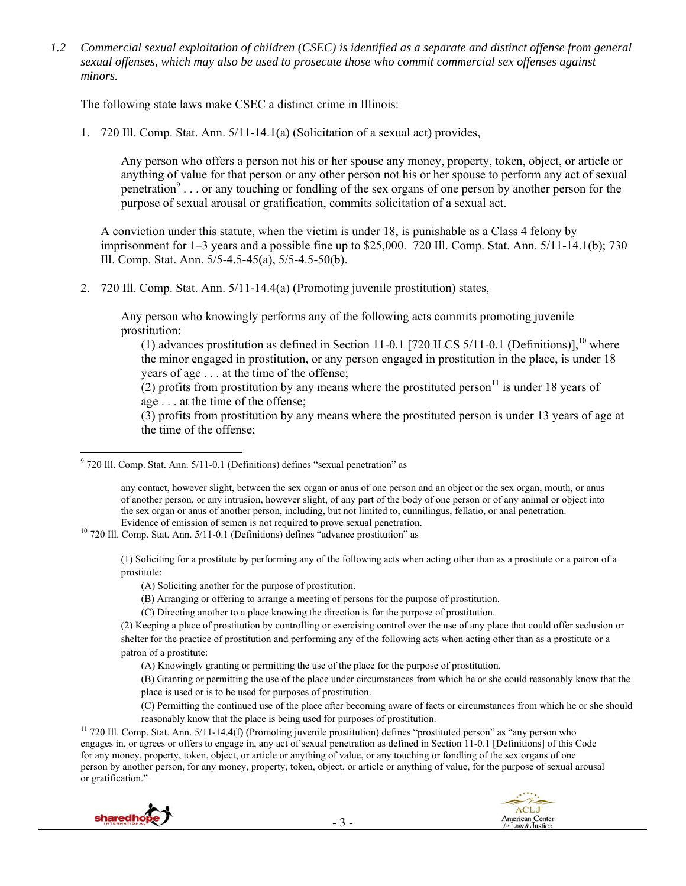*1.2 Commercial sexual exploitation of children (CSEC) is identified as a separate and distinct offense from general sexual offenses, which may also be used to prosecute those who commit commercial sex offenses against minors.* 

The following state laws make CSEC a distinct crime in Illinois:

1. 720 Ill. Comp. Stat. Ann. 5/11-14.1(a) (Solicitation of a sexual act) provides,

Any person who offers a person not his or her spouse any money, property, token, object, or article or anything of value for that person or any other person not his or her spouse to perform any act of sexual penetration<sup>9</sup>... or any touching or fondling of the sex organs of one person by another person for the purpose of sexual arousal or gratification, commits solicitation of a sexual act.

A conviction under this statute, when the victim is under 18, is punishable as a Class 4 felony by imprisonment for 1–3 years and a possible fine up to \$25,000. 720 Ill. Comp. Stat. Ann. 5/11-14.1(b); 730 Ill. Comp. Stat. Ann. 5/5-4.5-45(a), 5/5-4.5-50(b).

2. 720 Ill. Comp. Stat. Ann. 5/11-14.4(a) (Promoting juvenile prostitution) states,

Any person who knowingly performs any of the following acts commits promoting juvenile prostitution:

(1) advances prostitution as defined in Section 11-0.1 [720 ILCS 5/11-0.1 (Definitions)],<sup>10</sup> where the minor engaged in prostitution, or any person engaged in prostitution in the place, is under 18 years of age . . . at the time of the offense;

(2) profits from prostitution by any means where the prostituted person<sup>11</sup> is under 18 years of age . . . at the time of the offense;

(3) profits from prostitution by any means where the prostituted person is under 13 years of age at the time of the offense;

(1) Soliciting for a prostitute by performing any of the following acts when acting other than as a prostitute or a patron of a prostitute:

(A) Soliciting another for the purpose of prostitution.

- (B) Arranging or offering to arrange a meeting of persons for the purpose of prostitution.
- (C) Directing another to a place knowing the direction is for the purpose of prostitution.

reasonably know that the place is being used for purposes of prostitution. 11 720 Ill. Comp. Stat. Ann. 5/11-14.4(f) (Promoting juvenile prostitution) defines "prostituted person" as "any person who engages in, or agrees or offers to engage in, any act of sexual penetration as defined in Section 11-0.1 [Definitions] of this Code for any money, property, token, object, or article or anything of value, or any touching or fondling of the sex organs of one person by another person, for any money, property, token, object, or article or anything of value, for the purpose of sexual arousal or gratification."



 $\overline{a}$ <sup>9</sup> 720 Ill. Comp. Stat. Ann. 5/11-0.1 (Definitions) defines "sexual penetration" as

any contact, however slight, between the sex organ or anus of one person and an object or the sex organ, mouth, or anus of another person, or any intrusion, however slight, of any part of the body of one person or of any animal or object into the sex organ or anus of another person, including, but not limited to, cunnilingus, fellatio, or anal penetration.

Evidence of emission of semen is not required to prove sexual penetration. 10 720 Ill. Comp. Stat. Ann. 5/11-0.1 (Definitions) defines "advance prostitution" as

<sup>(2)</sup> Keeping a place of prostitution by controlling or exercising control over the use of any place that could offer seclusion or shelter for the practice of prostitution and performing any of the following acts when acting other than as a prostitute or a patron of a prostitute:

<sup>(</sup>A) Knowingly granting or permitting the use of the place for the purpose of prostitution.

<sup>(</sup>B) Granting or permitting the use of the place under circumstances from which he or she could reasonably know that the place is used or is to be used for purposes of prostitution.

<sup>(</sup>C) Permitting the continued use of the place after becoming aware of facts or circumstances from which he or she should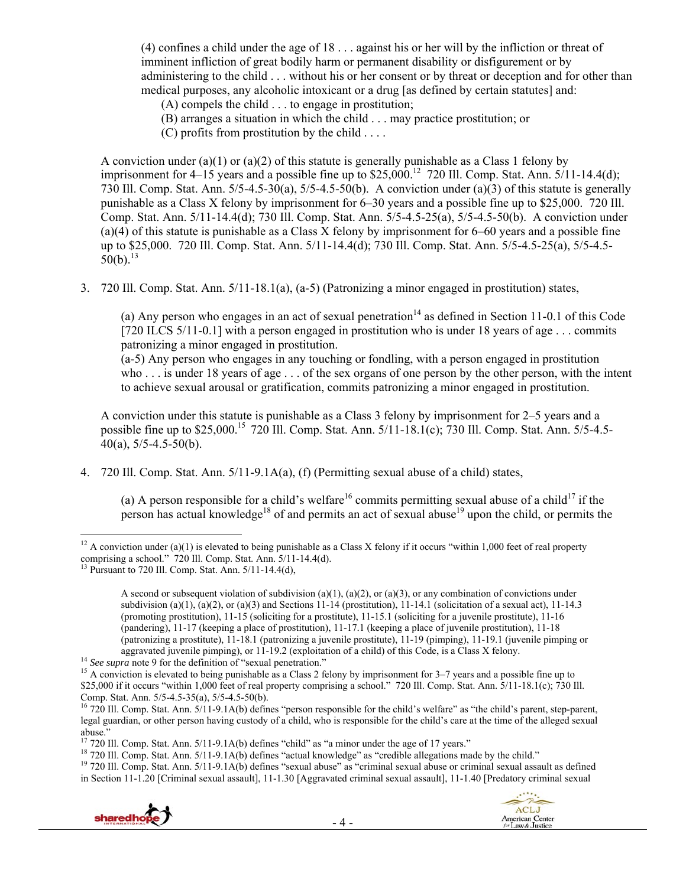(4) confines a child under the age of 18 . . . against his or her will by the infliction or threat of imminent infliction of great bodily harm or permanent disability or disfigurement or by administering to the child . . . without his or her consent or by threat or deception and for other than medical purposes, any alcoholic intoxicant or a drug [as defined by certain statutes] and:

- (A) compels the child . . . to engage in prostitution;
- (B) arranges a situation in which the child . . . may practice prostitution; or
- (C) profits from prostitution by the child . . . .

A conviction under (a)(1) or (a)(2) of this statute is generally punishable as a Class 1 felony by imprisonment for  $4-15$  years and a possible fine up to \$25,000.<sup>12</sup> 720 Ill. Comp. Stat. Ann. 5/11-14.4(d): 730 Ill. Comp. Stat. Ann. 5/5-4.5-30(a), 5/5-4.5-50(b). A conviction under (a)(3) of this statute is generally punishable as a Class X felony by imprisonment for 6–30 years and a possible fine up to \$25,000. 720 Ill. Comp. Stat. Ann. 5/11-14.4(d); 730 Ill. Comp. Stat. Ann. 5/5-4.5-25(a), 5/5-4.5-50(b). A conviction under (a)(4) of this statute is punishable as a Class X felony by imprisonment for 6–60 years and a possible fine up to \$25,000. 720 Ill. Comp. Stat. Ann. 5/11-14.4(d); 730 Ill. Comp. Stat. Ann. 5/5-4.5-25(a), 5/5-4.5-  $50(b)$ <sup>13</sup>

3. 720 Ill. Comp. Stat. Ann. 5/11-18.1(a), (a-5) (Patronizing a minor engaged in prostitution) states,

(a) Any person who engages in an act of sexual penetration<sup>14</sup> as defined in Section 11-0.1 of this Code [720 ILCS 5/11-0.1] with a person engaged in prostitution who is under 18 years of age . . . commits patronizing a minor engaged in prostitution.

(a-5) Any person who engages in any touching or fondling, with a person engaged in prostitution who . . . is under 18 years of age . . . of the sex organs of one person by the other person, with the intent to achieve sexual arousal or gratification, commits patronizing a minor engaged in prostitution.

A conviction under this statute is punishable as a Class 3 felony by imprisonment for 2–5 years and a possible fine up to  $$25,000$ <sup>15</sup> 720 Ill. Comp. Stat. Ann.  $5/11-18.1(c)$ ; 730 Ill. Comp. Stat. Ann.  $5/5-4.5-$ 40(a), 5/5-4.5-50(b).

4. 720 Ill. Comp. Stat. Ann. 5/11-9.1A(a), (f) (Permitting sexual abuse of a child) states,

(a) A person responsible for a child's welfare<sup>16</sup> commits permitting sexual abuse of a child<sup>17</sup> if the person has actual knowledge<sup>18</sup> of and permits an act of sexual abuse<sup>19</sup> upon the child, or permits the

in Section 11-1.20 [Criminal sexual assault], 11-1.30 [Aggravated criminal sexual assault], 11-1.40 [Predatory criminal sexual



 $\overline{a}$ 



<sup>&</sup>lt;sup>12</sup> A conviction under (a)(1) is elevated to being punishable as a Class X felony if it occurs "within 1,000 feet of real property comprising a school."  $720$  Ill. Comp. Stat. Ann.  $5/11-14.4(d)$ .<br><sup>13</sup> Pursuant to 720 Ill. Comp. Stat. Ann.  $5/11-14.4(d)$ ,

A second or subsequent violation of subdivision (a)(1), (a)(2), or (a)(3), or any combination of convictions under subdivision (a)(1), (a)(2), or (a)(3) and Sections 11-14 (prostitution), 11-14.1 (solicitation of a sexual act), 11-14.3 (promoting prostitution), 11-15 (soliciting for a prostitute), 11-15.1 (soliciting for a juvenile prostitute), 11-16 (pandering), 11-17 (keeping a place of prostitution), 11-17.1 (keeping a place of juvenile prostitution), 11-18 (patronizing a prostitute), 11-18.1 (patronizing a juvenile prostitute), 11-19 (pimping), 11-19.1 (juvenile pimping or

aggravated juvenile pimping), or 11-19.2 (exploitation of a child) of this Code, is a Class X felony.<br><sup>14</sup> See supra note 9 for the definition of "sexual penetration."<br><sup>15</sup> A conviction is elevated to being punishable as a \$25,000 if it occurs "within 1,000 feet of real property comprising a school." 720 Ill. Comp. Stat. Ann. 5/11-18.1(c); 730 Ill. Comp. Stat. Ann. 5/5-4.5-35(a), 5/5-4.5-50(b).

<sup>&</sup>lt;sup>16</sup> 720 Ill. Comp. Stat. Ann. 5/11-9.1A(b) defines "person responsible for the child's welfare" as "the child's parent, step-parent, legal guardian, or other person having custody of a child, who is responsible for the child's care at the time of the alleged sexual abuse."<br> $17,720$  Ill. Comp. Stat. Ann.  $5/11$ -9.1A(b) defines "child" as "a minor under the age of 17 years."

<sup>&</sup>lt;sup>18</sup> 720 Ill. Comp. Stat. Ann. 5/11-9.1A(b) defines "actual knowledge" as "credible allegations made by the child."<br><sup>19</sup> 720 Ill. Comp. Stat. Ann. 5/11-9.1A(b) defines "sexual abuse" as "criminal sexual abuse or criminal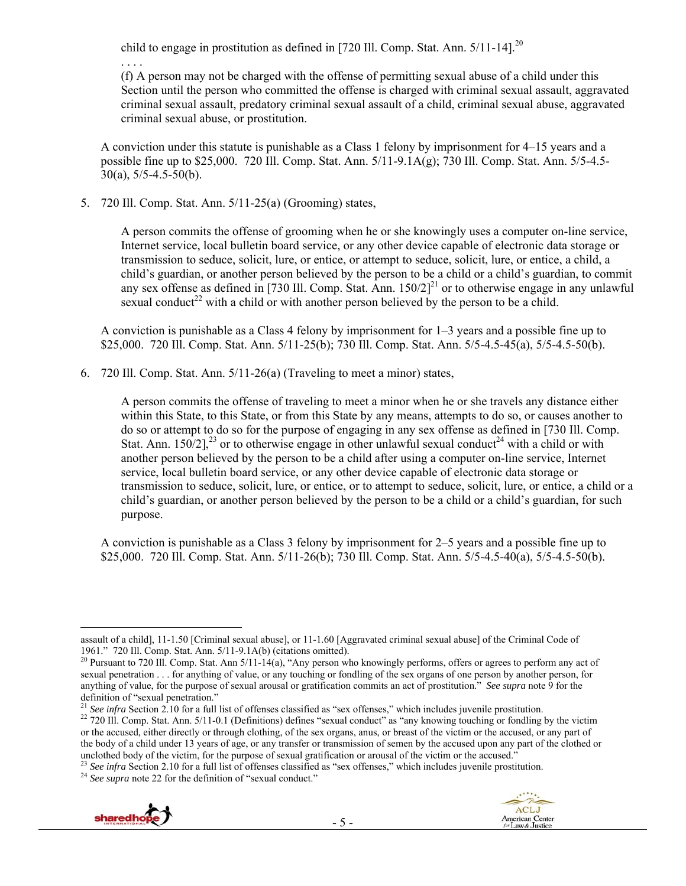child to engage in prostitution as defined in [720 Ill. Comp. Stat. Ann.  $5/11$ -14].<sup>20</sup>

(f) A person may not be charged with the offense of permitting sexual abuse of a child under this Section until the person who committed the offense is charged with criminal sexual assault, aggravated criminal sexual assault, predatory criminal sexual assault of a child, criminal sexual abuse, aggravated criminal sexual abuse, or prostitution.

A conviction under this statute is punishable as a Class 1 felony by imprisonment for 4–15 years and a possible fine up to \$25,000. 720 Ill. Comp. Stat. Ann. 5/11-9.1A(g); 730 Ill. Comp. Stat. Ann. 5/5-4.5- 30(a), 5/5-4.5-50(b).

5. 720 Ill. Comp. Stat. Ann. 5/11-25(a) (Grooming) states,

. . . .

A person commits the offense of grooming when he or she knowingly uses a computer on-line service, Internet service, local bulletin board service, or any other device capable of electronic data storage or transmission to seduce, solicit, lure, or entice, or attempt to seduce, solicit, lure, or entice, a child, a child's guardian, or another person believed by the person to be a child or a child's guardian, to commit any sex offense as defined in [730 Ill. Comp. Stat. Ann.  $150/2$ ]<sup>21</sup> or to otherwise engage in any unlawful sexual conduct<sup>22</sup> with a child or with another person believed by the person to be a child.

A conviction is punishable as a Class 4 felony by imprisonment for 1–3 years and a possible fine up to \$25,000. 720 Ill. Comp. Stat. Ann. 5/11-25(b); 730 Ill. Comp. Stat. Ann. 5/5-4.5-45(a), 5/5-4.5-50(b).

6. 720 Ill. Comp. Stat. Ann. 5/11-26(a) (Traveling to meet a minor) states,

A person commits the offense of traveling to meet a minor when he or she travels any distance either within this State, to this State, or from this State by any means, attempts to do so, or causes another to do so or attempt to do so for the purpose of engaging in any sex offense as defined in [730 Ill. Comp. Stat. Ann.  $150/2$ ],<sup>23</sup> or to otherwise engage in other unlawful sexual conduct<sup>24</sup> with a child or with another person believed by the person to be a child after using a computer on-line service, Internet service, local bulletin board service, or any other device capable of electronic data storage or transmission to seduce, solicit, lure, or entice, or to attempt to seduce, solicit, lure, or entice, a child or a child's guardian, or another person believed by the person to be a child or a child's guardian, for such purpose.

A conviction is punishable as a Class 3 felony by imprisonment for 2–5 years and a possible fine up to \$25,000. 720 Ill. Comp. Stat. Ann. 5/11-26(b); 730 Ill. Comp. Stat. Ann. 5/5-4.5-40(a), 5/5-4.5-50(b).

<sup>&</sup>lt;sup>23</sup> See infra Section 2.10 for a full list of offenses classified as "sex offenses," which includes juvenile prostitution. <sup>24</sup> See supra note 22 for the definition of "sexual conduct."





 $\overline{a}$ assault of a child], 11-1.50 [Criminal sexual abuse], or 11-1.60 [Aggravated criminal sexual abuse] of the Criminal Code of 1961." 720 Ill. Comp. Stat. Ann. 5/11-9.1A(b) (citations omitted).

<sup>&</sup>lt;sup>20</sup> Pursuant to 720 Ill. Comp. Stat. Ann 5/11-14(a), "Any person who knowingly performs, offers or agrees to perform any act of sexual penetration . . . for anything of value, or any touching or fondling of the sex organs of one person by another person, for anything of value, for the purpose of sexual arousal or gratification commits an act of prostitution." *See supra* note 9 for the definition of "sexual penetration."<br><sup>21</sup> See infra Section 2.10 for a full list of offenses classified as "sex offenses," which includes juvenile prostitution.

<sup>&</sup>lt;sup>22</sup> 720 Ill. Comp. Stat. Ann. 5/11-0.1 (Definitions) defines "sexual conduct" as "any knowing touching or fondling by the victim or the accused, either directly or through clothing, of the sex organs, anus, or breast of the victim or the accused, or any part of the body of a child under 13 years of age, or any transfer or transmission of semen by the accused upon any part of the clothed or unclothed body of the victim, for the purpose of sexual gratification or arousal of the victim or the accused."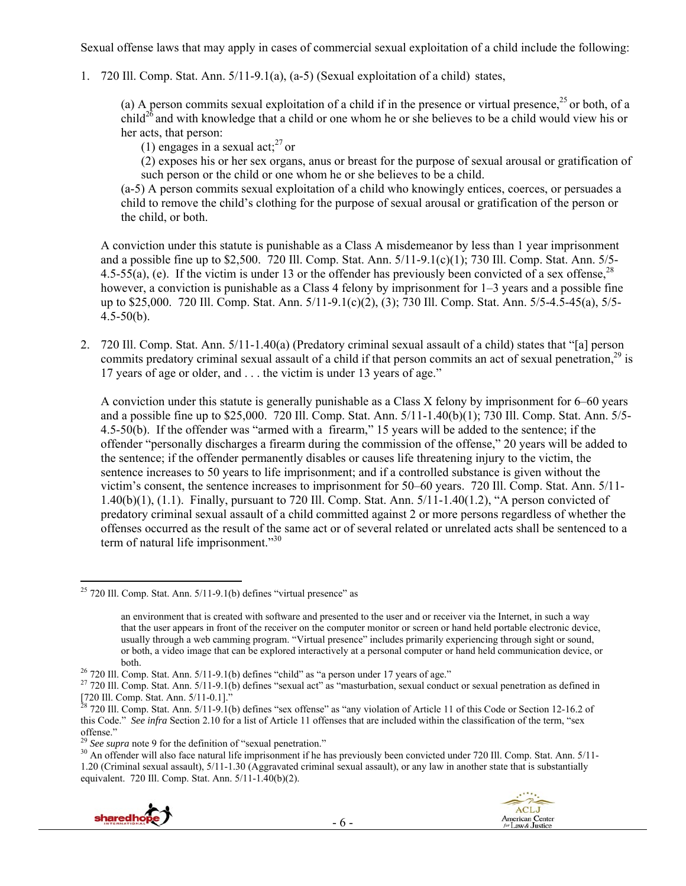Sexual offense laws that may apply in cases of commercial sexual exploitation of a child include the following:

1. 720 Ill. Comp. Stat. Ann. 5/11-9.1(a), (a-5) (Sexual exploitation of a child) states,

(a) A person commits sexual exploitation of a child if in the presence or virtual presence,<sup>25</sup> or both, of a  $child^{26}$  and with knowledge that a child or one whom he or she believes to be a child would view his or her acts, that person:

(1) engages in a sexual  $\text{act}^{27}_{1}$  or

(2) exposes his or her sex organs, anus or breast for the purpose of sexual arousal or gratification of such person or the child or one whom he or she believes to be a child.

(a-5) A person commits sexual exploitation of a child who knowingly entices, coerces, or persuades a child to remove the child's clothing for the purpose of sexual arousal or gratification of the person or the child, or both.

A conviction under this statute is punishable as a Class A misdemeanor by less than 1 year imprisonment and a possible fine up to \$2,500. 720 Ill. Comp. Stat. Ann. 5/11-9.1(c)(1); 730 Ill. Comp. Stat. Ann. 5/5- 4.5-55(a), (e). If the victim is under 13 or the offender has previously been convicted of a sex offense,  $^{28}$ however, a conviction is punishable as a Class 4 felony by imprisonment for 1–3 years and a possible fine up to \$25,000. 720 Ill. Comp. Stat. Ann. 5/11-9.1(c)(2), (3); 730 Ill. Comp. Stat. Ann. 5/5-4.5-45(a), 5/5-  $4.5 - 50(b)$ .

2. 720 Ill. Comp. Stat. Ann. 5/11-1.40(a) (Predatory criminal sexual assault of a child) states that "[a] person commits predatory criminal sexual assault of a child if that person commits an act of sexual penetration,<sup>29</sup> is 17 years of age or older, and . . . the victim is under 13 years of age."

A conviction under this statute is generally punishable as a Class X felony by imprisonment for 6–60 years and a possible fine up to \$25,000. 720 Ill. Comp. Stat. Ann. 5/11-1.40(b)(1); 730 Ill. Comp. Stat. Ann. 5/5- 4.5-50(b). If the offender was "armed with a firearm," 15 years will be added to the sentence; if the offender "personally discharges a firearm during the commission of the offense," 20 years will be added to the sentence; if the offender permanently disables or causes life threatening injury to the victim, the sentence increases to 50 years to life imprisonment; and if a controlled substance is given without the victim's consent, the sentence increases to imprisonment for 50–60 years. 720 Ill. Comp. Stat. Ann. 5/11- 1.40(b)(1), (1.1). Finally, pursuant to 720 Ill. Comp. Stat. Ann. 5/11-1.40(1.2), "A person convicted of predatory criminal sexual assault of a child committed against 2 or more persons regardless of whether the offenses occurred as the result of the same act or of several related or unrelated acts shall be sentenced to a term of natural life imprisonment."<sup>30</sup>

<sup>&</sup>lt;sup>30</sup> An offender will also face natural life imprisonment if he has previously been convicted under 720 Ill. Comp. Stat. Ann. 5/11-1.20 (Criminal sexual assault), 5/11-1.30 (Aggravated criminal sexual assault), or any law in another state that is substantially equivalent. 720 Ill. Comp. Stat. Ann. 5/11-1.40(b)(2).



 $\overline{a}$  $25$  720 Ill. Comp. Stat. Ann.  $5/11$ -9.1(b) defines "virtual presence" as

an environment that is created with software and presented to the user and or receiver via the Internet, in such a way that the user appears in front of the receiver on the computer monitor or screen or hand held portable electronic device, usually through a web camming program. "Virtual presence" includes primarily experiencing through sight or sound, or both, a video image that can be explored interactively at a personal computer or hand held communication device, or

both.<br><sup>26</sup> 720 Ill. Comp. Stat. Ann. 5/11-9.1(b) defines "child" as "a person under 17 years of age."<br><sup>27</sup> 720 Ill. Comp. Stat. Ann. 5/11-9.1(b) defines "sexual act" as "masturbation, sexual conduct or sexual penetration a [720 Ill. Comp. Stat. Ann. 5/11-0.1]."

 $^{28}$  720 Ill. Comp. Stat. Ann. 5/11-9.1(b) defines "sex offense" as "any violation of Article 11 of this Code or Section 12-16.2 of this Code." *See infra* Section 2.10 for a list of Article 11 offenses that are included within the classification of the term, "sex offense."<br><sup>29</sup> See supra note 9 for the definition of "sexual penetration."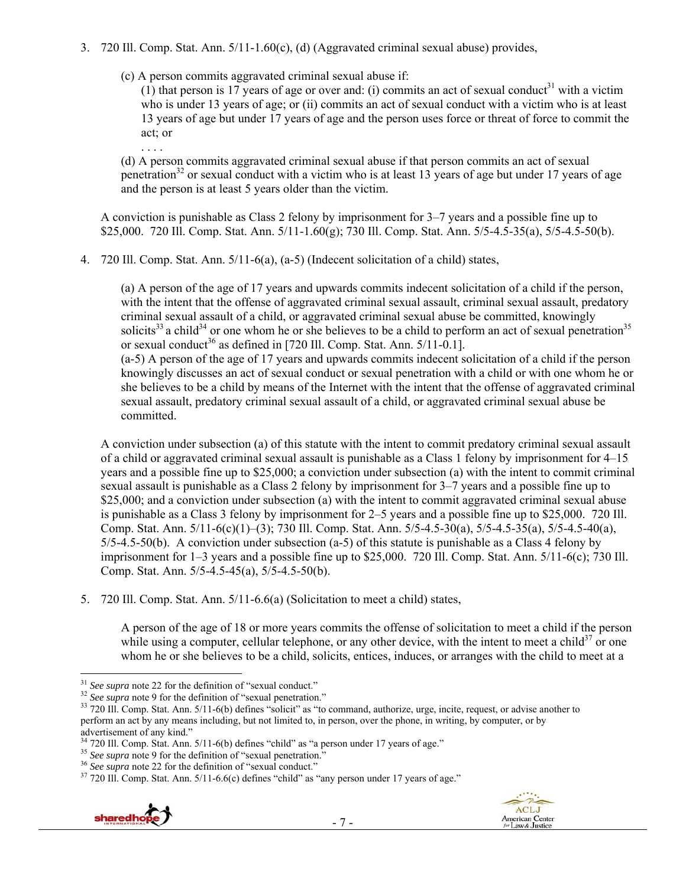- 3. 720 Ill. Comp. Stat. Ann. 5/11-1.60(c), (d) (Aggravated criminal sexual abuse) provides,
	- (c) A person commits aggravated criminal sexual abuse if:

(1) that person is 17 years of age or over and: (i) commits an act of sexual conduct<sup>31</sup> with a victim who is under 13 years of age; or (ii) commits an act of sexual conduct with a victim who is at least 13 years of age but under 17 years of age and the person uses force or threat of force to commit the act; or

. . . . (d) A person commits aggravated criminal sexual abuse if that person commits an act of sexual penetration<sup>32</sup> or sexual conduct with a victim who is at least 13 years of age but under 17 years of age and the person is at least 5 years older than the victim.

A conviction is punishable as Class 2 felony by imprisonment for 3–7 years and a possible fine up to \$25,000. 720 Ill. Comp. Stat. Ann. 5/11-1.60(g); 730 Ill. Comp. Stat. Ann. 5/5-4.5-35(a), 5/5-4.5-50(b).

4. 720 Ill. Comp. Stat. Ann. 5/11-6(a), (a-5) (Indecent solicitation of a child) states,

(a) A person of the age of 17 years and upwards commits indecent solicitation of a child if the person, with the intent that the offense of aggravated criminal sexual assault, criminal sexual assault, predatory criminal sexual assault of a child, or aggravated criminal sexual abuse be committed, knowingly solicits<sup>33</sup> a child<sup>34</sup> or one whom he or she believes to be a child to perform an act of sexual penetration<sup>35</sup> or sexual conduct<sup>36</sup> as defined in [720 Ill. Comp. Stat. Ann.  $5/11$ -0.1]. (a-5) A person of the age of 17 years and upwards commits indecent solicitation of a child if the person knowingly discusses an act of sexual conduct or sexual penetration with a child or with one whom he or she believes to be a child by means of the Internet with the intent that the offense of aggravated criminal sexual assault, predatory criminal sexual assault of a child, or aggravated criminal sexual abuse be committed.

A conviction under subsection (a) of this statute with the intent to commit predatory criminal sexual assault of a child or aggravated criminal sexual assault is punishable as a Class 1 felony by imprisonment for 4–15 years and a possible fine up to \$25,000; a conviction under subsection (a) with the intent to commit criminal sexual assault is punishable as a Class 2 felony by imprisonment for 3–7 years and a possible fine up to \$25,000; and a conviction under subsection (a) with the intent to commit aggravated criminal sexual abuse is punishable as a Class 3 felony by imprisonment for 2–5 years and a possible fine up to \$25,000. 720 Ill. Comp. Stat. Ann. 5/11-6(c)(1)–(3); 730 Ill. Comp. Stat. Ann. 5/5-4.5-30(a), 5/5-4.5-35(a), 5/5-4.5-40(a), 5/5-4.5-50(b). A conviction under subsection (a-5) of this statute is punishable as a Class 4 felony by imprisonment for 1–3 years and a possible fine up to \$25,000. 720 Ill. Comp. Stat. Ann. 5/11-6(c); 730 Ill. Comp. Stat. Ann. 5/5-4.5-45(a), 5/5-4.5-50(b).

5. 720 Ill. Comp. Stat. Ann. 5/11-6.6(a) (Solicitation to meet a child) states,

A person of the age of 18 or more years commits the offense of solicitation to meet a child if the person while using a computer, cellular telephone, or any other device, with the intent to meet a child<sup>37</sup> or one whom he or she believes to be a child, solicits, entices, induces, or arranges with the child to meet at a

<sup>&</sup>lt;sup>35</sup> See supra note 9 for the definition of "sexual penetration."<br><sup>36</sup> See supra note 22 for the definition of "sexual conduct."<br><sup>37</sup> 720 Ill. Comp. Stat. Ann. 5/11-6.6(c) defines "child" as "any person under 17 years of



 $31$  See supra note 22 for the definition of "sexual conduct."

 $\frac{32}{32}$  See supra note 9 for the definition of "sexual penetration."<br> $\frac{32}{32}$  See supra note 9 for the definition of "sexual penetration."<br> $\frac{33}{20}$  720 Ill. Comp. Stat. Ann. 5/11-6(b) defines "solicit" as "to co perform an act by any means including, but not limited to, in person, over the phone, in writing, by computer, or by advertisement of any kind."<br>
<sup>34</sup> 720 Ill. Comp. Stat. Ann. 5/11-6(b) defines "child" as "a person under 17 years of age."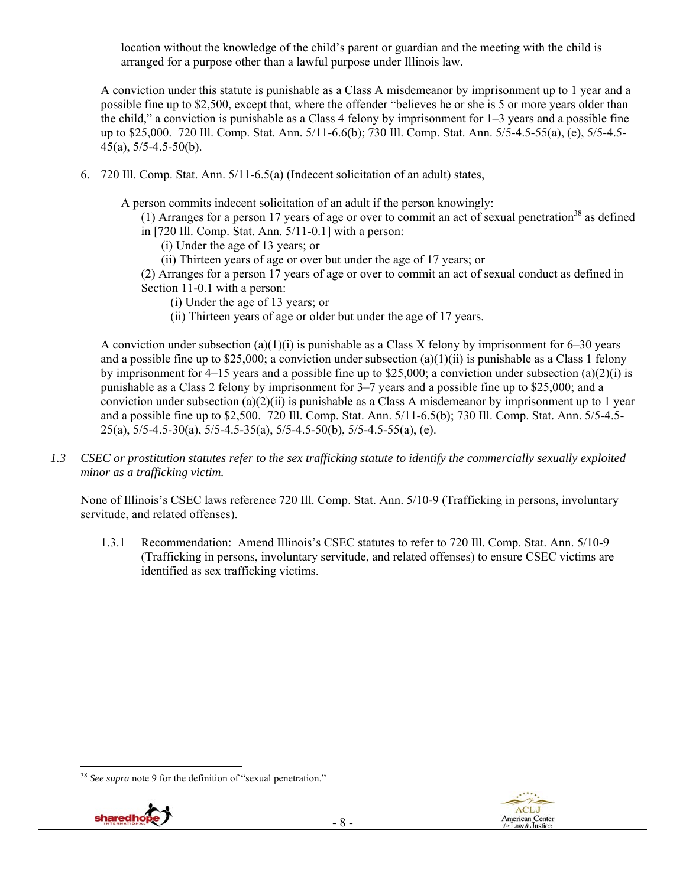location without the knowledge of the child's parent or guardian and the meeting with the child is arranged for a purpose other than a lawful purpose under Illinois law.

A conviction under this statute is punishable as a Class A misdemeanor by imprisonment up to 1 year and a possible fine up to \$2,500, except that, where the offender "believes he or she is 5 or more years older than the child," a conviction is punishable as a Class 4 felony by imprisonment for 1–3 years and a possible fine up to \$25,000. 720 Ill. Comp. Stat. Ann. 5/11-6.6(b); 730 Ill. Comp. Stat. Ann. 5/5-4.5-55(a), (e), 5/5-4.5-  $45(a)$ ,  $5/5-4.5-50(b)$ .

6. 720 Ill. Comp. Stat. Ann. 5/11-6.5(a) (Indecent solicitation of an adult) states,

A person commits indecent solicitation of an adult if the person knowingly:

- (1) Arranges for a person 17 years of age or over to commit an act of sexual penetration<sup>38</sup> as defined
- in [720 Ill. Comp. Stat. Ann. 5/11-0.1] with a person:
	- (i) Under the age of 13 years; or
	- (ii) Thirteen years of age or over but under the age of 17 years; or

(2) Arranges for a person 17 years of age or over to commit an act of sexual conduct as defined in Section 11-0.1 with a person:

- (i) Under the age of 13 years; or
- (ii) Thirteen years of age or older but under the age of 17 years.

A conviction under subsection (a)(1)(i) is punishable as a Class X felony by imprisonment for  $6-30$  years and a possible fine up to \$25,000; a conviction under subsection (a)(1)(ii) is punishable as a Class 1 felony by imprisonment for 4–15 years and a possible fine up to \$25,000; a conviction under subsection (a)(2)(i) is punishable as a Class 2 felony by imprisonment for 3–7 years and a possible fine up to \$25,000; and a conviction under subsection  $(a)(2)(ii)$  is punishable as a Class A misdemeanor by imprisonment up to 1 year and a possible fine up to \$2,500. 720 Ill. Comp. Stat. Ann. 5/11-6.5(b); 730 Ill. Comp. Stat. Ann. 5/5-4.5-  $25(a)$ ,  $5/5-4.5-30(a)$ ,  $5/5-4.5-35(a)$ ,  $5/5-4.5-50(b)$ ,  $5/5-4.5-55(a)$ , (e).

*1.3 CSEC or prostitution statutes refer to the sex trafficking statute to identify the commercially sexually exploited minor as a trafficking victim.* 

None of Illinois's CSEC laws reference 720 Ill. Comp. Stat. Ann. 5/10-9 (Trafficking in persons, involuntary servitude, and related offenses).

1.3.1 Recommendation: Amend Illinois's CSEC statutes to refer to 720 Ill. Comp. Stat. Ann. 5/10-9 (Trafficking in persons, involuntary servitude, and related offenses) to ensure CSEC victims are identified as sex trafficking victims.

See supra note 9 for the definition of "sexual penetration."



 $\overline{a}$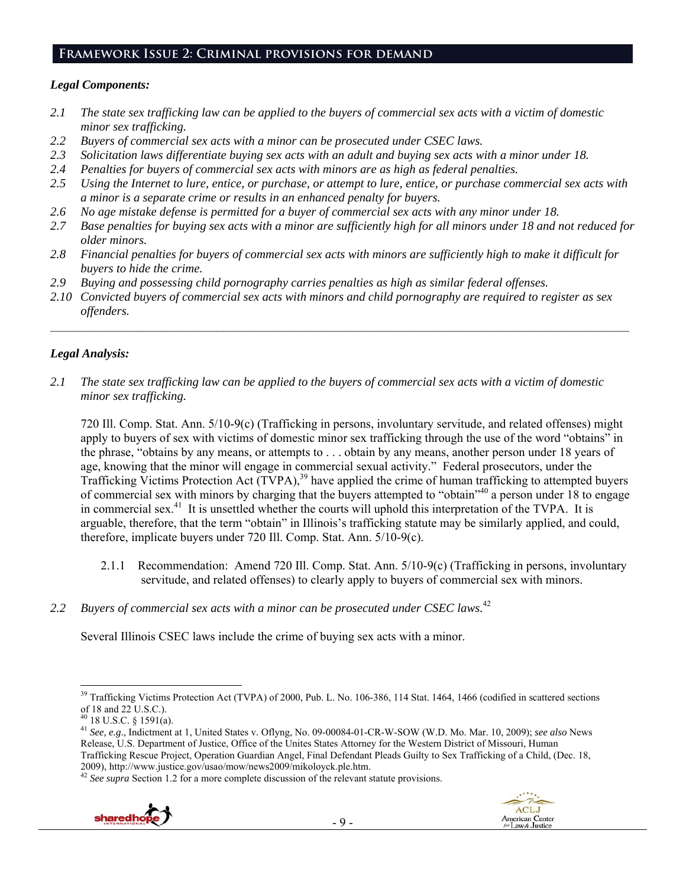#### **Framework Issue 2: Criminal provisions for demand**

#### *Legal Components:*

- *2.1 The state sex trafficking law can be applied to the buyers of commercial sex acts with a victim of domestic minor sex trafficking.*
- *2.2 Buyers of commercial sex acts with a minor can be prosecuted under CSEC laws.*
- *2.3 Solicitation laws differentiate buying sex acts with an adult and buying sex acts with a minor under 18.*
- *2.4 Penalties for buyers of commercial sex acts with minors are as high as federal penalties.*
- *2.5 Using the Internet to lure, entice, or purchase, or attempt to lure, entice, or purchase commercial sex acts with a minor is a separate crime or results in an enhanced penalty for buyers.*
- *2.6 No age mistake defense is permitted for a buyer of commercial sex acts with any minor under 18.*
- 2.7 Base penalties for buying sex acts with a minor are sufficiently high for all minors under 18 and not reduced for *older minors.*
- *2.8 Financial penalties for buyers of commercial sex acts with minors are sufficiently high to make it difficult for buyers to hide the crime.*
- *2.9 Buying and possessing child pornography carries penalties as high as similar federal offenses.*
- *2.10 Convicted buyers of commercial sex acts with minors and child pornography are required to register as sex offenders.*

 $\_$ 

## *Legal Analysis:*

*2.1 The state sex trafficking law can be applied to the buyers of commercial sex acts with a victim of domestic minor sex trafficking.* 

720 Ill. Comp. Stat. Ann. 5/10-9(c) (Trafficking in persons, involuntary servitude, and related offenses) might apply to buyers of sex with victims of domestic minor sex trafficking through the use of the word "obtains" in the phrase, "obtains by any means, or attempts to . . . obtain by any means, another person under 18 years of age, knowing that the minor will engage in commercial sexual activity." Federal prosecutors, under the Trafficking Victims Protection Act (TVPA),<sup>39</sup> have applied the crime of human trafficking to attempted buyers of commercial sex with minors by charging that the buyers attempted to "obtain"40 a person under 18 to engage in commercial sex.<sup>41</sup> It is unsettled whether the courts will uphold this interpretation of the TVPA. It is arguable, therefore, that the term "obtain" in Illinois's trafficking statute may be similarly applied, and could, therefore, implicate buyers under 720 Ill. Comp. Stat. Ann. 5/10-9(c).

- 2.1.1 Recommendation: Amend 720 Ill. Comp. Stat. Ann. 5/10-9(c) (Trafficking in persons, involuntary servitude, and related offenses) to clearly apply to buyers of commercial sex with minors.
- *2.2 Buyers of commercial sex acts with a minor can be prosecuted under CSEC laws.*<sup>42</sup>

Several Illinois CSEC laws include the crime of buying sex acts with a minor.





 $\overline{a}$ <sup>39</sup> Trafficking Victims Protection Act (TVPA) of 2000, Pub. L. No. 106-386, 114 Stat. 1464, 1466 (codified in scattered sections of 18 and 22 U.S.C.).

<sup>18</sup> U.S.C. § 1591(a).

<sup>41</sup> *See, e.g*., Indictment at 1, United States v. Oflyng, No. 09-00084-01-CR-W-SOW (W.D. Mo. Mar. 10, 2009); *see also* News Release, U.S. Department of Justice, Office of the Unites States Attorney for the Western District of Missouri, Human Trafficking Rescue Project, Operation Guardian Angel, Final Defendant Pleads Guilty to Sex Trafficking of a Child, (Dec. 18, 2009), http://www.justice.gov/usao/mow/news2009/mikoloyck.ple.htm. 42 *See supra* Section 1.2 for a more complete discussion of the relevant statute provisions.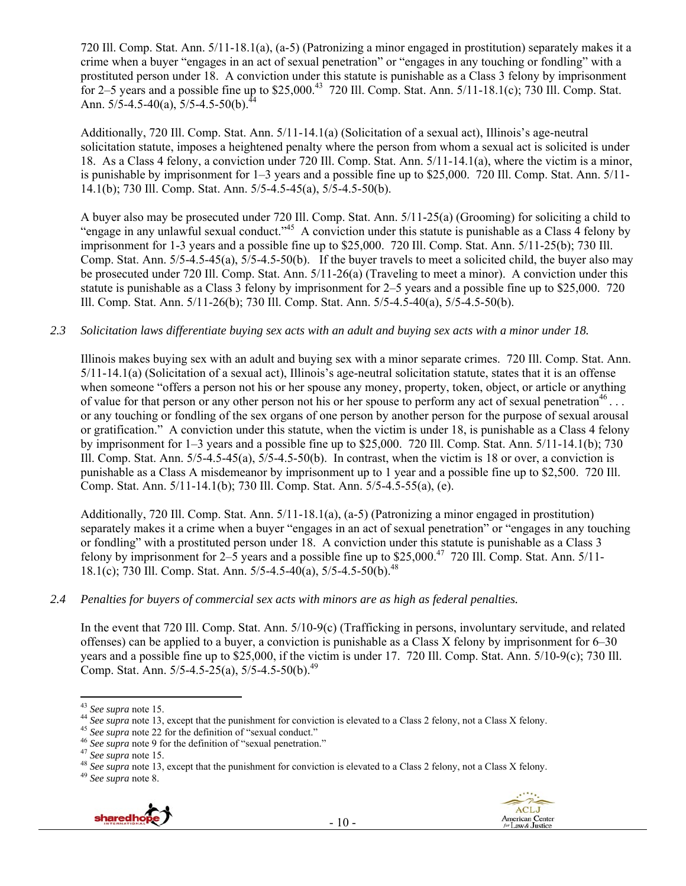720 Ill. Comp. Stat. Ann. 5/11-18.1(a), (a-5) (Patronizing a minor engaged in prostitution) separately makes it a crime when a buyer "engages in an act of sexual penetration" or "engages in any touching or fondling" with a prostituted person under 18. A conviction under this statute is punishable as a Class 3 felony by imprisonment for 2–5 years and a possible fine up to \$25,000.43 720 Ill. Comp. Stat. Ann. 5/11-18.1(c); 730 Ill. Comp. Stat. Ann.  $5/5-4.5-40(a)$ ,  $5/5-4.5-50(b)$ .<sup>4</sup>

Additionally, 720 Ill. Comp. Stat. Ann. 5/11-14.1(a) (Solicitation of a sexual act), Illinois's age-neutral solicitation statute, imposes a heightened penalty where the person from whom a sexual act is solicited is under 18. As a Class 4 felony, a conviction under 720 Ill. Comp. Stat. Ann. 5/11-14.1(a), where the victim is a minor, is punishable by imprisonment for 1–3 years and a possible fine up to \$25,000. 720 Ill. Comp. Stat. Ann. 5/11- 14.1(b); 730 Ill. Comp. Stat. Ann. 5/5-4.5-45(a), 5/5-4.5-50(b).

A buyer also may be prosecuted under 720 Ill. Comp. Stat. Ann. 5/11-25(a) (Grooming) for soliciting a child to "engage in any unlawful sexual conduct."45 A conviction under this statute is punishable as a Class 4 felony by imprisonment for 1-3 years and a possible fine up to \$25,000. 720 Ill. Comp. Stat. Ann. 5/11-25(b); 730 Ill. Comp. Stat. Ann. 5/5-4.5-45(a), 5/5-4.5-50(b). If the buyer travels to meet a solicited child, the buyer also may be prosecuted under 720 Ill. Comp. Stat. Ann. 5/11-26(a) (Traveling to meet a minor). A conviction under this statute is punishable as a Class 3 felony by imprisonment for 2–5 years and a possible fine up to \$25,000. 720 Ill. Comp. Stat. Ann. 5/11-26(b); 730 Ill. Comp. Stat. Ann. 5/5-4.5-40(a), 5/5-4.5-50(b).

#### *2.3 Solicitation laws differentiate buying sex acts with an adult and buying sex acts with a minor under 18.*

Illinois makes buying sex with an adult and buying sex with a minor separate crimes. 720 Ill. Comp. Stat. Ann. 5/11-14.1(a) (Solicitation of a sexual act), Illinois's age-neutral solicitation statute, states that it is an offense when someone "offers a person not his or her spouse any money, property, token, object, or article or anything of value for that person or any other person not his or her spouse to perform any act of sexual penetration<sup>46</sup>... or any touching or fondling of the sex organs of one person by another person for the purpose of sexual arousal or gratification." A conviction under this statute, when the victim is under 18, is punishable as a Class 4 felony by imprisonment for 1–3 years and a possible fine up to \$25,000. 720 Ill. Comp. Stat. Ann. 5/11-14.1(b); 730 Ill. Comp. Stat. Ann. 5/5-4.5-45(a), 5/5-4.5-50(b). In contrast, when the victim is 18 or over, a conviction is punishable as a Class A misdemeanor by imprisonment up to 1 year and a possible fine up to \$2,500. 720 Ill. Comp. Stat. Ann. 5/11-14.1(b); 730 Ill. Comp. Stat. Ann. 5/5-4.5-55(a), (e).

Additionally, 720 Ill. Comp. Stat. Ann. 5/11-18.1(a), (a-5) (Patronizing a minor engaged in prostitution) separately makes it a crime when a buyer "engages in an act of sexual penetration" or "engages in any touching or fondling" with a prostituted person under 18. A conviction under this statute is punishable as a Class 3 felony by imprisonment for  $2-\overline{5}$  years and a possible fine up to \$25,000.<sup>47</sup> 720 Ill. Comp. Stat. Ann. 5/11-18.1(c); 730 Ill. Comp. Stat. Ann.  $5/5-4.5-40(a)$ ,  $5/5-4.5-50(b)$ .<sup>48</sup>

## *2.4 Penalties for buyers of commercial sex acts with minors are as high as federal penalties.*

In the event that 720 Ill. Comp. Stat. Ann. 5/10-9(c) (Trafficking in persons, involuntary servitude, and related offenses) can be applied to a buyer, a conviction is punishable as a Class X felony by imprisonment for 6–30 years and a possible fine up to \$25,000, if the victim is under 17. 720 Ill. Comp. Stat. Ann. 5/10-9(c); 730 Ill. Comp. Stat. Ann.  $5/5-4.5-25(a)$ ,  $5/5-4.5-50(b)$ .<sup>49</sup>





<sup>&</sup>lt;sup>43</sup> See supra note 15.

<sup>&</sup>lt;sup>45</sup> See supra note 13, except that the punishment for conviction is elevated to a Class 2 felony, not a Class X felony.<br><sup>45</sup> See supra note 22 for the definition of "sexual conduct."<br><sup>45</sup> See supra note 9 for the definit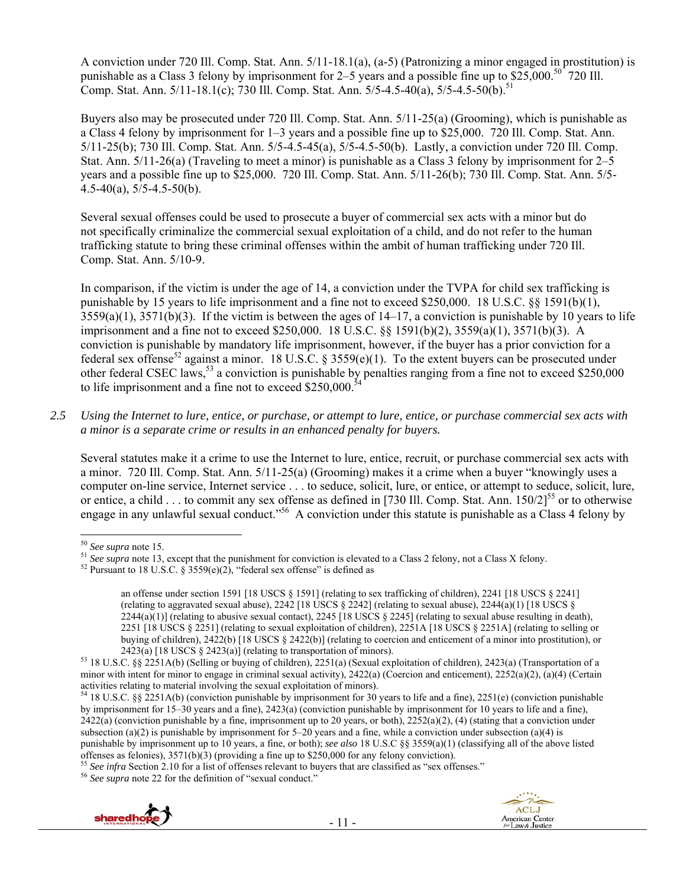A conviction under 720 Ill. Comp. Stat. Ann. 5/11-18.1(a), (a-5) (Patronizing a minor engaged in prostitution) is punishable as a Class 3 felony by imprisonment for  $2-5$  years and a possible fine up to \$25,000.<sup>50</sup> 720 Ill. Comp. Stat. Ann. 5/11-18.1(c); 730 Ill. Comp. Stat. Ann. 5/5-4.5-40(a), 5/5-4.5-50(b).<sup>51</sup>

Buyers also may be prosecuted under 720 Ill. Comp. Stat. Ann. 5/11-25(a) (Grooming), which is punishable as a Class 4 felony by imprisonment for 1–3 years and a possible fine up to \$25,000. 720 Ill. Comp. Stat. Ann. 5/11-25(b); 730 Ill. Comp. Stat. Ann. 5/5-4.5-45(a), 5/5-4.5-50(b). Lastly, a conviction under 720 Ill. Comp. Stat. Ann. 5/11-26(a) (Traveling to meet a minor) is punishable as a Class 3 felony by imprisonment for 2–5 years and a possible fine up to \$25,000. 720 Ill. Comp. Stat. Ann. 5/11-26(b); 730 Ill. Comp. Stat. Ann. 5/5-  $4.5-40(a)$ ,  $5/5-4.5-50(b)$ .

Several sexual offenses could be used to prosecute a buyer of commercial sex acts with a minor but do not specifically criminalize the commercial sexual exploitation of a child, and do not refer to the human trafficking statute to bring these criminal offenses within the ambit of human trafficking under 720 Ill. Comp. Stat. Ann. 5/10-9.

In comparison, if the victim is under the age of 14, a conviction under the TVPA for child sex trafficking is punishable by 15 years to life imprisonment and a fine not to exceed \$250,000. 18 U.S.C. §§ 1591(b)(1),  $3559(a)(1)$ ,  $3571(b)(3)$ . If the victim is between the ages of  $14-17$ , a conviction is punishable by 10 years to life imprisonment and a fine not to exceed \$250,000. 18 U.S.C. §§ 1591(b)(2), 3559(a)(1), 3571(b)(3). A conviction is punishable by mandatory life imprisonment, however, if the buyer has a prior conviction for a federal sex offense<sup>52</sup> against a minor. 18 U.S.C. § 3559(e)(1). To the extent buyers can be prosecuted under other federal CSEC laws,  $53$  a conviction is punishable by penalties ranging from a fine not to exceed \$250,000 to life imprisonment and a fine not to exceed  $$250,000$ .<sup>54</sup>

*2.5 Using the Internet to lure, entice, or purchase, or attempt to lure, entice, or purchase commercial sex acts with a minor is a separate crime or results in an enhanced penalty for buyers.* 

Several statutes make it a crime to use the Internet to lure, entice, recruit, or purchase commercial sex acts with a minor. 720 Ill. Comp. Stat. Ann. 5/11-25(a) (Grooming) makes it a crime when a buyer "knowingly uses a computer on-line service, Internet service . . . to seduce, solicit, lure, or entice, or attempt to seduce, solicit, lure, or entice, a child . . . to commit any sex offense as defined in [730 Ill. Comp. Stat. Ann. 150/2]<sup>55</sup> or to otherwise engage in any unlawful sexual conduct."56 A conviction under this statute is punishable as a Class 4 felony by





<sup>&</sup>lt;sup>50</sup> See supra note 15.

<sup>&</sup>lt;sup>51</sup> See supra note 13, except that the punishment for conviction is elevated to a Class 2 felony, not a Class X felony.<br><sup>52</sup> Pursuant to 18 U.S.C. § 3559(e)(2), "federal sex offense" is defined as

an offense under section 1591 [18 USCS § 1591] (relating to sex trafficking of children), 2241 [18 USCS § 2241] (relating to aggravated sexual abuse),  $2242$  [18 USCS  $\S$  2242] (relating to sexual abuse),  $2244(a)(1)$  [18 USCS  $\S$  $2244(a)(1)$  (relating to abusive sexual contact),  $2245$  [18 USCS § 2245] (relating to sexual abuse resulting in death), 2251 [18 USCS § 2251] (relating to sexual exploitation of children), 2251A [18 USCS § 2251A] (relating to selling or buying of children), 2422(b) [18 USCS § 2422(b)] (relating to coercion and enticement of a minor into prostitution), or

<sup>2423(</sup>a) [18 USCS § 2423(a)] (relating to transportation of minors). 53 18 U.S.C. §§ 2251A(b) (Selling or buying of children), 2251(a) (Sexual exploitation of children), 2423(a) (Transportation of a minor with intent for minor to engage in criminal sexual activity), 2422(a) (Coercion and enticement), 2252(a)(2), (a)(4) (Certain activities relating to material involving the sexual exploitation of minors).

<sup>54 18</sup> U.S.C. §§ 2251A(b) (conviction punishable by imprisonment for 30 years to life and a fine), 2251(e) (conviction punishable by imprisonment for 15–30 years and a fine), 2423(a) (conviction punishable by imprisonment for 10 years to life and a fine),  $2422(a)$  (conviction punishable by a fine, imprisonment up to 20 years, or both),  $2252(a)(2)$ , (4) (stating that a conviction under subsection (a)(2) is punishable by imprisonment for  $5-20$  years and a fine, while a conviction under subsection (a)(4) is punishable by imprisonment up to 10 years, a fine, or both); *see also* 18 U.S.C §§ 3559(a)(1) (classifying all of the above listed offenses as felonies), 3571(b)(3) (providing a fine up to \$250,000 for any felony convicti

<sup>&</sup>lt;sup>55</sup> See infra Section 2.10 for a list of offenses relevant to buyers that are classified as "sex offenses."<br><sup>56</sup> See supra note 22 for the definition of "sexual conduct."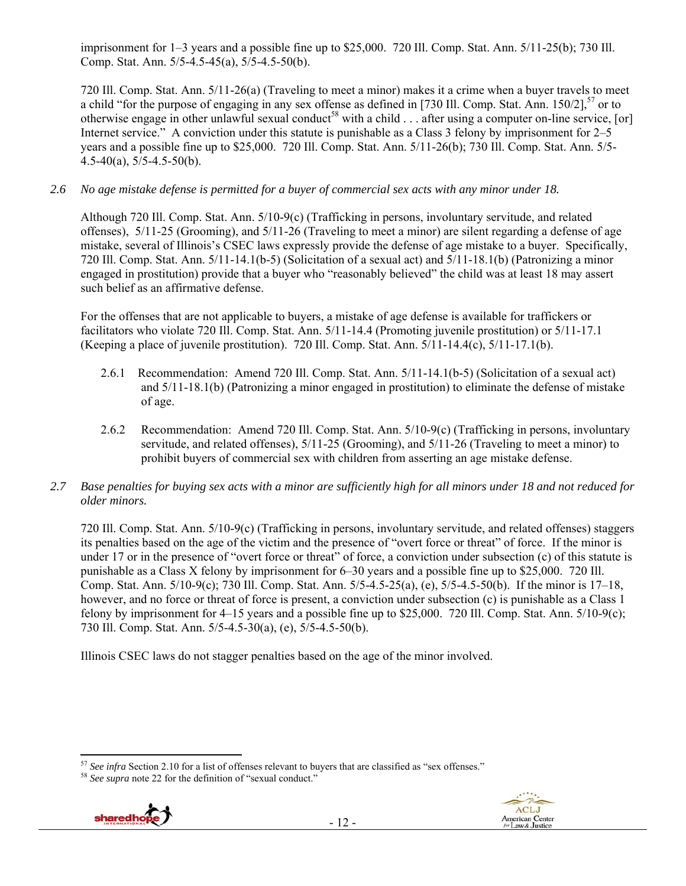imprisonment for 1–3 years and a possible fine up to \$25,000. 720 Ill. Comp. Stat. Ann. 5/11-25(b); 730 Ill. Comp. Stat. Ann. 5/5-4.5-45(a), 5/5-4.5-50(b).

720 Ill. Comp. Stat. Ann. 5/11-26(a) (Traveling to meet a minor) makes it a crime when a buyer travels to meet a child "for the purpose of engaging in any sex offense as defined in [730 Ill. Comp. Stat. Ann.  $150/2$ ],  $57$  or to otherwise engage in other unlawful sexual conduct<sup>58</sup> with a child  $\ldots$  after using a computer on-line service, [or] Internet service." A conviction under this statute is punishable as a Class 3 felony by imprisonment for 2–5 years and a possible fine up to \$25,000. 720 Ill. Comp. Stat. Ann. 5/11-26(b); 730 Ill. Comp. Stat. Ann. 5/5-  $4.5-40(a)$ ,  $5/5-4.5-50(b)$ .

#### *2.6 No age mistake defense is permitted for a buyer of commercial sex acts with any minor under 18.*

Although 720 Ill. Comp. Stat. Ann. 5/10-9(c) (Trafficking in persons, involuntary servitude, and related offenses), 5/11-25 (Grooming), and 5/11-26 (Traveling to meet a minor) are silent regarding a defense of age mistake, several of Illinois's CSEC laws expressly provide the defense of age mistake to a buyer. Specifically, 720 Ill. Comp. Stat. Ann. 5/11-14.1(b-5) (Solicitation of a sexual act) and 5/11-18.1(b) (Patronizing a minor engaged in prostitution) provide that a buyer who "reasonably believed" the child was at least 18 may assert such belief as an affirmative defense.

For the offenses that are not applicable to buyers, a mistake of age defense is available for traffickers or facilitators who violate 720 Ill. Comp. Stat. Ann. 5/11-14.4 (Promoting juvenile prostitution) or 5/11-17.1 (Keeping a place of juvenile prostitution). 720 Ill. Comp. Stat. Ann. 5/11-14.4(c), 5/11-17.1(b).

- 2.6.1 Recommendation: Amend 720 Ill. Comp. Stat. Ann. 5/11-14.1(b-5) (Solicitation of a sexual act) and 5/11-18.1(b) (Patronizing a minor engaged in prostitution) to eliminate the defense of mistake of age.
- 2.6.2 Recommendation: Amend 720 Ill. Comp. Stat. Ann. 5/10-9(c) (Trafficking in persons, involuntary servitude, and related offenses), 5/11-25 (Grooming), and 5/11-26 (Traveling to meet a minor) to prohibit buyers of commercial sex with children from asserting an age mistake defense.
- *2.7 Base penalties for buying sex acts with a minor are sufficiently high for all minors under 18 and not reduced for older minors.*

720 Ill. Comp. Stat. Ann. 5/10-9(c) (Trafficking in persons, involuntary servitude, and related offenses) staggers its penalties based on the age of the victim and the presence of "overt force or threat" of force. If the minor is under 17 or in the presence of "overt force or threat" of force, a conviction under subsection (c) of this statute is punishable as a Class X felony by imprisonment for 6–30 years and a possible fine up to \$25,000. 720 Ill. Comp. Stat. Ann. 5/10-9(c); 730 Ill. Comp. Stat. Ann. 5/5-4.5-25(a), (e), 5/5-4.5-50(b). If the minor is 17–18, however, and no force or threat of force is present, a conviction under subsection (c) is punishable as a Class 1 felony by imprisonment for 4–15 years and a possible fine up to \$25,000. 720 Ill. Comp. Stat. Ann. 5/10-9(c); 730 Ill. Comp. Stat. Ann. 5/5-4.5-30(a), (e), 5/5-4.5-50(b).

Illinois CSEC laws do not stagger penalties based on the age of the minor involved.





 $\overline{a}$ <sup>57</sup> See infra Section 2.10 for a list of offenses relevant to buyers that are classified as "sex offenses." See supra note 22 for the definition of "sexual conduct."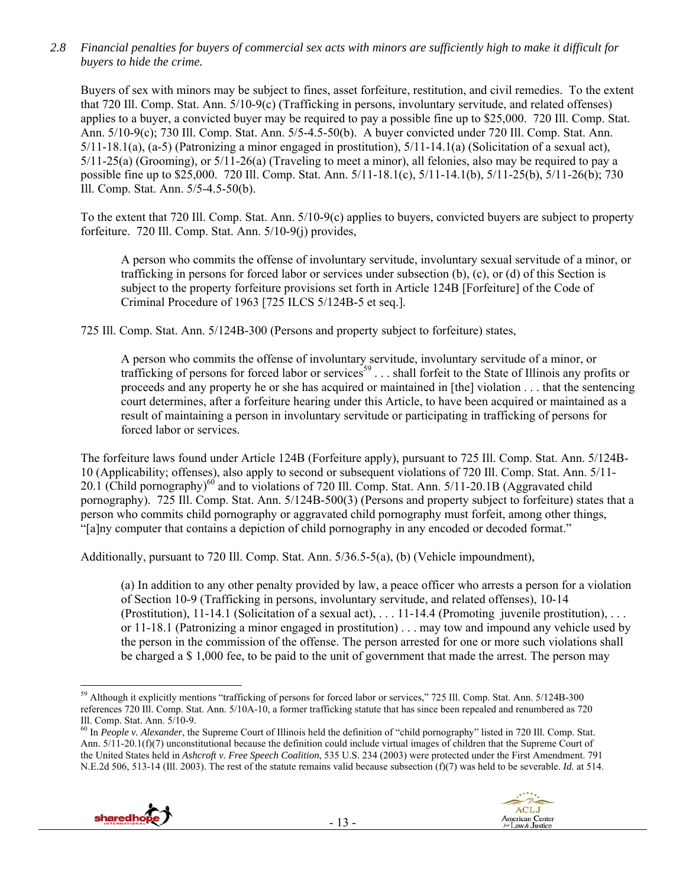*2.8 Financial penalties for buyers of commercial sex acts with minors are sufficiently high to make it difficult for buyers to hide the crime.* 

Buyers of sex with minors may be subject to fines, asset forfeiture, restitution, and civil remedies. To the extent that 720 Ill. Comp. Stat. Ann. 5/10-9(c) (Trafficking in persons, involuntary servitude, and related offenses) applies to a buyer, a convicted buyer may be required to pay a possible fine up to \$25,000. 720 Ill. Comp. Stat. Ann. 5/10-9(c); 730 Ill. Comp. Stat. Ann. 5/5-4.5-50(b). A buyer convicted under 720 Ill. Comp. Stat. Ann.  $5/11-18.1(a)$ , (a-5) (Patronizing a minor engaged in prostitution),  $5/11-14.1(a)$  (Solicitation of a sexual act), 5/11-25(a) (Grooming), or 5/11-26(a) (Traveling to meet a minor), all felonies, also may be required to pay a possible fine up to \$25,000. 720 Ill. Comp. Stat. Ann. 5/11-18.1(c), 5/11-14.1(b), 5/11-25(b), 5/11-26(b); 730 Ill. Comp. Stat. Ann. 5/5-4.5-50(b).

To the extent that 720 Ill. Comp. Stat. Ann. 5/10-9(c) applies to buyers, convicted buyers are subject to property forfeiture. 720 Ill. Comp. Stat. Ann. 5/10-9(j) provides,

A person who commits the offense of involuntary servitude, involuntary sexual servitude of a minor, or trafficking in persons for forced labor or services under subsection (b), (c), or (d) of this Section is subject to the property forfeiture provisions set forth in Article 124B [Forfeiture] of the Code of Criminal Procedure of 1963 [725 ILCS 5/124B-5 et seq.].

725 Ill. Comp. Stat. Ann. 5/124B-300 (Persons and property subject to forfeiture) states,

A person who commits the offense of involuntary servitude, involuntary servitude of a minor, or trafficking of persons for forced labor or services<sup>59</sup> . . . shall forfeit to the State of Illinois any profits or proceeds and any property he or she has acquired or maintained in [the] violation . . . that the sentencing court determines, after a forfeiture hearing under this Article, to have been acquired or maintained as a result of maintaining a person in involuntary servitude or participating in trafficking of persons for forced labor or services.

The forfeiture laws found under Article 124B (Forfeiture apply), pursuant to 725 Ill. Comp. Stat. Ann. 5/124B-10 (Applicability; offenses), also apply to second or subsequent violations of 720 Ill. Comp. Stat. Ann. 5/11- 20.1 (Child pornography)<sup>60</sup> and to violations of 720 Ill. Comp. Stat. Ann.  $5/11$ -20.1B (Aggravated child pornography). 725 Ill. Comp. Stat. Ann. 5/124B-500(3) (Persons and property subject to forfeiture) states that a person who commits child pornography or aggravated child pornography must forfeit, among other things, "[a]ny computer that contains a depiction of child pornography in any encoded or decoded format."

Additionally, pursuant to 720 Ill. Comp. Stat. Ann. 5/36.5-5(a), (b) (Vehicle impoundment),

(a) In addition to any other penalty provided by law, a peace officer who arrests a person for a violation of Section 10-9 (Trafficking in persons, involuntary servitude, and related offenses), 10-14 (Prostitution),  $11-14.1$  (Solicitation of a sexual act), ...  $11-14.4$  (Promoting juvenile prostitution), ... or 11-18.1 (Patronizing a minor engaged in prostitution) . . . may tow and impound any vehicle used by the person in the commission of the offense. The person arrested for one or more such violations shall be charged a \$ 1,000 fee, to be paid to the unit of government that made the arrest. The person may

<sup>&</sup>lt;sup>60</sup> In People v. Alexander, the Supreme Court of Illinois held the definition of "child pornography" listed in 720 Ill. Comp. Stat. Ann. 5/11-20.1(f)(7) unconstitutional because the definition could include virtual images of children that the Supreme Court of the United States held in *Ashcroft v. Free Speech Coalition*, 535 U.S. 234 (2003) were protected under the First Amendment. 791 N.E.2d 506, 513-14 (Ill. 2003). The rest of the statute remains valid because subsection (f)(7) was held to be severable. *Id.* at 514.





 $\overline{a}$ <sup>59</sup> Although it explicitly mentions "trafficking of persons for forced labor or services," 725 Ill. Comp. Stat. Ann. 5/124B-300 references 720 Ill. Comp. Stat. Ann. 5/10A-10, a former trafficking statute that has since been repealed and renumbered as 720 Ill. Comp. Stat. Ann. 5/10-9.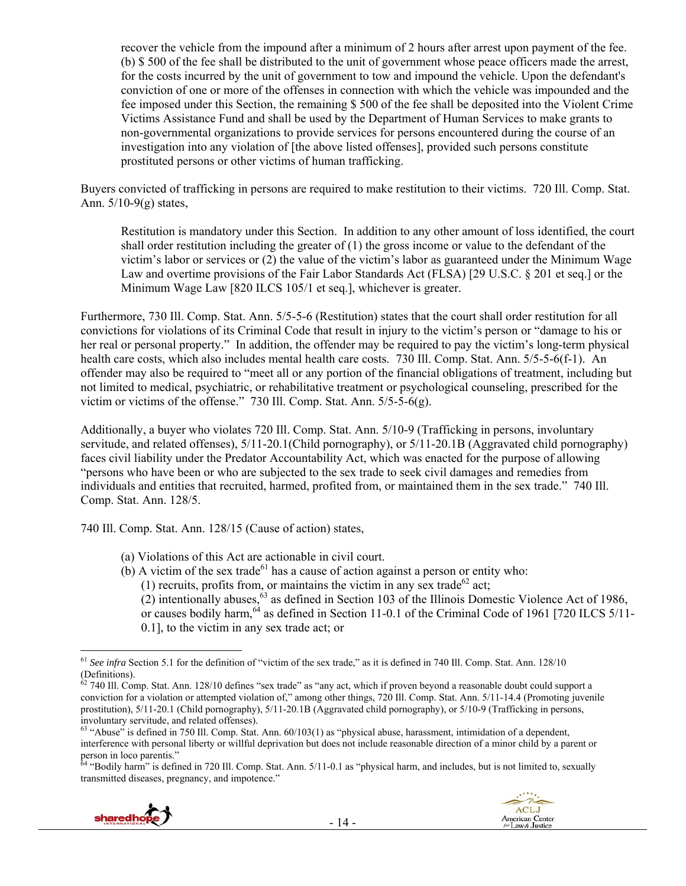recover the vehicle from the impound after a minimum of 2 hours after arrest upon payment of the fee. (b) \$ 500 of the fee shall be distributed to the unit of government whose peace officers made the arrest, for the costs incurred by the unit of government to tow and impound the vehicle. Upon the defendant's conviction of one or more of the offenses in connection with which the vehicle was impounded and the fee imposed under this Section, the remaining \$ 500 of the fee shall be deposited into the Violent Crime Victims Assistance Fund and shall be used by the Department of Human Services to make grants to non-governmental organizations to provide services for persons encountered during the course of an investigation into any violation of [the above listed offenses], provided such persons constitute prostituted persons or other victims of human trafficking.

Buyers convicted of trafficking in persons are required to make restitution to their victims. 720 Ill. Comp. Stat. Ann. 5/10-9(g) states,

Restitution is mandatory under this Section. In addition to any other amount of loss identified, the court shall order restitution including the greater of  $(1)$  the gross income or value to the defendant of the victim's labor or services or (2) the value of the victim's labor as guaranteed under the Minimum Wage Law and overtime provisions of the Fair Labor Standards Act (FLSA) [29 U.S.C. § 201 et seq.] or the Minimum Wage Law [820 ILCS 105/1 et seq.], whichever is greater.

Furthermore, 730 Ill. Comp. Stat. Ann. 5/5-5-6 (Restitution) states that the court shall order restitution for all convictions for violations of its Criminal Code that result in injury to the victim's person or "damage to his or her real or personal property." In addition, the offender may be required to pay the victim's long-term physical health care costs, which also includes mental health care costs. 730 Ill. Comp. Stat. Ann. 5/5-5-6(f-1). An offender may also be required to "meet all or any portion of the financial obligations of treatment, including but not limited to medical, psychiatric, or rehabilitative treatment or psychological counseling, prescribed for the victim or victims of the offense." 730 Ill. Comp. Stat. Ann. 5/5-5-6(g).

Additionally, a buyer who violates 720 Ill. Comp. Stat. Ann. 5/10-9 (Trafficking in persons, involuntary servitude, and related offenses), 5/11-20.1(Child pornography), or 5/11-20.1B (Aggravated child pornography) faces civil liability under the Predator Accountability Act, which was enacted for the purpose of allowing "persons who have been or who are subjected to the sex trade to seek civil damages and remedies from individuals and entities that recruited, harmed, profited from, or maintained them in the sex trade." 740 Ill. Comp. Stat. Ann. 128/5.

740 Ill. Comp. Stat. Ann. 128/15 (Cause of action) states,

- (a) Violations of this Act are actionable in civil court.
- (b) A victim of the sex trade<sup>61</sup> has a cause of action against a person or entity who:
	- (1) recruits, profits from, or maintains the victim in any sex trade<sup>62</sup> act;

 $(2)$  intentionally abuses,<sup>63</sup> as defined in Section 103 of the Illinois Domestic Violence Act of 1986, or causes bodily harm,  $64$  as defined in Section 11-0.1 of the Criminal Code of 1961 [720 ILCS 5/11-0.1], to the victim in any sex trade act; or

<sup>&</sup>lt;sup>64</sup> "Bodily harm" is defined in 720 Ill. Comp. Stat. Ann. 5/11-0.1 as "physical harm, and includes, but is not limited to, sexually transmitted diseases, pregnancy, and impotence."



 $\overline{a}$ 



<sup>61</sup> *See infra* Section 5.1 for the definition of "victim of the sex trade," as it is defined in 740 Ill. Comp. Stat. Ann. 128/10 (Definitions).

<sup>62 740</sup> Ill. Comp. Stat. Ann. 128/10 defines "sex trade" as "any act, which if proven beyond a reasonable doubt could support a conviction for a violation or attempted violation of," among other things, 720 Ill. Comp. Stat. Ann. 5/11-14.4 (Promoting juvenile prostitution), 5/11-20.1 (Child pornography), 5/11-20.1B (Aggravated child pornography), or 5/10-9 (Trafficking in persons,

involuntary servitude, and related offenses).<br><sup>63</sup> "Abuse" is defined in 750 Ill. Comp. Stat. Ann. 60/103(1) as "physical abuse, harassment, intimidation of a dependent, interference with personal liberty or willful deprivation but does not include reasonable direction of a minor child by a parent or person in loco parentis."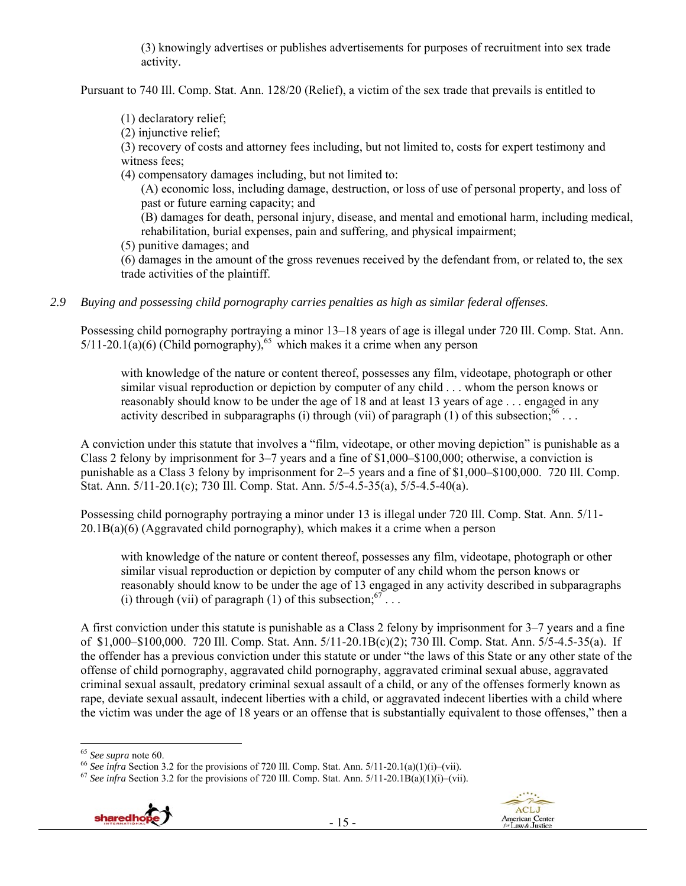(3) knowingly advertises or publishes advertisements for purposes of recruitment into sex trade activity.

Pursuant to 740 Ill. Comp. Stat. Ann. 128/20 (Relief), a victim of the sex trade that prevails is entitled to

(1) declaratory relief;

(2) injunctive relief;

(3) recovery of costs and attorney fees including, but not limited to, costs for expert testimony and witness fees;

(4) compensatory damages including, but not limited to:

(A) economic loss, including damage, destruction, or loss of use of personal property, and loss of past or future earning capacity; and

(B) damages for death, personal injury, disease, and mental and emotional harm, including medical, rehabilitation, burial expenses, pain and suffering, and physical impairment;

(5) punitive damages; and

(6) damages in the amount of the gross revenues received by the defendant from, or related to, the sex trade activities of the plaintiff.

*2.9 Buying and possessing child pornography carries penalties as high as similar federal offenses.* 

Possessing child pornography portraying a minor 13–18 years of age is illegal under 720 Ill. Comp. Stat. Ann.  $5/11-20.1(a)(6)$  (Child pornography),<sup>65</sup> which makes it a crime when any person

with knowledge of the nature or content thereof, possesses any film, videotape, photograph or other similar visual reproduction or depiction by computer of any child . . . whom the person knows or reasonably should know to be under the age of 18 and at least 13 years of age . . . engaged in any activity described in subparagraphs (i) through (vii) of paragraph (1) of this subsection; $^{66}$ ...

A conviction under this statute that involves a "film, videotape, or other moving depiction" is punishable as a Class 2 felony by imprisonment for 3–7 years and a fine of \$1,000–\$100,000; otherwise, a conviction is punishable as a Class 3 felony by imprisonment for 2–5 years and a fine of \$1,000–\$100,000. 720 Ill. Comp. Stat. Ann. 5/11-20.1(c); 730 Ill. Comp. Stat. Ann. 5/5-4.5-35(a), 5/5-4.5-40(a).

Possessing child pornography portraying a minor under 13 is illegal under 720 Ill. Comp. Stat. Ann. 5/11-  $20.1B(a)(6)$  (Aggravated child pornography), which makes it a crime when a person

with knowledge of the nature or content thereof, possesses any film, videotape, photograph or other similar visual reproduction or depiction by computer of any child whom the person knows or reasonably should know to be under the age of 13 engaged in any activity described in subparagraphs (i) through (vii) of paragraph (1) of this subsection:  $67$ 

A first conviction under this statute is punishable as a Class 2 felony by imprisonment for 3–7 years and a fine of \$1,000–\$100,000. 720 Ill. Comp. Stat. Ann. 5/11-20.1B(c)(2); 730 Ill. Comp. Stat. Ann. 5/5-4.5-35(a). If the offender has a previous conviction under this statute or under "the laws of this State or any other state of the offense of child pornography, aggravated child pornography, aggravated criminal sexual abuse, aggravated criminal sexual assault, predatory criminal sexual assault of a child, or any of the offenses formerly known as rape, deviate sexual assault, indecent liberties with a child, or aggravated indecent liberties with a child where the victim was under the age of 18 years or an offense that is substantially equivalent to those offenses," then a





<sup>&</sup>lt;sup>65</sup> See supra note 60.

<sup>&</sup>lt;sup>66</sup> See infra Section 3.2 for the provisions of 720 Ill. Comp. Stat. Ann. 5/11-20.1(a)(1)(i)–(vii).<br><sup>67</sup> See infra Section 3.2 for the provisions of 720 Ill. Comp. Stat. Ann. 5/11-20.1B(a)(1)(i)–(vii).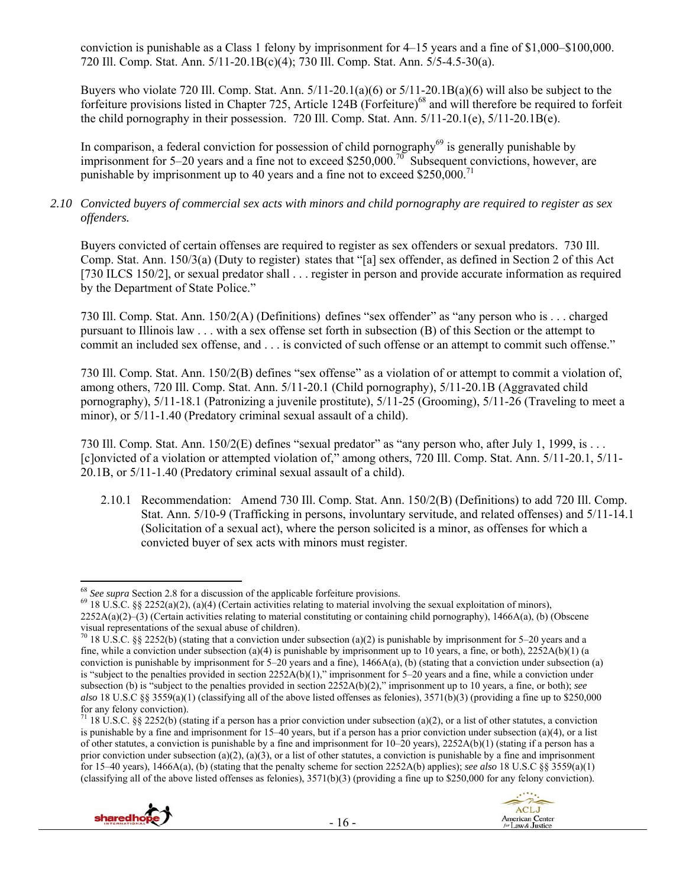conviction is punishable as a Class 1 felony by imprisonment for 4–15 years and a fine of \$1,000–\$100,000. 720 Ill. Comp. Stat. Ann. 5/11-20.1B(c)(4); 730 Ill. Comp. Stat. Ann. 5/5-4.5-30(a).

Buyers who violate 720 Ill. Comp. Stat. Ann. 5/11-20.1(a)(6) or 5/11-20.1B(a)(6) will also be subject to the forfeiture provisions listed in Chapter 725, Article 124B (Forfeiture)<sup>68</sup> and will therefore be required to forfeit the child pornography in their possession. 720 Ill. Comp. Stat. Ann. 5/11-20.1(e), 5/11-20.1B(e).

In comparison, a federal conviction for possession of child pornography<sup>69</sup> is generally punishable by imprisonment for 5–20 years and a fine not to exceed \$250,000.<sup>70</sup> Subsequent convictions, however, are punishable by imprisonment up to 40 years and a fine not to exceed  $$250,000.<sup>71</sup>$ 

#### *2.10 Convicted buyers of commercial sex acts with minors and child pornography are required to register as sex offenders.*

Buyers convicted of certain offenses are required to register as sex offenders or sexual predators. 730 Ill. Comp. Stat. Ann. 150/3(a) (Duty to register) states that "[a] sex offender, as defined in Section 2 of this Act [730 ILCS 150/2], or sexual predator shall . . . register in person and provide accurate information as required by the Department of State Police."

730 Ill. Comp. Stat. Ann. 150/2(A) (Definitions) defines "sex offender" as "any person who is . . . charged pursuant to Illinois law . . . with a sex offense set forth in subsection (B) of this Section or the attempt to commit an included sex offense, and . . . is convicted of such offense or an attempt to commit such offense."

730 Ill. Comp. Stat. Ann. 150/2(B) defines "sex offense" as a violation of or attempt to commit a violation of, among others, 720 Ill. Comp. Stat. Ann. 5/11-20.1 (Child pornography), 5/11-20.1B (Aggravated child pornography), 5/11-18.1 (Patronizing a juvenile prostitute), 5/11-25 (Grooming), 5/11-26 (Traveling to meet a minor), or 5/11-1.40 (Predatory criminal sexual assault of a child).

730 Ill. Comp. Stat. Ann. 150/2(E) defines "sexual predator" as "any person who, after July 1, 1999, is . . . [c]onvicted of a violation or attempted violation of," among others, 720 Ill. Comp. Stat. Ann. 5/11-20.1, 5/11- 20.1B, or 5/11-1.40 (Predatory criminal sexual assault of a child).

2.10.1 Recommendation: Amend 730 Ill. Comp. Stat. Ann. 150/2(B) (Definitions) to add 720 Ill. Comp. Stat. Ann. 5/10-9 (Trafficking in persons, involuntary servitude, and related offenses) and 5/11-14.1 (Solicitation of a sexual act), where the person solicited is a minor, as offenses for which a convicted buyer of sex acts with minors must register.

<sup>&</sup>lt;sup>71</sup> 18 U.S.C. §§ 2252(b) (stating if a person has a prior conviction under subsection (a)(2), or a list of other statutes, a conviction is punishable by a fine and imprisonment for  $15-40$  years, but if a person has a prior conviction under subsection (a)(4), or a list of other statutes, a conviction is punishable by a fine and imprisonment for  $10-20$  years),  $2252A(b)(1)$  (stating if a person has a prior conviction under subsection (a)(2), (a)(3), or a list of other statutes, a conviction is punishable by a fine and imprisonment for 15–40 years), 1466A(a), (b) (stating that the penalty scheme for section 2252A(b) applies); *see also* 18 U.S.C §§ 3559(a)(1) (classifying all of the above listed offenses as felonies),  $3571(b)(3)$  (providing a fine up to \$250,000 for any felony conviction).





 $68$  See supra Section 2.8 for a discussion of the applicable forfeiture provisions.

<sup>&</sup>lt;sup>69</sup> 18 U.S.C. §§ 2252(a)(2), (a)(4) (Certain activities relating to material involving the sexual exploitation of minors),

<sup>2252</sup>A(a)(2)–(3) (Certain activities relating to material constituting or containing child pornography), 1466A(a), (b) (Obscene visual representations of the sexual abuse of children).

<sup>&</sup>lt;sup>70</sup> 18 U.S.C. §§ 2252(b) (stating that a conviction under subsection (a)(2) is punishable by imprisonment for 5–20 years and a fine, while a conviction under subsection (a)(4) is punishable by imprisonment up to 10 years, a fine, or both),  $2252A(b)(1)$  (a conviction is punishable by imprisonment for  $5-20$  years and a fine), 1466A(a), (b) (stating that a conviction under subsection (a) is "subject to the penalties provided in section 2252A(b)(1)," imprisonment for 5–20 years and a fine, while a conviction under subsection (b) is "subject to the penalties provided in section 2252A(b)(2)," imprisonment up to 10 years, a fine, or both); *see also* 18 U.S.C §§ 3559(a)(1) (classifying all of the above listed offenses as felonies), 3571(b)(3) (providing a fine up to \$250,000 for any felony conviction).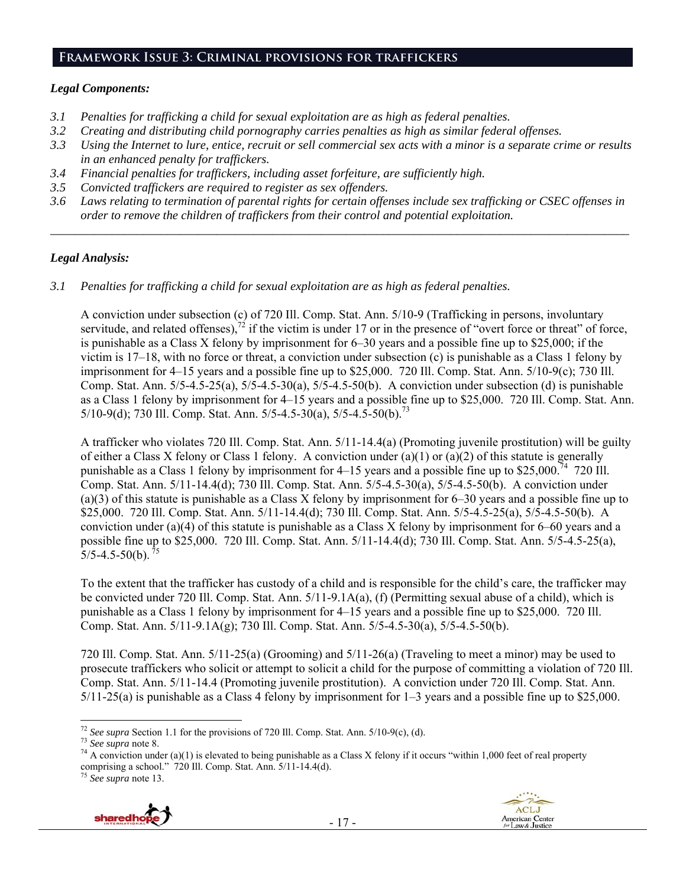#### **Framework Issue 3: Criminal provisions for traffickers**

#### *Legal Components:*

- *3.1 Penalties for trafficking a child for sexual exploitation are as high as federal penalties.*
- *3.2 Creating and distributing child pornography carries penalties as high as similar federal offenses.*
- *3.3 Using the Internet to lure, entice, recruit or sell commercial sex acts with a minor is a separate crime or results in an enhanced penalty for traffickers.*
- *3.4 Financial penalties for traffickers, including asset forfeiture, are sufficiently high.*
- *3.5 Convicted traffickers are required to register as sex offenders.*
- *3.6 Laws relating to termination of parental rights for certain offenses include sex trafficking or CSEC offenses in order to remove the children of traffickers from their control and potential exploitation. \_\_\_\_\_\_\_\_\_\_\_\_\_\_\_\_\_\_\_\_\_\_\_\_\_\_\_\_\_\_\_\_\_\_\_\_\_\_\_\_\_\_\_\_\_\_\_\_\_\_\_\_\_\_\_\_\_\_\_\_\_\_\_\_\_\_\_\_\_\_\_\_\_\_\_\_\_\_\_\_\_\_\_\_\_\_\_\_\_\_\_\_\_\_*

#### *Legal Analysis:*

*3.1 Penalties for trafficking a child for sexual exploitation are as high as federal penalties.* 

A conviction under subsection (c) of 720 Ill. Comp. Stat. Ann. 5/10-9 (Trafficking in persons, involuntary servitude, and related offenses), $^{72}$  if the victim is under 17 or in the presence of "overt force or threat" of force, is punishable as a Class X felony by imprisonment for 6–30 years and a possible fine up to \$25,000; if the victim is 17–18, with no force or threat, a conviction under subsection (c) is punishable as a Class 1 felony by imprisonment for 4–15 years and a possible fine up to \$25,000. 720 Ill. Comp. Stat. Ann. 5/10-9(c); 730 Ill. Comp. Stat. Ann.  $5/5-4.5-25(a)$ ,  $5/5-4.5-30(a)$ ,  $5/5-4.5-50(b)$ . A conviction under subsection (d) is punishable as a Class 1 felony by imprisonment for 4–15 years and a possible fine up to \$25,000. 720 Ill. Comp. Stat. Ann. 5/10-9(d); 730 Ill. Comp. Stat. Ann. 5/5-4.5-30(a), 5/5-4.5-50(b).73

A trafficker who violates 720 Ill. Comp. Stat. Ann. 5/11-14.4(a) (Promoting juvenile prostitution) will be guilty of either a Class X felony or Class 1 felony. A conviction under (a)(1) or (a)(2) of this statute is generally punishable as a Class 1 felony by imprisonment for 4–15 years and a possible fine up to  $$25,000$ .<sup>74</sup> 720 Ill. Comp. Stat. Ann. 5/11-14.4(d); 730 Ill. Comp. Stat. Ann. 5/5-4.5-30(a), 5/5-4.5-50(b). A conviction under (a)(3) of this statute is punishable as a Class X felony by imprisonment for 6–30 years and a possible fine up to \$25,000. 720 Ill. Comp. Stat. Ann. 5/11-14.4(d); 730 Ill. Comp. Stat. Ann. 5/5-4.5-25(a), 5/5-4.5-50(b). A conviction under (a)(4) of this statute is punishable as a Class X felony by imprisonment for 6–60 years and a possible fine up to \$25,000. 720 Ill. Comp. Stat. Ann. 5/11-14.4(d); 730 Ill. Comp. Stat. Ann. 5/5-4.5-25(a),  $5/5 - 4.5 - 50(b)$ .

To the extent that the trafficker has custody of a child and is responsible for the child's care, the trafficker may be convicted under 720 Ill. Comp. Stat. Ann. 5/11-9.1A(a), (f) (Permitting sexual abuse of a child), which is punishable as a Class 1 felony by imprisonment for 4–15 years and a possible fine up to \$25,000. 720 Ill. Comp. Stat. Ann. 5/11-9.1A(g); 730 Ill. Comp. Stat. Ann. 5/5-4.5-30(a), 5/5-4.5-50(b).

720 Ill. Comp. Stat. Ann. 5/11-25(a) (Grooming) and 5/11-26(a) (Traveling to meet a minor) may be used to prosecute traffickers who solicit or attempt to solicit a child for the purpose of committing a violation of 720 Ill. Comp. Stat. Ann. 5/11-14.4 (Promoting juvenile prostitution). A conviction under 720 Ill. Comp. Stat. Ann. 5/11-25(a) is punishable as a Class 4 felony by imprisonment for 1–3 years and a possible fine up to \$25,000.





<sup>&</sup>lt;sup>72</sup> See supra Section 1.1 for the provisions of 720 Ill. Comp. Stat. Ann.  $5/10-9(c)$ , (d).

<sup>&</sup>lt;sup>73</sup> See supra note 8.<br><sup>74</sup> A conviction under (a)(1) is elevated to being punishable as a Class X felony if it occurs "within 1,000 feet of real property comprising a school." 720 Ill. Comp. Stat. Ann. 5/11-14.4(d).<sup>75</sup> *See supra* note 13.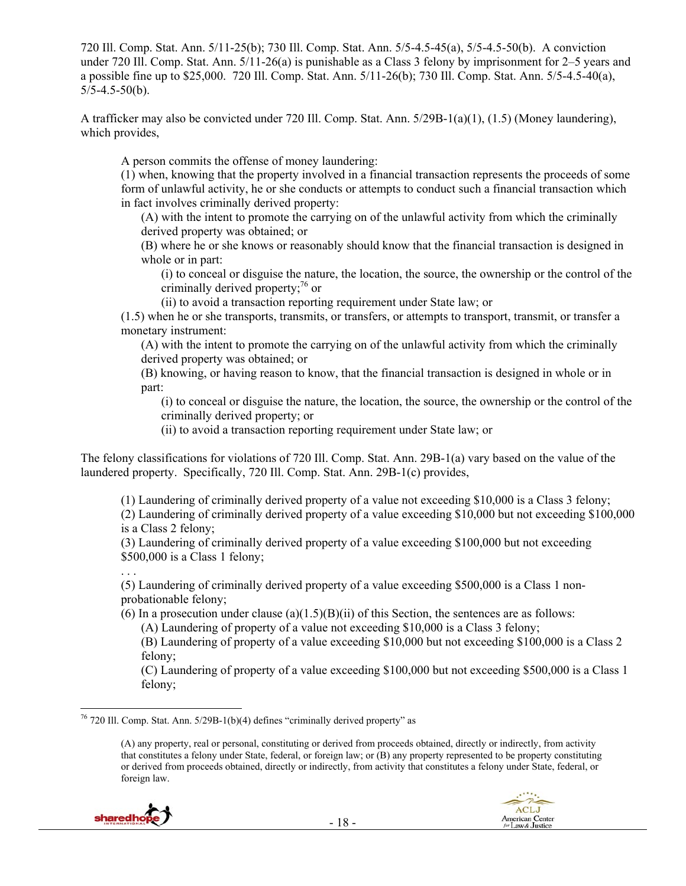720 Ill. Comp. Stat. Ann. 5/11-25(b); 730 Ill. Comp. Stat. Ann. 5/5-4.5-45(a), 5/5-4.5-50(b). A conviction under 720 Ill. Comp. Stat. Ann. 5/11-26(a) is punishable as a Class 3 felony by imprisonment for 2–5 years and a possible fine up to \$25,000. 720 Ill. Comp. Stat. Ann. 5/11-26(b); 730 Ill. Comp. Stat. Ann. 5/5-4.5-40(a),  $5/5 - 4.5 - 50(b)$ .

A trafficker may also be convicted under 720 Ill. Comp. Stat. Ann. 5/29B-1(a)(1), (1.5) (Money laundering), which provides,

A person commits the offense of money laundering:

(1) when, knowing that the property involved in a financial transaction represents the proceeds of some form of unlawful activity, he or she conducts or attempts to conduct such a financial transaction which in fact involves criminally derived property:

(A) with the intent to promote the carrying on of the unlawful activity from which the criminally derived property was obtained; or

(B) where he or she knows or reasonably should know that the financial transaction is designed in whole or in part:

(i) to conceal or disguise the nature, the location, the source, the ownership or the control of the criminally derived property; $^{76}$  or

(ii) to avoid a transaction reporting requirement under State law; or

(1.5) when he or she transports, transmits, or transfers, or attempts to transport, transmit, or transfer a monetary instrument:

(A) with the intent to promote the carrying on of the unlawful activity from which the criminally derived property was obtained; or

(B) knowing, or having reason to know, that the financial transaction is designed in whole or in part:

(i) to conceal or disguise the nature, the location, the source, the ownership or the control of the criminally derived property; or

(ii) to avoid a transaction reporting requirement under State law; or

The felony classifications for violations of 720 Ill. Comp. Stat. Ann. 29B-1(a) vary based on the value of the laundered property. Specifically, 720 Ill. Comp. Stat. Ann. 29B-1(c) provides,

(1) Laundering of criminally derived property of a value not exceeding \$10,000 is a Class 3 felony;

(2) Laundering of criminally derived property of a value exceeding \$10,000 but not exceeding \$100,000 is a Class 2 felony;

(3) Laundering of criminally derived property of a value exceeding \$100,000 but not exceeding \$500,000 is a Class 1 felony;

. . . (5) Laundering of criminally derived property of a value exceeding \$500,000 is a Class 1 nonprobationable felony;

(6) In a prosecution under clause (a) $(1.5)$ (B)(ii) of this Section, the sentences are as follows:

(A) Laundering of property of a value not exceeding \$10,000 is a Class 3 felony;

(B) Laundering of property of a value exceeding \$10,000 but not exceeding \$100,000 is a Class 2 felony;

(C) Laundering of property of a value exceeding \$100,000 but not exceeding \$500,000 is a Class 1 felony;

<sup>(</sup>A) any property, real or personal, constituting or derived from proceeds obtained, directly or indirectly, from activity that constitutes a felony under State, federal, or foreign law; or (B) any property represented to be property constituting or derived from proceeds obtained, directly or indirectly, from activity that constitutes a felony under State, federal, or foreign law.





 $\overline{a}$  $76$  720 Ill. Comp. Stat. Ann.  $5/29B-1(b)(4)$  defines "criminally derived property" as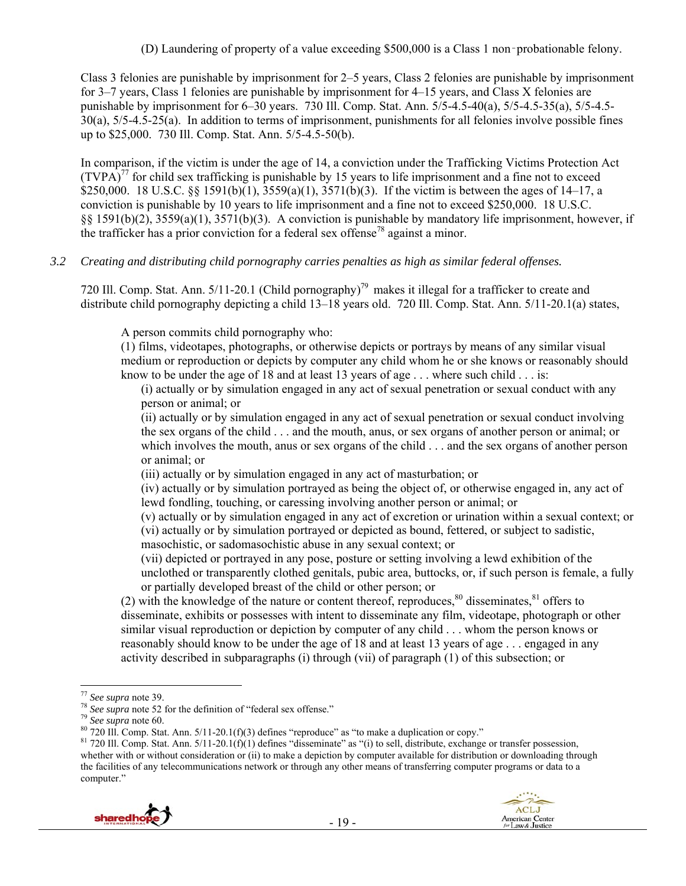(D) Laundering of property of a value exceeding \$500,000 is a Class 1 non‑probationable felony.

Class 3 felonies are punishable by imprisonment for 2–5 years, Class 2 felonies are punishable by imprisonment for 3–7 years, Class 1 felonies are punishable by imprisonment for 4–15 years, and Class X felonies are punishable by imprisonment for 6–30 years. 730 Ill. Comp. Stat. Ann. 5/5-4.5-40(a), 5/5-4.5-35(a), 5/5-4.5- 30(a), 5/5-4.5-25(a). In addition to terms of imprisonment, punishments for all felonies involve possible fines up to \$25,000. 730 Ill. Comp. Stat. Ann. 5/5-4.5-50(b).

In comparison, if the victim is under the age of 14, a conviction under the Trafficking Victims Protection Act  $(TVPA)<sup>77</sup>$  for child sex trafficking is punishable by 15 years to life imprisonment and a fine not to exceed \$250,000. 18 U.S.C. §§ 1591(b)(1), 3559(a)(1), 3571(b)(3). If the victim is between the ages of 14–17, a conviction is punishable by 10 years to life imprisonment and a fine not to exceed \$250,000. 18 U.S.C. §§ 1591(b)(2), 3559(a)(1), 3571(b)(3). A conviction is punishable by mandatory life imprisonment, however, if the trafficker has a prior conviction for a federal sex offense<sup>78</sup> against a minor.

## *3.2 Creating and distributing child pornography carries penalties as high as similar federal offenses.*

720 Ill. Comp. Stat. Ann.  $5/11$ -20.1 (Child pornography)<sup>79</sup> makes it illegal for a trafficker to create and distribute child pornography depicting a child 13–18 years old. 720 Ill. Comp. Stat. Ann. 5/11-20.1(a) states,

A person commits child pornography who:

(1) films, videotapes, photographs, or otherwise depicts or portrays by means of any similar visual medium or reproduction or depicts by computer any child whom he or she knows or reasonably should know to be under the age of 18 and at least 13 years of age . . . where such child . . . is:

(i) actually or by simulation engaged in any act of sexual penetration or sexual conduct with any person or animal; or

(ii) actually or by simulation engaged in any act of sexual penetration or sexual conduct involving the sex organs of the child . . . and the mouth, anus, or sex organs of another person or animal; or which involves the mouth, anus or sex organs of the child . . . and the sex organs of another person or animal; or

(iii) actually or by simulation engaged in any act of masturbation; or

(iv) actually or by simulation portrayed as being the object of, or otherwise engaged in, any act of lewd fondling, touching, or caressing involving another person or animal; or

(v) actually or by simulation engaged in any act of excretion or urination within a sexual context; or (vi) actually or by simulation portrayed or depicted as bound, fettered, or subject to sadistic, masochistic, or sadomasochistic abuse in any sexual context; or

(vii) depicted or portrayed in any pose, posture or setting involving a lewd exhibition of the unclothed or transparently clothed genitals, pubic area, buttocks, or, if such person is female, a fully or partially developed breast of the child or other person; or

(2) with the knowledge of the nature or content thereof, reproduces, $80$  disseminates, $81$  offers to disseminate, exhibits or possesses with intent to disseminate any film, videotape, photograph or other similar visual reproduction or depiction by computer of any child . . . whom the person knows or reasonably should know to be under the age of 18 and at least 13 years of age . . . engaged in any activity described in subparagraphs (i) through (vii) of paragraph (1) of this subsection; or

<sup>&</sup>lt;sup>77</sup> See supra note 39.<br><sup>78</sup> See supra note 52 for the definition of "federal sex offense."<br><sup>79</sup> See supra note 60.<br><sup>80</sup> 720 Ill. Comp. Stat. Ann. 5/11-20.1(f)(3) defines "reproduce" as "to make a duplication or copy."<br><sup>8</sup> whether with or without consideration or (ii) to make a depiction by computer available for distribution or downloading through the facilities of any telecommunications network or through any other means of transferring computer programs or data to a computer."





 $\overline{a}$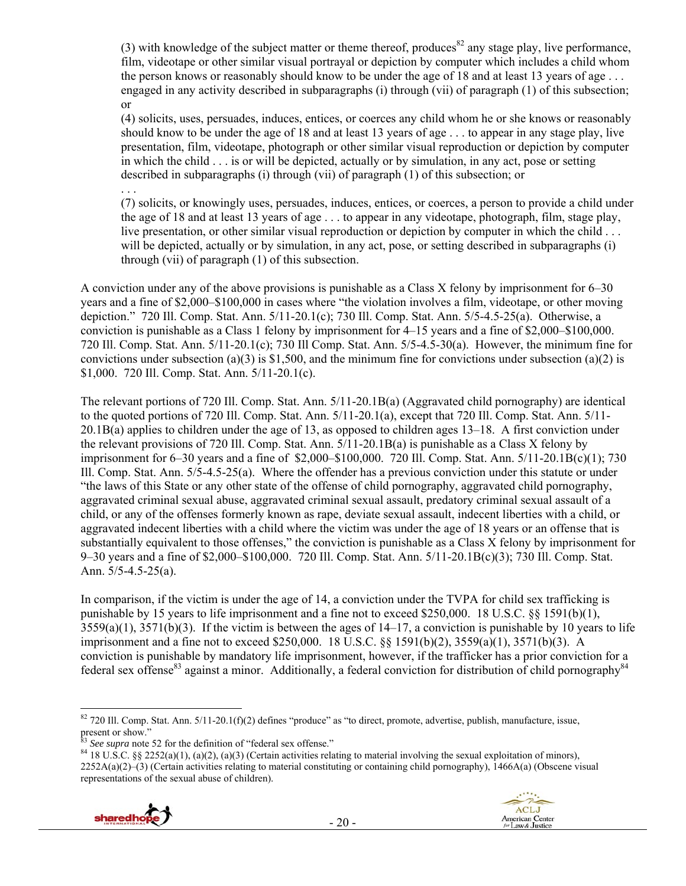(3) with knowledge of the subject matter or theme thereof, produces<sup>82</sup> any stage play, live performance, film, videotape or other similar visual portrayal or depiction by computer which includes a child whom the person knows or reasonably should know to be under the age of 18 and at least 13 years of age . . . engaged in any activity described in subparagraphs (i) through (vii) of paragraph (1) of this subsection; or

(4) solicits, uses, persuades, induces, entices, or coerces any child whom he or she knows or reasonably should know to be under the age of 18 and at least 13 years of age . . . to appear in any stage play, live presentation, film, videotape, photograph or other similar visual reproduction or depiction by computer in which the child . . . is or will be depicted, actually or by simulation, in any act, pose or setting described in subparagraphs (i) through (vii) of paragraph (1) of this subsection; or

(7) solicits, or knowingly uses, persuades, induces, entices, or coerces, a person to provide a child under the age of 18 and at least 13 years of age . . . to appear in any videotape, photograph, film, stage play, live presentation, or other similar visual reproduction or depiction by computer in which the child . . . will be depicted, actually or by simulation, in any act, pose, or setting described in subparagraphs (i) through (vii) of paragraph (1) of this subsection.

A conviction under any of the above provisions is punishable as a Class X felony by imprisonment for 6–30 years and a fine of \$2,000–\$100,000 in cases where "the violation involves a film, videotape, or other moving depiction." 720 Ill. Comp. Stat. Ann. 5/11-20.1(c); 730 Ill. Comp. Stat. Ann. 5/5-4.5-25(a). Otherwise, a conviction is punishable as a Class 1 felony by imprisonment for 4–15 years and a fine of \$2,000–\$100,000. 720 Ill. Comp. Stat. Ann. 5/11-20.1(c); 730 Ill Comp. Stat. Ann. 5/5-4.5-30(a). However, the minimum fine for convictions under subsection (a)(3) is \$1,500, and the minimum fine for convictions under subsection (a)(2) is \$1,000. 720 Ill. Comp. Stat. Ann. 5/11-20.1(c).

The relevant portions of 720 Ill. Comp. Stat. Ann. 5/11-20.1B(a) (Aggravated child pornography) are identical to the quoted portions of 720 Ill. Comp. Stat. Ann. 5/11-20.1(a), except that 720 Ill. Comp. Stat. Ann. 5/11- 20.1B(a) applies to children under the age of 13, as opposed to children ages 13–18. A first conviction under the relevant provisions of 720 Ill. Comp. Stat. Ann. 5/11-20.1B(a) is punishable as a Class X felony by imprisonment for 6–30 years and a fine of \$2,000–\$100,000. 720 Ill. Comp. Stat. Ann. 5/11-20.1B(c)(1); 730 Ill. Comp. Stat. Ann. 5/5-4.5-25(a). Where the offender has a previous conviction under this statute or under "the laws of this State or any other state of the offense of child pornography, aggravated child pornography, aggravated criminal sexual abuse, aggravated criminal sexual assault, predatory criminal sexual assault of a child, or any of the offenses formerly known as rape, deviate sexual assault, indecent liberties with a child, or aggravated indecent liberties with a child where the victim was under the age of 18 years or an offense that is substantially equivalent to those offenses," the conviction is punishable as a Class X felony by imprisonment for 9–30 years and a fine of \$2,000–\$100,000. 720 Ill. Comp. Stat. Ann. 5/11-20.1B(c)(3); 730 Ill. Comp. Stat. Ann. 5/5-4.5-25(a).

In comparison, if the victim is under the age of 14, a conviction under the TVPA for child sex trafficking is punishable by 15 years to life imprisonment and a fine not to exceed \$250,000. 18 U.S.C. §§ 1591(b)(1), 3559(a)(1), 3571(b)(3). If the victim is between the ages of 14–17, a conviction is punishable by 10 years to life imprisonment and a fine not to exceed \$250,000. 18 U.S.C. §§ 1591(b)(2), 3559(a)(1), 3571(b)(3). A conviction is punishable by mandatory life imprisonment, however, if the trafficker has a prior conviction for a federal sex offense<sup>83</sup> against a minor. Additionally, a federal conviction for distribution of child pornography<sup>84</sup>

<sup>&</sup>lt;sup>84</sup> 18 U.S.C. §§ 2252(a)(1), (a)(2), (a)(3) (Certain activities relating to material involving the sexual exploitation of minors), 2252A(a)(2)–(3) (Certain activities relating to material constituting or containing child pornography), 1466A(a) (Obscene visual representations of the sexual abuse of children).



 $\overline{a}$ 

. . .



 $82$  720 Ill. Comp. Stat. Ann.  $5/11$ -20.1(f)(2) defines "produce" as "to direct, promote, advertise, publish, manufacture, issue, present or show."<br>
<sup>83</sup> See supra note 52 for the definition of "federal sex offense."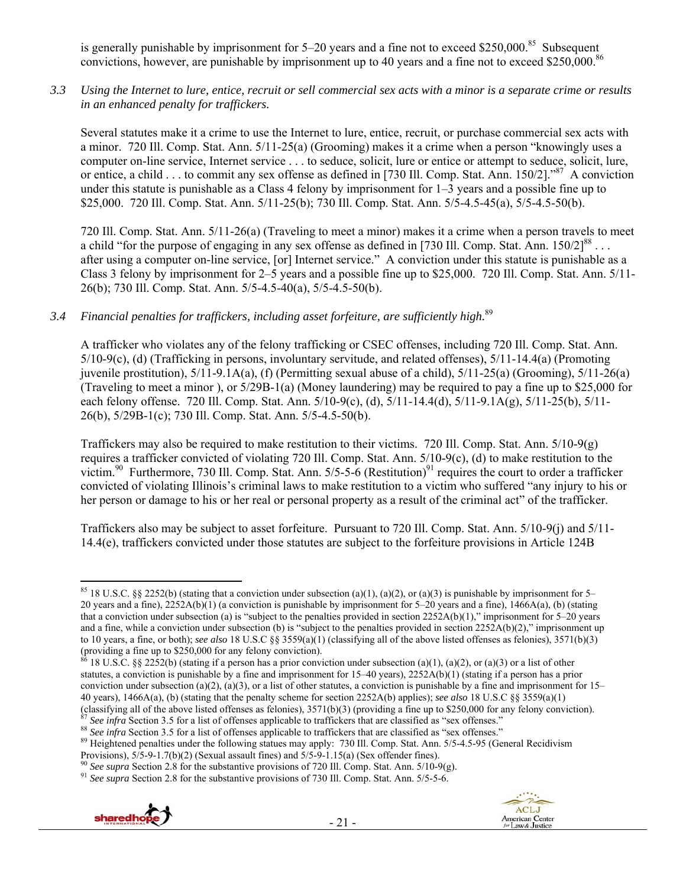is generally punishable by imprisonment for  $5-20$  years and a fine not to exceed \$250,000.<sup>85</sup> Subsequent convictions, however, are punishable by imprisonment up to 40 years and a fine not to exceed \$250,000.<sup>86</sup>

*3.3 Using the Internet to lure, entice, recruit or sell commercial sex acts with a minor is a separate crime or results in an enhanced penalty for traffickers.* 

Several statutes make it a crime to use the Internet to lure, entice, recruit, or purchase commercial sex acts with a minor. 720 Ill. Comp. Stat. Ann. 5/11-25(a) (Grooming) makes it a crime when a person "knowingly uses a computer on-line service, Internet service . . . to seduce, solicit, lure or entice or attempt to seduce, solicit, lure, or entice, a child . . . to commit any sex offense as defined in [730 Ill. Comp. Stat. Ann. 150/21."<sup>87</sup> A conviction under this statute is punishable as a Class 4 felony by imprisonment for  $1-\overline{3}$  years and a possible fine up to \$25,000. 720 Ill. Comp. Stat. Ann. 5/11-25(b); 730 Ill. Comp. Stat. Ann. 5/5-4.5-45(a), 5/5-4.5-50(b).

720 Ill. Comp. Stat. Ann. 5/11-26(a) (Traveling to meet a minor) makes it a crime when a person travels to meet a child "for the purpose of engaging in any sex offense as defined in [730 Ill. Comp. Stat. Ann.  $150/2$ ]<sup>88</sup> . . . after using a computer on-line service, [or] Internet service." A conviction under this statute is punishable as a Class 3 felony by imprisonment for 2–5 years and a possible fine up to \$25,000. 720 Ill. Comp. Stat. Ann. 5/11- 26(b); 730 Ill. Comp. Stat. Ann. 5/5-4.5-40(a), 5/5-4.5-50(b).

## *3.4 Financial penalties for traffickers, including asset forfeiture, are sufficiently high.*<sup>89</sup>

A trafficker who violates any of the felony trafficking or CSEC offenses, including 720 Ill. Comp. Stat. Ann. 5/10-9(c), (d) (Trafficking in persons, involuntary servitude, and related offenses), 5/11-14.4(a) (Promoting juvenile prostitution),  $5/11-9.1A(a)$ , (f) (Permitting sexual abuse of a child),  $5/11-25(a)$  (Grooming),  $5/11-26(a)$ (Traveling to meet a minor ), or 5/29B-1(a) (Money laundering) may be required to pay a fine up to \$25,000 for each felony offense. 720 Ill. Comp. Stat. Ann. 5/10-9(c), (d), 5/11-14.4(d), 5/11-9.1A(g), 5/11-25(b), 5/11-26(b), 5/29B-1(c); 730 Ill. Comp. Stat. Ann. 5/5-4.5-50(b).

Traffickers may also be required to make restitution to their victims. 720 Ill. Comp. Stat. Ann. 5/10-9(g) requires a trafficker convicted of violating 720 Ill. Comp. Stat. Ann. 5/10-9(c), (d) to make restitution to the victim.<sup>90</sup> Furthermore, 730 Ill. Comp. Stat. Ann. 5/5-5-6 (Restitution)<sup>91</sup> requires the court to order a trafficker convicted of violating Illinois's criminal laws to make restitution to a victim who suffered "any injury to his or her person or damage to his or her real or personal property as a result of the criminal act" of the trafficker.

Traffickers also may be subject to asset forfeiture. Pursuant to 720 Ill. Comp. Stat. Ann. 5/10-9(j) and 5/11- 14.4(e), traffickers convicted under those statutes are subject to the forfeiture provisions in Article 124B





 $\overline{a}$ <sup>85</sup> 18 U.S.C. §§ 2252(b) (stating that a conviction under subsection (a)(1), (a)(2), or (a)(3) is punishable by imprisonment for 5– 20 years and a fine), 2252A(b)(1) (a conviction is punishable by imprisonment for 5–20 years and a fine), 1466A(a), (b) (stating that a conviction under subsection (a) is "subject to the penalties provided in section  $2252A(b)(1)$ ," imprisonment for 5–20 years and a fine, while a conviction under subsection (b) is "subject to the penalties provided in section 2252A(b)(2)," imprisonment up to 10 years, a fine, or both); *see also* 18 U.S.C §§ 3559(a)(1) (classifying all of the above listed offenses as felonies), 3571(b)(3) (providing a fine up to \$250,000 for any felony conviction).

<sup>18</sup> U.S.C. §§ 2252(b) (stating if a person has a prior conviction under subsection (a)(1), (a)(2), or (a)(3) or a list of other statutes, a conviction is punishable by a fine and imprisonment for  $15-40$  years),  $2252A(b)(1)$  (stating if a person has a prior conviction under subsection (a)(2), (a)(3), or a list of other statutes, a conviction is punishable by a fine and imprisonment for  $15-$ 40 years), 1466A(a), (b) (stating that the penalty scheme for section 2252A(b) applies); *see also* 18 U.S.C §§ 3559(a)(1)

<sup>&</sup>lt;sup>87</sup> See infra Section 3.5 for a list of offenses applicable to traffickers that are classified as "sex offenses."<br><sup>88</sup> See infra Section 3.5 for a list of offenses applicable to traffickers that are classified as "sex of

<sup>&</sup>lt;sup>90</sup> See supra Section 2.8 for the substantive provisions of 720 Ill. Comp. Stat. Ann.  $5/10-9(g)$ .<br><sup>91</sup> See supra Section 2.8 for the substantive provisions of 730 Ill. Comp. Stat. Ann.  $5/5-5-6$ .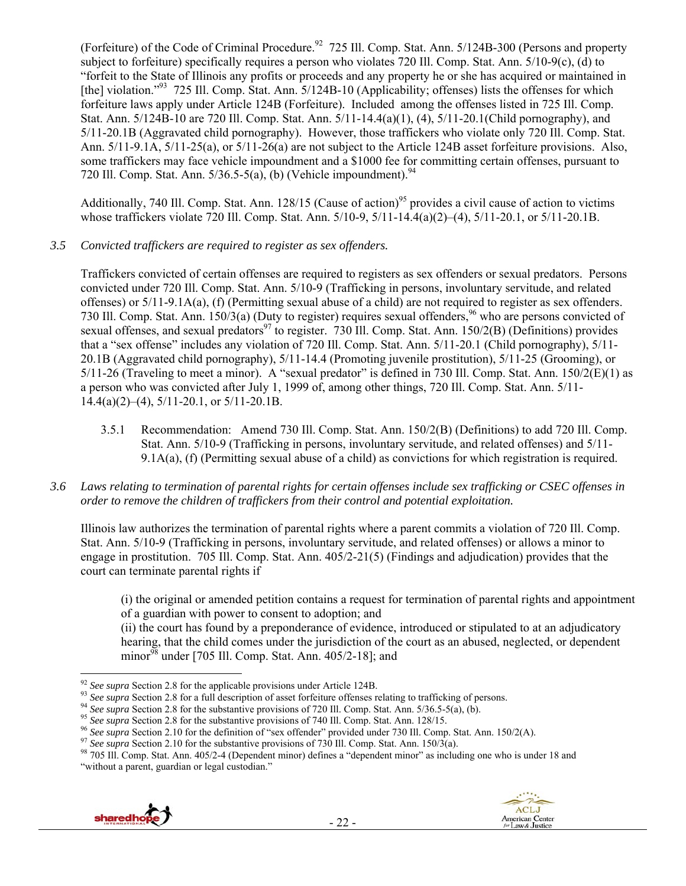(Forfeiture) of the Code of Criminal Procedure.<sup>92</sup> 725 Ill. Comp. Stat. Ann. 5/124B-300 (Persons and property subject to forfeiture) specifically requires a person who violates 720 Ill. Comp. Stat. Ann. 5/10-9(c), (d) to "forfeit to the State of Illinois any profits or proceeds and any property he or she has acquired or maintained in [the] violation."<sup>93</sup> 725 Ill. Comp. Stat. Ann. 5/124B-10 (Applicability; offenses) lists the offenses for which forfeiture laws apply under Article 124B (Forfeiture). Included among the offenses listed in 725 Ill. Comp. Stat. Ann. 5/124B-10 are 720 Ill. Comp. Stat. Ann. 5/11-14.4(a)(1), (4), 5/11-20.1(Child pornography), and 5/11-20.1B (Aggravated child pornography). However, those traffickers who violate only 720 Ill. Comp. Stat. Ann. 5/11-9.1A, 5/11-25(a), or 5/11-26(a) are not subject to the Article 124B asset forfeiture provisions. Also, some traffickers may face vehicle impoundment and a \$1000 fee for committing certain offenses, pursuant to 720 Ill. Comp. Stat. Ann.  $5/36.5-5(a)$ , (b) (Vehicle impoundment).<sup>94</sup>

Additionally, 740 Ill. Comp. Stat. Ann. 128/15 (Cause of action)<sup>95</sup> provides a civil cause of action to victims whose traffickers violate 720 Ill. Comp. Stat. Ann. 5/10-9, 5/11-14.4(a)(2)–(4), 5/11-20.1, or 5/11-20.1B.

#### *3.5 Convicted traffickers are required to register as sex offenders.*

Traffickers convicted of certain offenses are required to registers as sex offenders or sexual predators. Persons convicted under 720 Ill. Comp. Stat. Ann. 5/10-9 (Trafficking in persons, involuntary servitude, and related offenses) or 5/11-9.1A(a), (f) (Permitting sexual abuse of a child) are not required to register as sex offenders. 730 Ill. Comp. Stat. Ann. 150/3(a) (Duty to register) requires sexual offenders,<sup>96</sup> who are persons convicted of sexual offenses, and sexual predators<sup>97</sup> to register. 730 Ill. Comp. Stat. Ann. 150/2(B) (Definitions) provides that a "sex offense" includes any violation of 720 Ill. Comp. Stat. Ann. 5/11-20.1 (Child pornography), 5/11- 20.1B (Aggravated child pornography), 5/11-14.4 (Promoting juvenile prostitution), 5/11-25 (Grooming), or  $5/11-26$  (Traveling to meet a minor). A "sexual predator" is defined in 730 Ill. Comp. Stat. Ann.  $150/2(E)(1)$  as a person who was convicted after July 1, 1999 of, among other things, 720 Ill. Comp. Stat. Ann. 5/11- 14.4(a)(2)–(4), 5/11-20.1, or 5/11-20.1B.

- 3.5.1 Recommendation: Amend 730 Ill. Comp. Stat. Ann. 150/2(B) (Definitions) to add 720 Ill. Comp. Stat. Ann. 5/10-9 (Trafficking in persons, involuntary servitude, and related offenses) and 5/11- 9.1A(a), (f) (Permitting sexual abuse of a child) as convictions for which registration is required.
- *3.6 Laws relating to termination of parental rights for certain offenses include sex trafficking or CSEC offenses in order to remove the children of traffickers from their control and potential exploitation.*

Illinois law authorizes the termination of parental rights where a parent commits a violation of 720 Ill. Comp. Stat. Ann. 5/10-9 (Trafficking in persons, involuntary servitude, and related offenses) or allows a minor to engage in prostitution. 705 Ill. Comp. Stat. Ann. 405/2-21(5) (Findings and adjudication) provides that the court can terminate parental rights if

(i) the original or amended petition contains a request for termination of parental rights and appointment of a guardian with power to consent to adoption; and

(ii) the court has found by a preponderance of evidence, introduced or stipulated to at an adjudicatory hearing, that the child comes under the jurisdiction of the court as an abused, neglected, or dependent minor<sup>98</sup> under [705 Ill. Comp. Stat. Ann.  $405/2-18$ ]; and

<sup>&</sup>quot;without a parent, guardian or legal custodian."





 $92$  See supra Section 2.8 for the applicable provisions under Article 124B.

<sup>&</sup>lt;sup>93</sup> See supra Section 2.8 for a full description of asset forfeiture offenses relating to trafficking of persons.<br><sup>94</sup> See supra Section 2.8 for the substantive provisions of 720 Ill. Comp. Stat. Ann. 5/36.5-5(a), (b).<br><sup></sup>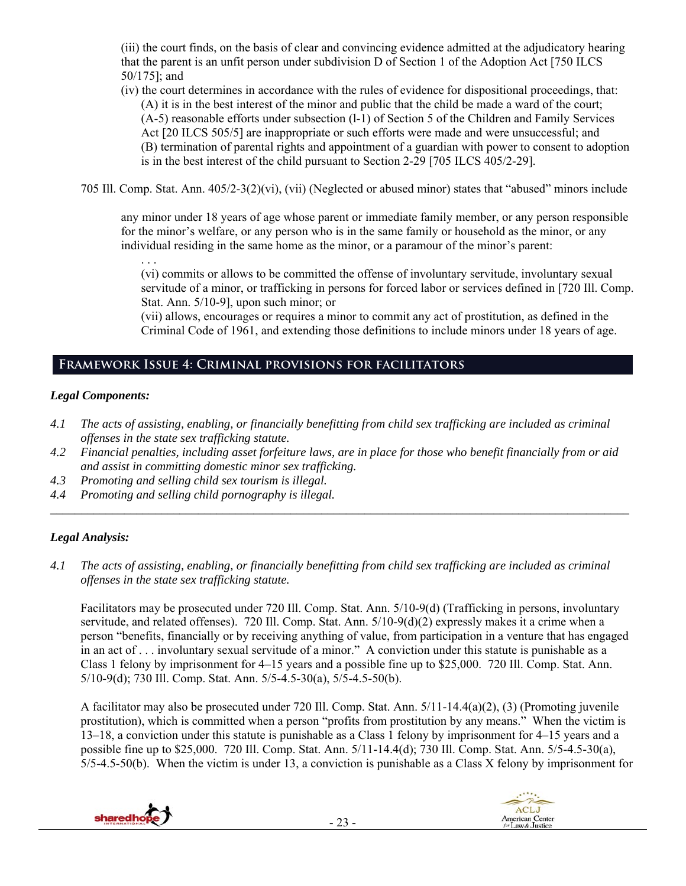(iii) the court finds, on the basis of clear and convincing evidence admitted at the adjudicatory hearing that the parent is an unfit person under subdivision D of Section 1 of the Adoption Act [750 ILCS 50/175]; and

(iv) the court determines in accordance with the rules of evidence for dispositional proceedings, that: (A) it is in the best interest of the minor and public that the child be made a ward of the court; (A-5) reasonable efforts under subsection (l-1) of Section 5 of the Children and Family Services Act [20 ILCS 505/5] are inappropriate or such efforts were made and were unsuccessful; and (B) termination of parental rights and appointment of a guardian with power to consent to adoption is in the best interest of the child pursuant to Section 2-29 [705 ILCS 405/2-29].

705 Ill. Comp. Stat. Ann. 405/2-3(2)(vi), (vii) (Neglected or abused minor) states that "abused" minors include

any minor under 18 years of age whose parent or immediate family member, or any person responsible for the minor's welfare, or any person who is in the same family or household as the minor, or any individual residing in the same home as the minor, or a paramour of the minor's parent:

. . .

(vi) commits or allows to be committed the offense of involuntary servitude, involuntary sexual servitude of a minor, or trafficking in persons for forced labor or services defined in [720 Ill. Comp. Stat. Ann. 5/10-9], upon such minor; or

(vii) allows, encourages or requires a minor to commit any act of prostitution, as defined in the Criminal Code of 1961, and extending those definitions to include minors under 18 years of age.

## **Framework Issue 4: Criminal provisions for facilitators**

#### *Legal Components:*

- *4.1 The acts of assisting, enabling, or financially benefitting from child sex trafficking are included as criminal offenses in the state sex trafficking statute.*
- *4.2 Financial penalties, including asset forfeiture laws, are in place for those who benefit financially from or aid and assist in committing domestic minor sex trafficking.*
- *4.3 Promoting and selling child sex tourism is illegal.*
- *4.4 Promoting and selling child pornography is illegal. \_\_\_\_\_\_\_\_\_\_\_\_\_\_\_\_\_\_\_\_\_\_\_\_\_\_\_\_\_\_\_\_\_\_\_\_\_\_\_\_\_\_\_\_\_\_\_\_\_\_\_\_\_\_\_\_\_\_\_\_\_\_\_\_\_\_\_\_\_\_\_\_\_\_\_\_\_\_\_\_\_\_\_\_\_\_\_\_\_\_\_\_\_\_*

## *Legal Analysis:*

*4.1 The acts of assisting, enabling, or financially benefitting from child sex trafficking are included as criminal offenses in the state sex trafficking statute.* 

Facilitators may be prosecuted under 720 Ill. Comp. Stat. Ann. 5/10-9(d) (Trafficking in persons, involuntary servitude, and related offenses). 720 Ill. Comp. Stat. Ann. 5/10-9(d)(2) expressly makes it a crime when a person "benefits, financially or by receiving anything of value, from participation in a venture that has engaged in an act of . . . involuntary sexual servitude of a minor." A conviction under this statute is punishable as a Class 1 felony by imprisonment for 4–15 years and a possible fine up to \$25,000. 720 Ill. Comp. Stat. Ann. 5/10-9(d); 730 Ill. Comp. Stat. Ann. 5/5-4.5-30(a), 5/5-4.5-50(b).

A facilitator may also be prosecuted under 720 Ill. Comp. Stat. Ann. 5/11-14.4(a)(2), (3) (Promoting juvenile prostitution), which is committed when a person "profits from prostitution by any means." When the victim is 13–18, a conviction under this statute is punishable as a Class 1 felony by imprisonment for 4–15 years and a possible fine up to \$25,000. 720 Ill. Comp. Stat. Ann. 5/11-14.4(d); 730 Ill. Comp. Stat. Ann. 5/5-4.5-30(a), 5/5-4.5-50(b). When the victim is under 13, a conviction is punishable as a Class X felony by imprisonment for



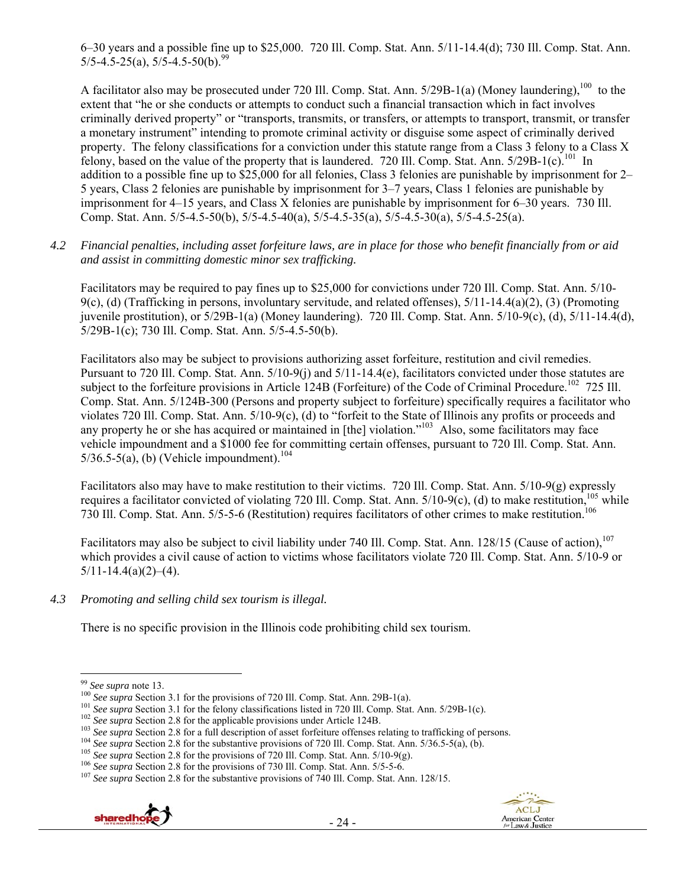6–30 years and a possible fine up to \$25,000. 720 Ill. Comp. Stat. Ann. 5/11-14.4(d); 730 Ill. Comp. Stat. Ann.  $5/5-4.5-25(a)$ ,  $5/5-4.5-50(b)$ .<sup>99</sup>

A facilitator also may be prosecuted under 720 Ill. Comp. Stat. Ann. 5/29B-1(a) (Money laundering),<sup>100</sup> to the extent that "he or she conducts or attempts to conduct such a financial transaction which in fact involves criminally derived property" or "transports, transmits, or transfers, or attempts to transport, transmit, or transfer a monetary instrument" intending to promote criminal activity or disguise some aspect of criminally derived property. The felony classifications for a conviction under this statute range from a Class 3 felony to a Class X felony, based on the value of the property that is laundered. 720 Ill. Comp. Stat. Ann.  $5/29B-1(c)$ .<sup>101</sup> In addition to a possible fine up to \$25,000 for all felonies, Class 3 felonies are punishable by imprisonment for 2– 5 years, Class 2 felonies are punishable by imprisonment for 3–7 years, Class 1 felonies are punishable by imprisonment for 4–15 years, and Class X felonies are punishable by imprisonment for 6–30 years. 730 Ill. Comp. Stat. Ann. 5/5-4.5-50(b), 5/5-4.5-40(a), 5/5-4.5-35(a), 5/5-4.5-30(a), 5/5-4.5-25(a).

*4.2 Financial penalties, including asset forfeiture laws, are in place for those who benefit financially from or aid and assist in committing domestic minor sex trafficking.* 

Facilitators may be required to pay fines up to \$25,000 for convictions under 720 Ill. Comp. Stat. Ann. 5/10- 9(c), (d) (Trafficking in persons, involuntary servitude, and related offenses),  $5/11-14.4(a)(2)$ , (3) (Promoting juvenile prostitution), or 5/29B-1(a) (Money laundering). 720 Ill. Comp. Stat. Ann. 5/10-9(c), (d), 5/11-14.4(d), 5/29B-1(c); 730 Ill. Comp. Stat. Ann. 5/5-4.5-50(b).

Facilitators also may be subject to provisions authorizing asset forfeiture, restitution and civil remedies. Pursuant to 720 Ill. Comp. Stat. Ann. 5/10-9(j) and 5/11-14.4(e), facilitators convicted under those statutes are subject to the forfeiture provisions in Article 124B (Forfeiture) of the Code of Criminal Procedure.<sup>102</sup> 725 Ill. Comp. Stat. Ann. 5/124B-300 (Persons and property subject to forfeiture) specifically requires a facilitator who violates 720 Ill. Comp. Stat. Ann. 5/10-9(c), (d) to "forfeit to the State of Illinois any profits or proceeds and any property he or she has acquired or maintained in [the] violation."<sup>103</sup> Also, some facilitators may face vehicle impoundment and a \$1000 fee for committing certain offenses, pursuant to 720 Ill. Comp. Stat. Ann.  $5/36.5-5(a)$ , (b) (Vehicle impoundment).<sup>104</sup>

Facilitators also may have to make restitution to their victims. 720 Ill. Comp. Stat. Ann. 5/10-9(g) expressly requires a facilitator convicted of violating 720 Ill. Comp. Stat. Ann.  $5/10-9(c)$ , (d) to make restitution,<sup>105</sup> while 730 Ill. Comp. Stat. Ann. 5/5-5-6 (Restitution) requires facilitators of other crimes to make restitution.<sup>106</sup>

Facilitators may also be subject to civil liability under 740 Ill. Comp. Stat. Ann. 128/15 (Cause of action),  $107$ which provides a civil cause of action to victims whose facilitators violate 720 Ill. Comp. Stat. Ann. 5/10-9 or  $5/11-14.4(a)(2)-(4)$ .

*4.3 Promoting and selling child sex tourism is illegal.* 

There is no specific provision in the Illinois code prohibiting child sex tourism.





<sup>&</sup>lt;sup>99</sup> See supra note 13.

<sup>&</sup>lt;sup>100</sup> See supra Section 3.1 for the provisions of 720 Ill. Comp. Stat. Ann. 29B-1(a).<br><sup>101</sup> See supra Section 3.1 for the felony classifications listed in 720 Ill. Comp. Stat. Ann. 5/29B-1(c).<br><sup>102</sup> See supra Section 2.8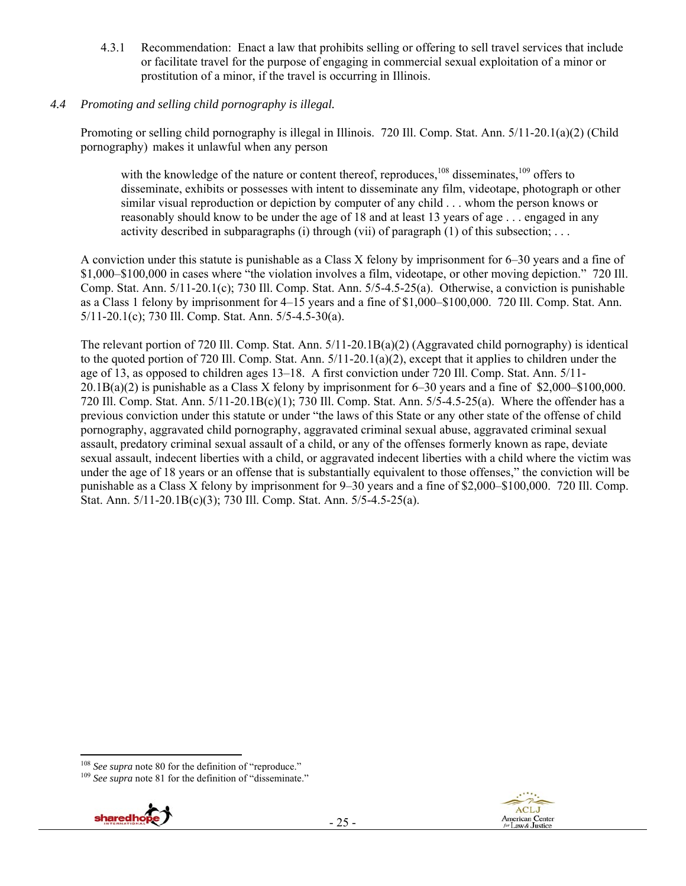4.3.1 Recommendation: Enact a law that prohibits selling or offering to sell travel services that include or facilitate travel for the purpose of engaging in commercial sexual exploitation of a minor or prostitution of a minor, if the travel is occurring in Illinois.

## *4.4 Promoting and selling child pornography is illegal.*

Promoting or selling child pornography is illegal in Illinois. 720 Ill. Comp. Stat. Ann. 5/11-20.1(a)(2) (Child pornography) makes it unlawful when any person

with the knowledge of the nature or content thereof, reproduces,  $^{108}$  disseminates,  $^{109}$  offers to disseminate, exhibits or possesses with intent to disseminate any film, videotape, photograph or other similar visual reproduction or depiction by computer of any child . . . whom the person knows or reasonably should know to be under the age of 18 and at least 13 years of age . . . engaged in any activity described in subparagraphs (i) through (vii) of paragraph  $(1)$  of this subsection; ...

A conviction under this statute is punishable as a Class X felony by imprisonment for 6–30 years and a fine of \$1,000–\$100,000 in cases where "the violation involves a film, videotape, or other moving depiction." 720 Ill. Comp. Stat. Ann. 5/11-20.1(c); 730 Ill. Comp. Stat. Ann. 5/5-4.5-25(a). Otherwise, a conviction is punishable as a Class 1 felony by imprisonment for 4–15 years and a fine of \$1,000–\$100,000. 720 Ill. Comp. Stat. Ann. 5/11-20.1(c); 730 Ill. Comp. Stat. Ann. 5/5-4.5-30(a).

The relevant portion of 720 Ill. Comp. Stat. Ann. 5/11-20.1B(a)(2) (Aggravated child pornography) is identical to the quoted portion of 720 Ill. Comp. Stat. Ann.  $5/11-20.1(a)(2)$ , except that it applies to children under the age of 13, as opposed to children ages 13–18. A first conviction under 720 Ill. Comp. Stat. Ann. 5/11- 20.1B(a)(2) is punishable as a Class X felony by imprisonment for 6–30 years and a fine of \$2,000–\$100,000. 720 Ill. Comp. Stat. Ann. 5/11-20.1B(c)(1); 730 Ill. Comp. Stat. Ann. 5/5-4.5-25(a). Where the offender has a previous conviction under this statute or under "the laws of this State or any other state of the offense of child pornography, aggravated child pornography, aggravated criminal sexual abuse, aggravated criminal sexual assault, predatory criminal sexual assault of a child, or any of the offenses formerly known as rape, deviate sexual assault, indecent liberties with a child, or aggravated indecent liberties with a child where the victim was under the age of 18 years or an offense that is substantially equivalent to those offenses," the conviction will be punishable as a Class X felony by imprisonment for 9–30 years and a fine of \$2,000–\$100,000. 720 Ill. Comp. Stat. Ann. 5/11-20.1B(c)(3); 730 Ill. Comp. Stat. Ann. 5/5-4.5-25(a).

<sup>&</sup>lt;sup>108</sup> *See supra* note 80 for the definition of "reproduce." See supra note 81 for the definition of "disseminate."



 $\overline{a}$ 

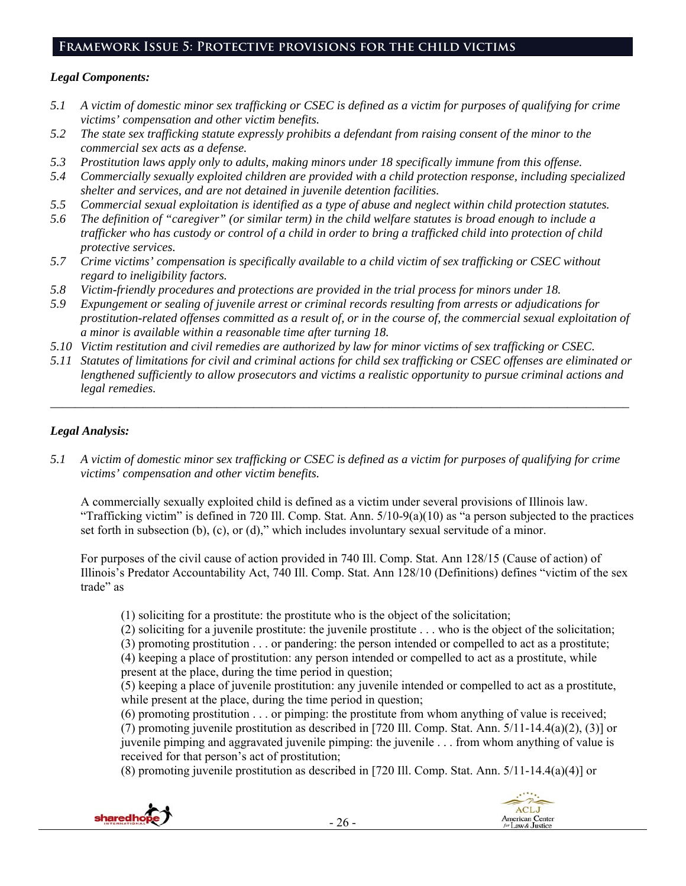## **Framework Issue 5: Protective provisions for the child victims**

#### *Legal Components:*

- *5.1 A victim of domestic minor sex trafficking or CSEC is defined as a victim for purposes of qualifying for crime victims' compensation and other victim benefits.*
- *5.2 The state sex trafficking statute expressly prohibits a defendant from raising consent of the minor to the commercial sex acts as a defense.*
- *5.3 Prostitution laws apply only to adults, making minors under 18 specifically immune from this offense.*
- *5.4 Commercially sexually exploited children are provided with a child protection response, including specialized shelter and services, and are not detained in juvenile detention facilities.*
- *5.5 Commercial sexual exploitation is identified as a type of abuse and neglect within child protection statutes.*
- *5.6 The definition of "caregiver" (or similar term) in the child welfare statutes is broad enough to include a trafficker who has custody or control of a child in order to bring a trafficked child into protection of child protective services.*
- *5.7 Crime victims' compensation is specifically available to a child victim of sex trafficking or CSEC without regard to ineligibility factors.*
- *5.8 Victim-friendly procedures and protections are provided in the trial process for minors under 18.*
- *5.9 Expungement or sealing of juvenile arrest or criminal records resulting from arrests or adjudications for prostitution-related offenses committed as a result of, or in the course of, the commercial sexual exploitation of a minor is available within a reasonable time after turning 18.*
- *5.10 Victim restitution and civil remedies are authorized by law for minor victims of sex trafficking or CSEC.*
- *5.11 Statutes of limitations for civil and criminal actions for child sex trafficking or CSEC offenses are eliminated or lengthened sufficiently to allow prosecutors and victims a realistic opportunity to pursue criminal actions and legal remedies.*

*\_\_\_\_\_\_\_\_\_\_\_\_\_\_\_\_\_\_\_\_\_\_\_\_\_\_\_\_\_\_\_\_\_\_\_\_\_\_\_\_\_\_\_\_\_\_\_\_\_\_\_\_\_\_\_\_\_\_\_\_\_\_\_\_\_\_\_\_\_\_\_\_\_\_\_\_\_\_\_\_\_\_\_\_\_\_\_\_\_\_\_\_\_\_* 

## *Legal Analysis:*

*5.1 A victim of domestic minor sex trafficking or CSEC is defined as a victim for purposes of qualifying for crime victims' compensation and other victim benefits.* 

A commercially sexually exploited child is defined as a victim under several provisions of Illinois law. "Trafficking victim" is defined in 720 Ill. Comp. Stat. Ann.  $5/10-9(a)(10)$  as "a person subjected to the practices set forth in subsection (b), (c), or (d)," which includes involuntary sexual servitude of a minor.

For purposes of the civil cause of action provided in 740 Ill. Comp. Stat. Ann 128/15 (Cause of action) of Illinois's Predator Accountability Act, 740 Ill. Comp. Stat. Ann 128/10 (Definitions) defines "victim of the sex trade" as

(1) soliciting for a prostitute: the prostitute who is the object of the solicitation;

(2) soliciting for a juvenile prostitute: the juvenile prostitute . . . who is the object of the solicitation;

(3) promoting prostitution . . . or pandering: the person intended or compelled to act as a prostitute;

(4) keeping a place of prostitution: any person intended or compelled to act as a prostitute, while present at the place, during the time period in question;

(5) keeping a place of juvenile prostitution: any juvenile intended or compelled to act as a prostitute, while present at the place, during the time period in question;

(6) promoting prostitution . . . or pimping: the prostitute from whom anything of value is received; (7) promoting juvenile prostitution as described in [720 Ill. Comp. Stat. Ann.  $5/11-14.4(a)(2)$ , (3)] or juvenile pimping and aggravated juvenile pimping: the juvenile . . . from whom anything of value is received for that person's act of prostitution;

(8) promoting juvenile prostitution as described in [720 Ill. Comp. Stat. Ann. 5/11-14.4(a)(4)] or



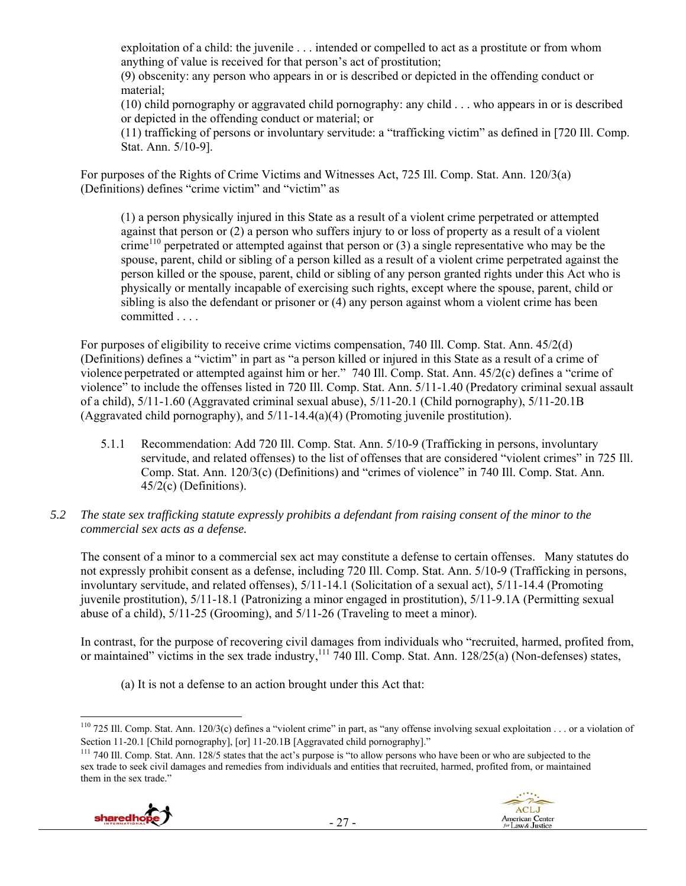exploitation of a child: the juvenile . . . intended or compelled to act as a prostitute or from whom anything of value is received for that person's act of prostitution;

(9) obscenity: any person who appears in or is described or depicted in the offending conduct or material;

(10) child pornography or aggravated child pornography: any child . . . who appears in or is described or depicted in the offending conduct or material; or

(11) trafficking of persons or involuntary servitude: a "trafficking victim" as defined in [720 Ill. Comp. Stat. Ann. 5/10-9].

For purposes of the Rights of Crime Victims and Witnesses Act, 725 Ill. Comp. Stat. Ann. 120/3(a) (Definitions) defines "crime victim" and "victim" as

(1) a person physically injured in this State as a result of a violent crime perpetrated or attempted against that person or (2) a person who suffers injury to or loss of property as a result of a violent crime<sup>110</sup> perpetrated or attempted against that person or  $(3)$  a single representative who may be the spouse, parent, child or sibling of a person killed as a result of a violent crime perpetrated against the person killed or the spouse, parent, child or sibling of any person granted rights under this Act who is physically or mentally incapable of exercising such rights, except where the spouse, parent, child or sibling is also the defendant or prisoner or (4) any person against whom a violent crime has been committed . . . .

For purposes of eligibility to receive crime victims compensation, 740 Ill. Comp. Stat. Ann. 45/2(d) (Definitions) defines a "victim" in part as "a person killed or injured in this State as a result of a crime of violence perpetrated or attempted against him or her." 740 Ill. Comp. Stat. Ann. 45/2(c) defines a "crime of violence" to include the offenses listed in 720 Ill. Comp. Stat. Ann. 5/11-1.40 (Predatory criminal sexual assault of a child), 5/11-1.60 (Aggravated criminal sexual abuse), 5/11-20.1 (Child pornography), 5/11-20.1B (Aggravated child pornography), and 5/11-14.4(a)(4) (Promoting juvenile prostitution).

- 5.1.1 Recommendation: Add 720 Ill. Comp. Stat. Ann. 5/10-9 (Trafficking in persons, involuntary servitude, and related offenses) to the list of offenses that are considered "violent crimes" in 725 Ill. Comp. Stat. Ann. 120/3(c) (Definitions) and "crimes of violence" in 740 Ill. Comp. Stat. Ann. 45/2(c) (Definitions).
- *5.2 The state sex trafficking statute expressly prohibits a defendant from raising consent of the minor to the commercial sex acts as a defense.*

The consent of a minor to a commercial sex act may constitute a defense to certain offenses. Many statutes do not expressly prohibit consent as a defense, including 720 Ill. Comp. Stat. Ann. 5/10-9 (Trafficking in persons, involuntary servitude, and related offenses), 5/11-14.1 (Solicitation of a sexual act), 5/11-14.4 (Promoting juvenile prostitution), 5/11-18.1 (Patronizing a minor engaged in prostitution), 5/11-9.1A (Permitting sexual abuse of a child), 5/11-25 (Grooming), and 5/11-26 (Traveling to meet a minor).

In contrast, for the purpose of recovering civil damages from individuals who "recruited, harmed, profited from, or maintained" victims in the sex trade industry,<sup>111</sup> 740 Ill. Comp. Stat. Ann. 128/25(a) (Non-defenses) states,

(a) It is not a defense to an action brought under this Act that:

<sup>111 740</sup> Ill. Comp. Stat. Ann. 128/5 states that the act's purpose is "to allow persons who have been or who are subjected to the sex trade to seek civil damages and remedies from individuals and entities that recruited, harmed, profited from, or maintained them in the sex trade."



 $\overline{a}$ <sup>110</sup> 725 Ill. Comp. Stat. Ann. 120/3(c) defines a "violent crime" in part, as "any offense involving sexual exploitation . . . or a violation of Section 11-20.1 [Child pornography], [or] 11-20.1B [Aggravated child pornography]."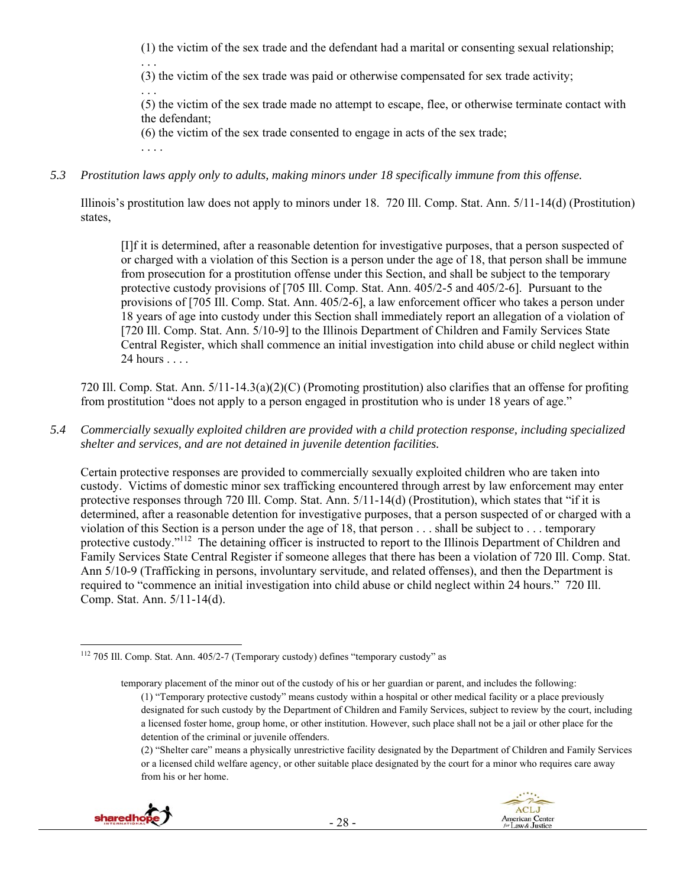(1) the victim of the sex trade and the defendant had a marital or consenting sexual relationship;

. . . (3) the victim of the sex trade was paid or otherwise compensated for sex trade activity;

. . . (5) the victim of the sex trade made no attempt to escape, flee, or otherwise terminate contact with the defendant;

(6) the victim of the sex trade consented to engage in acts of the sex trade;

. . . .

*5.3 Prostitution laws apply only to adults, making minors under 18 specifically immune from this offense.* 

Illinois's prostitution law does not apply to minors under 18. 720 Ill. Comp. Stat. Ann. 5/11-14(d) (Prostitution) states,

[I]f it is determined, after a reasonable detention for investigative purposes, that a person suspected of or charged with a violation of this Section is a person under the age of 18, that person shall be immune from prosecution for a prostitution offense under this Section, and shall be subject to the temporary protective custody provisions of [705 Ill. Comp. Stat. Ann. 405/2-5 and 405/2-6]. Pursuant to the provisions of [705 Ill. Comp. Stat. Ann. 405/2-6], a law enforcement officer who takes a person under 18 years of age into custody under this Section shall immediately report an allegation of a violation of [720 Ill. Comp. Stat. Ann. 5/10-9] to the Illinois Department of Children and Family Services State Central Register, which shall commence an initial investigation into child abuse or child neglect within 24 hours . . . .

720 Ill. Comp. Stat. Ann. 5/11-14.3(a)(2)(C) (Promoting prostitution) also clarifies that an offense for profiting from prostitution "does not apply to a person engaged in prostitution who is under 18 years of age."

*5.4 Commercially sexually exploited children are provided with a child protection response, including specialized shelter and services, and are not detained in juvenile detention facilities.* 

Certain protective responses are provided to commercially sexually exploited children who are taken into custody. Victims of domestic minor sex trafficking encountered through arrest by law enforcement may enter protective responses through 720 Ill. Comp. Stat. Ann. 5/11-14(d) (Prostitution), which states that "if it is determined, after a reasonable detention for investigative purposes, that a person suspected of or charged with a violation of this Section is a person under the age of 18, that person . . . shall be subject to . . . temporary protective custody."112 The detaining officer is instructed to report to the Illinois Department of Children and Family Services State Central Register if someone alleges that there has been a violation of 720 Ill. Comp. Stat. Ann 5/10-9 (Trafficking in persons, involuntary servitude, and related offenses), and then the Department is required to "commence an initial investigation into child abuse or child neglect within 24 hours." 720 Ill. Comp. Stat. Ann. 5/11-14(d).

<sup>(2) &</sup>quot;Shelter care" means a physically unrestrictive facility designated by the Department of Children and Family Services or a licensed child welfare agency, or other suitable place designated by the court for a minor who requires care away from his or her home.





 $\overline{a}$ 112 705 Ill. Comp. Stat. Ann. 405/2-7 (Temporary custody) defines "temporary custody" as

temporary placement of the minor out of the custody of his or her guardian or parent, and includes the following: (1) "Temporary protective custody" means custody within a hospital or other medical facility or a place previously designated for such custody by the Department of Children and Family Services, subject to review by the court, including a licensed foster home, group home, or other institution. However, such place shall not be a jail or other place for the detention of the criminal or juvenile offenders.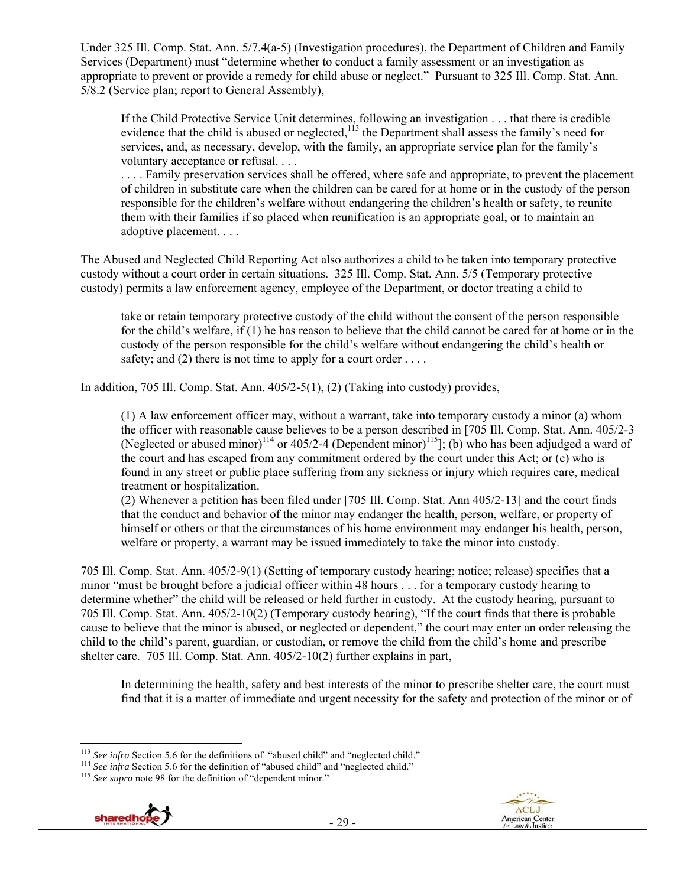Under 325 Ill. Comp. Stat. Ann. 5/7.4(a-5) (Investigation procedures), the Department of Children and Family Services (Department) must "determine whether to conduct a family assessment or an investigation as appropriate to prevent or provide a remedy for child abuse or neglect." Pursuant to 325 Ill. Comp. Stat. Ann. 5/8.2 (Service plan; report to General Assembly),

If the Child Protective Service Unit determines, following an investigation . . . that there is credible evidence that the child is abused or neglected, $1^{13}$  the Department shall assess the family's need for services, and, as necessary, develop, with the family, an appropriate service plan for the family's voluntary acceptance or refusal. . . .

. . . . Family preservation services shall be offered, where safe and appropriate, to prevent the placement of children in substitute care when the children can be cared for at home or in the custody of the person responsible for the children's welfare without endangering the children's health or safety, to reunite them with their families if so placed when reunification is an appropriate goal, or to maintain an adoptive placement. . . .

The Abused and Neglected Child Reporting Act also authorizes a child to be taken into temporary protective custody without a court order in certain situations. 325 Ill. Comp. Stat. Ann. 5/5 (Temporary protective custody) permits a law enforcement agency, employee of the Department, or doctor treating a child to

take or retain temporary protective custody of the child without the consent of the person responsible for the child's welfare, if (1) he has reason to believe that the child cannot be cared for at home or in the custody of the person responsible for the child's welfare without endangering the child's health or safety; and (2) there is not time to apply for a court order ....

In addition, 705 Ill. Comp. Stat. Ann. 405/2-5(1), (2) (Taking into custody) provides,

(1) A law enforcement officer may, without a warrant, take into temporary custody a minor (a) whom the officer with reasonable cause believes to be a person described in [705 Ill. Comp. Stat. Ann. 405/2-3 (Neglected or abused minor)<sup>114</sup> or 405/2-4 (Dependent minor)<sup>115</sup>]; (b) who has been adjudged a ward of the court and has escaped from any commitment ordered by the court under this Act; or (c) who is found in any street or public place suffering from any sickness or injury which requires care, medical treatment or hospitalization.

(2) Whenever a petition has been filed under [705 Ill. Comp. Stat. Ann 405/2-13] and the court finds that the conduct and behavior of the minor may endanger the health, person, welfare, or property of himself or others or that the circumstances of his home environment may endanger his health, person, welfare or property, a warrant may be issued immediately to take the minor into custody.

705 Ill. Comp. Stat. Ann. 405/2-9(1) (Setting of temporary custody hearing; notice; release) specifies that a minor "must be brought before a judicial officer within 48 hours . . . for a temporary custody hearing to determine whether" the child will be released or held further in custody. At the custody hearing, pursuant to 705 Ill. Comp. Stat. Ann. 405/2-10(2) (Temporary custody hearing), "If the court finds that there is probable cause to believe that the minor is abused, or neglected or dependent," the court may enter an order releasing the child to the child's parent, guardian, or custodian, or remove the child from the child's home and prescribe shelter care. 705 Ill. Comp. Stat. Ann. 405/2-10(2) further explains in part,

In determining the health, safety and best interests of the minor to prescribe shelter care, the court must find that it is a matter of immediate and urgent necessity for the safety and protection of the minor or of





<sup>&</sup>lt;sup>113</sup> See infra Section 5.6 for the definitions of "abused child" and "neglected child."

<sup>&</sup>lt;sup>114</sup> See infra Section 5.6 for the definition of "abused child" and "neglected child." See supra note 98 for the definition of "dependent minor."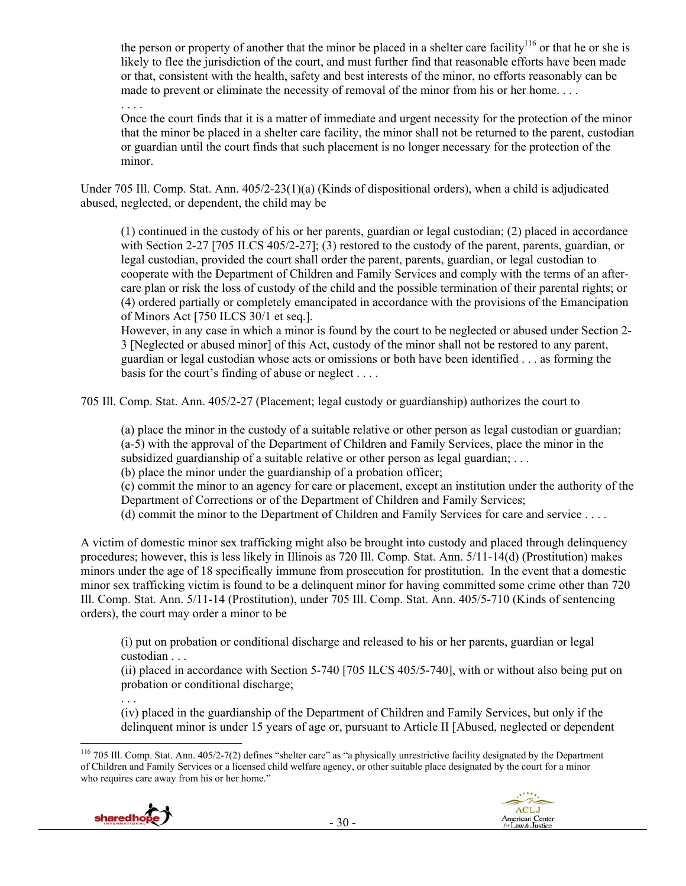the person or property of another that the minor be placed in a shelter care facility<sup>116</sup> or that he or she is likely to flee the jurisdiction of the court, and must further find that reasonable efforts have been made or that, consistent with the health, safety and best interests of the minor, no efforts reasonably can be made to prevent or eliminate the necessity of removal of the minor from his or her home....

. . . . Once the court finds that it is a matter of immediate and urgent necessity for the protection of the minor that the minor be placed in a shelter care facility, the minor shall not be returned to the parent, custodian or guardian until the court finds that such placement is no longer necessary for the protection of the minor.

Under 705 Ill. Comp. Stat. Ann. 405/2-23(1)(a) (Kinds of dispositional orders), when a child is adjudicated abused, neglected, or dependent, the child may be

(1) continued in the custody of his or her parents, guardian or legal custodian; (2) placed in accordance with Section 2-27 [705 ILCS 405/2-27]; (3) restored to the custody of the parent, parents, guardian, or legal custodian, provided the court shall order the parent, parents, guardian, or legal custodian to cooperate with the Department of Children and Family Services and comply with the terms of an aftercare plan or risk the loss of custody of the child and the possible termination of their parental rights; or (4) ordered partially or completely emancipated in accordance with the provisions of the Emancipation of Minors Act [750 ILCS 30/1 et seq.].

However, in any case in which a minor is found by the court to be neglected or abused under Section 2- 3 [Neglected or abused minor] of this Act, custody of the minor shall not be restored to any parent, guardian or legal custodian whose acts or omissions or both have been identified . . . as forming the basis for the court's finding of abuse or neglect . . . .

705 Ill. Comp. Stat. Ann. 405/2-27 (Placement; legal custody or guardianship) authorizes the court to

(a) place the minor in the custody of a suitable relative or other person as legal custodian or guardian; (a-5) with the approval of the Department of Children and Family Services, place the minor in the subsidized guardianship of a suitable relative or other person as legal guardian; ...

(b) place the minor under the guardianship of a probation officer;

(c) commit the minor to an agency for care or placement, except an institution under the authority of the Department of Corrections or of the Department of Children and Family Services;

(d) commit the minor to the Department of Children and Family Services for care and service . . . .

A victim of domestic minor sex trafficking might also be brought into custody and placed through delinquency procedures; however, this is less likely in Illinois as 720 Ill. Comp. Stat. Ann. 5/11-14(d) (Prostitution) makes minors under the age of 18 specifically immune from prosecution for prostitution. In the event that a domestic minor sex trafficking victim is found to be a delinquent minor for having committed some crime other than 720 Ill. Comp. Stat. Ann. 5/11-14 (Prostitution), under 705 Ill. Comp. Stat. Ann. 405/5-710 (Kinds of sentencing orders), the court may order a minor to be

(i) put on probation or conditional discharge and released to his or her parents, guardian or legal custodian . . .

(ii) placed in accordance with Section 5-740 [705 ILCS 405/5-740], with or without also being put on probation or conditional discharge;

. . .

(iv) placed in the guardianship of the Department of Children and Family Services, but only if the delinquent minor is under 15 years of age or, pursuant to Article II [Abused, neglected or dependent

 $\overline{a}$ <sup>116</sup> 705 Ill. Comp. Stat. Ann. 405/2-7(2) defines "shelter care" as "a physically unrestrictive facility designated by the Department of Children and Family Services or a licensed child welfare agency, or other suitable place designated by the court for a minor who requires care away from his or her home."



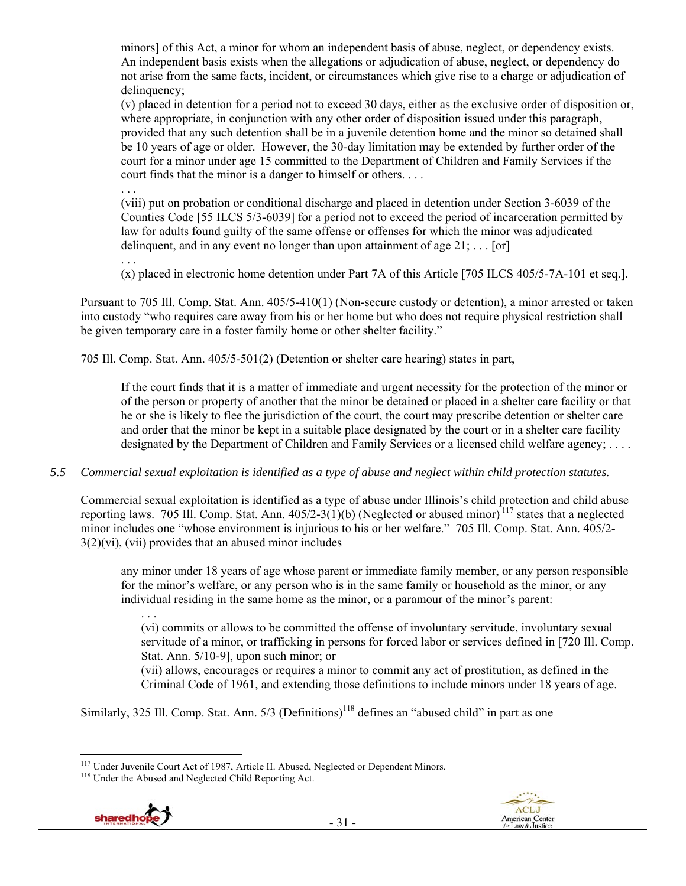minors] of this Act, a minor for whom an independent basis of abuse, neglect, or dependency exists. An independent basis exists when the allegations or adjudication of abuse, neglect, or dependency do not arise from the same facts, incident, or circumstances which give rise to a charge or adjudication of delinquency:

(v) placed in detention for a period not to exceed 30 days, either as the exclusive order of disposition or, where appropriate, in conjunction with any other order of disposition issued under this paragraph, provided that any such detention shall be in a juvenile detention home and the minor so detained shall be 10 years of age or older. However, the 30-day limitation may be extended by further order of the court for a minor under age 15 committed to the Department of Children and Family Services if the court finds that the minor is a danger to himself or others. . . .

. . .

(viii) put on probation or conditional discharge and placed in detention under Section 3-6039 of the Counties Code [55 ILCS 5/3-6039] for a period not to exceed the period of incarceration permitted by law for adults found guilty of the same offense or offenses for which the minor was adjudicated delinquent, and in any event no longer than upon attainment of age  $21$ ; ... [or]

. . .

(x) placed in electronic home detention under Part 7A of this Article [705 ILCS 405/5-7A-101 et seq.].

Pursuant to 705 Ill. Comp. Stat. Ann. 405/5-410(1) (Non-secure custody or detention), a minor arrested or taken into custody "who requires care away from his or her home but who does not require physical restriction shall be given temporary care in a foster family home or other shelter facility."

705 Ill. Comp. Stat. Ann. 405/5-501(2) (Detention or shelter care hearing) states in part,

If the court finds that it is a matter of immediate and urgent necessity for the protection of the minor or of the person or property of another that the minor be detained or placed in a shelter care facility or that he or she is likely to flee the jurisdiction of the court, the court may prescribe detention or shelter care and order that the minor be kept in a suitable place designated by the court or in a shelter care facility designated by the Department of Children and Family Services or a licensed child welfare agency; ....

#### *5.5 Commercial sexual exploitation is identified as a type of abuse and neglect within child protection statutes.*

Commercial sexual exploitation is identified as a type of abuse under Illinois's child protection and child abuse reporting laws. 705 Ill. Comp. Stat. Ann.  $405/2-3(1)(b)$  (Neglected or abused minor)<sup>117</sup> states that a neglected minor includes one "whose environment is injurious to his or her welfare." 705 Ill. Comp. Stat. Ann. 405/2-  $3(2)(vi)$ , (vii) provides that an abused minor includes

any minor under 18 years of age whose parent or immediate family member, or any person responsible for the minor's welfare, or any person who is in the same family or household as the minor, or any individual residing in the same home as the minor, or a paramour of the minor's parent:

. . . (vi) commits or allows to be committed the offense of involuntary servitude, involuntary sexual servitude of a minor, or trafficking in persons for forced labor or services defined in [720 Ill. Comp. Stat. Ann. 5/10-9], upon such minor; or

(vii) allows, encourages or requires a minor to commit any act of prostitution, as defined in the Criminal Code of 1961, and extending those definitions to include minors under 18 years of age.

Similarly, 325 Ill. Comp. Stat. Ann. 5/3 (Definitions)<sup>118</sup> defines an "abused child" in part as one





 $\overline{a}$ <sup>117</sup> Under Juvenile Court Act of 1987, Article II. Abused, Neglected or Dependent Minors.<br><sup>118</sup> Under the Abused and Neglected Child Reporting Act.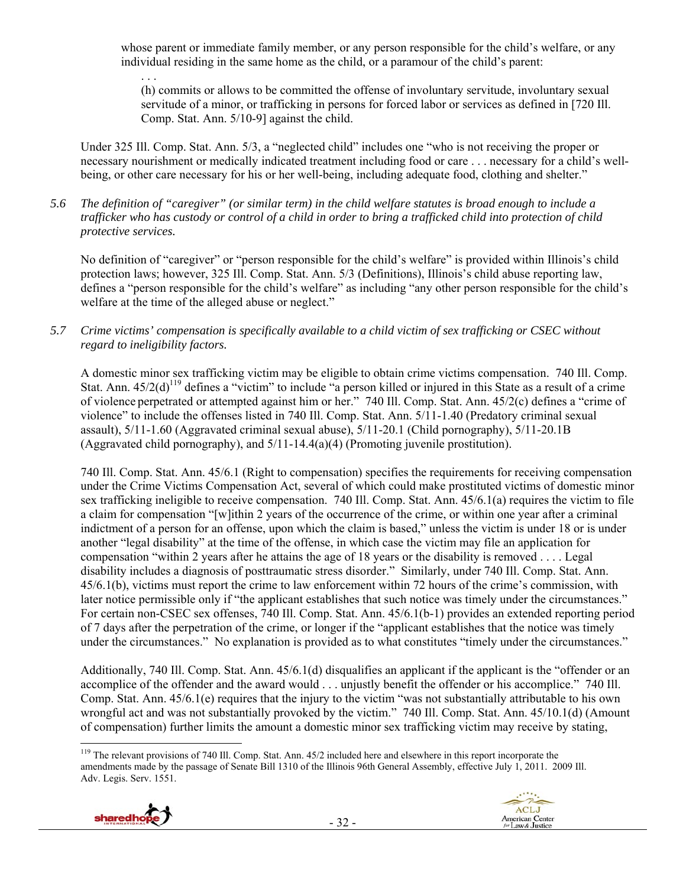whose parent or immediate family member, or any person responsible for the child's welfare, or any individual residing in the same home as the child, or a paramour of the child's parent:

. . . (h) commits or allows to be committed the offense of involuntary servitude, involuntary sexual servitude of a minor, or trafficking in persons for forced labor or services as defined in [720 Ill. Comp. Stat. Ann. 5/10-9] against the child.

Under 325 Ill. Comp. Stat. Ann. 5/3, a "neglected child" includes one "who is not receiving the proper or necessary nourishment or medically indicated treatment including food or care . . . necessary for a child's wellbeing, or other care necessary for his or her well-being, including adequate food, clothing and shelter."

*5.6 The definition of "caregiver" (or similar term) in the child welfare statutes is broad enough to include a trafficker who has custody or control of a child in order to bring a trafficked child into protection of child protective services.* 

No definition of "caregiver" or "person responsible for the child's welfare" is provided within Illinois's child protection laws; however, 325 Ill. Comp. Stat. Ann. 5/3 (Definitions), Illinois's child abuse reporting law, defines a "person responsible for the child's welfare" as including "any other person responsible for the child's welfare at the time of the alleged abuse or neglect."

*5.7 Crime victims' compensation is specifically available to a child victim of sex trafficking or CSEC without regard to ineligibility factors.* 

A domestic minor sex trafficking victim may be eligible to obtain crime victims compensation. 740 Ill. Comp. Stat. Ann.  $45/2(d)^{119}$  defines a "victim" to include "a person killed or injured in this State as a result of a crime of violence perpetrated or attempted against him or her." 740 Ill. Comp. Stat. Ann. 45/2(c) defines a "crime of violence" to include the offenses listed in 740 Ill. Comp. Stat. Ann. 5/11-1.40 (Predatory criminal sexual assault), 5/11-1.60 (Aggravated criminal sexual abuse), 5/11-20.1 (Child pornography), 5/11-20.1B (Aggravated child pornography), and 5/11-14.4(a)(4) (Promoting juvenile prostitution).

740 Ill. Comp. Stat. Ann. 45/6.1 (Right to compensation) specifies the requirements for receiving compensation under the Crime Victims Compensation Act, several of which could make prostituted victims of domestic minor sex trafficking ineligible to receive compensation. 740 Ill. Comp. Stat. Ann. 45/6.1(a) requires the victim to file a claim for compensation "[w]ithin 2 years of the occurrence of the crime, or within one year after a criminal indictment of a person for an offense, upon which the claim is based," unless the victim is under 18 or is under another "legal disability" at the time of the offense, in which case the victim may file an application for compensation "within 2 years after he attains the age of 18 years or the disability is removed . . . . Legal disability includes a diagnosis of posttraumatic stress disorder." Similarly, under 740 Ill. Comp. Stat. Ann. 45/6.1(b), victims must report the crime to law enforcement within 72 hours of the crime's commission, with later notice permissible only if "the applicant establishes that such notice was timely under the circumstances." For certain non-CSEC sex offenses, 740 Ill. Comp. Stat. Ann. 45/6.1(b-1) provides an extended reporting period of 7 days after the perpetration of the crime, or longer if the "applicant establishes that the notice was timely under the circumstances." No explanation is provided as to what constitutes "timely under the circumstances."

Additionally, 740 Ill. Comp. Stat. Ann. 45/6.1(d) disqualifies an applicant if the applicant is the "offender or an accomplice of the offender and the award would . . . unjustly benefit the offender or his accomplice." 740 Ill. Comp. Stat. Ann. 45/6.1(e) requires that the injury to the victim "was not substantially attributable to his own wrongful act and was not substantially provoked by the victim." 740 Ill. Comp. Stat. Ann. 45/10.1(d) (Amount of compensation) further limits the amount a domestic minor sex trafficking victim may receive by stating,

 $\overline{a}$ <sup>119</sup> The relevant provisions of 740 Ill. Comp. Stat. Ann. 45/2 included here and elsewhere in this report incorporate the amendments made by the passage of Senate Bill 1310 of the Illinois 96th General Assembly, effective July 1, 2011. 2009 Ill. Adv. Legis. Serv. 1551.



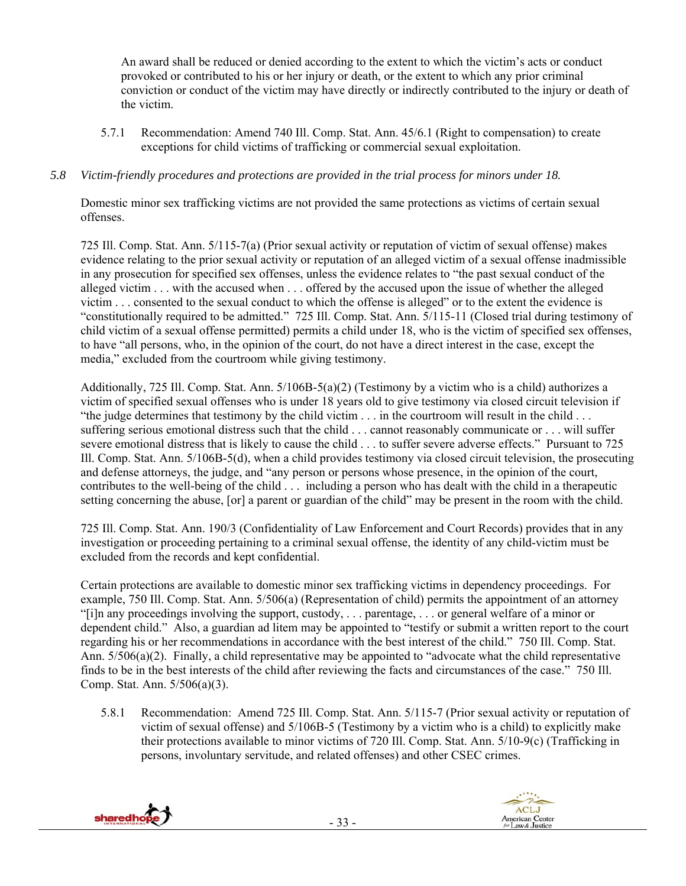An award shall be reduced or denied according to the extent to which the victim's acts or conduct provoked or contributed to his or her injury or death, or the extent to which any prior criminal conviction or conduct of the victim may have directly or indirectly contributed to the injury or death of the victim.

5.7.1 Recommendation: Amend 740 Ill. Comp. Stat. Ann. 45/6.1 (Right to compensation) to create exceptions for child victims of trafficking or commercial sexual exploitation.

## *5.8 Victim-friendly procedures and protections are provided in the trial process for minors under 18.*

Domestic minor sex trafficking victims are not provided the same protections as victims of certain sexual offenses.

725 Ill. Comp. Stat. Ann. 5/115-7(a) (Prior sexual activity or reputation of victim of sexual offense) makes evidence relating to the prior sexual activity or reputation of an alleged victim of a sexual offense inadmissible in any prosecution for specified sex offenses, unless the evidence relates to "the past sexual conduct of the alleged victim . . . with the accused when . . . offered by the accused upon the issue of whether the alleged victim . . . consented to the sexual conduct to which the offense is alleged" or to the extent the evidence is "constitutionally required to be admitted." 725 Ill. Comp. Stat. Ann. 5/115-11 (Closed trial during testimony of child victim of a sexual offense permitted) permits a child under 18, who is the victim of specified sex offenses, to have "all persons, who, in the opinion of the court, do not have a direct interest in the case, except the media," excluded from the courtroom while giving testimony.

Additionally, 725 Ill. Comp. Stat. Ann. 5/106B-5(a)(2) (Testimony by a victim who is a child) authorizes a victim of specified sexual offenses who is under 18 years old to give testimony via closed circuit television if "the judge determines that testimony by the child victim . . . in the courtroom will result in the child . . . suffering serious emotional distress such that the child . . . cannot reasonably communicate or . . . will suffer severe emotional distress that is likely to cause the child . . . to suffer severe adverse effects." Pursuant to 725 Ill. Comp. Stat. Ann. 5/106B-5(d), when a child provides testimony via closed circuit television, the prosecuting and defense attorneys, the judge, and "any person or persons whose presence, in the opinion of the court, contributes to the well-being of the child . . . including a person who has dealt with the child in a therapeutic setting concerning the abuse, [or] a parent or guardian of the child" may be present in the room with the child.

725 Ill. Comp. Stat. Ann. 190/3 (Confidentiality of Law Enforcement and Court Records) provides that in any investigation or proceeding pertaining to a criminal sexual offense, the identity of any child-victim must be excluded from the records and kept confidential.

Certain protections are available to domestic minor sex trafficking victims in dependency proceedings. For example, 750 Ill. Comp. Stat. Ann. 5/506(a) (Representation of child) permits the appointment of an attorney "[i]n any proceedings involving the support, custody, . . . parentage, . . . or general welfare of a minor or dependent child." Also, a guardian ad litem may be appointed to "testify or submit a written report to the court regarding his or her recommendations in accordance with the best interest of the child." 750 Ill. Comp. Stat. Ann. 5/506(a)(2). Finally, a child representative may be appointed to "advocate what the child representative finds to be in the best interests of the child after reviewing the facts and circumstances of the case." 750 Ill. Comp. Stat. Ann. 5/506(a)(3).

5.8.1 Recommendation: Amend 725 Ill. Comp. Stat. Ann. 5/115-7 (Prior sexual activity or reputation of victim of sexual offense) and 5/106B-5 (Testimony by a victim who is a child) to explicitly make their protections available to minor victims of 720 Ill. Comp. Stat. Ann. 5/10-9(c) (Trafficking in persons, involuntary servitude, and related offenses) and other CSEC crimes.



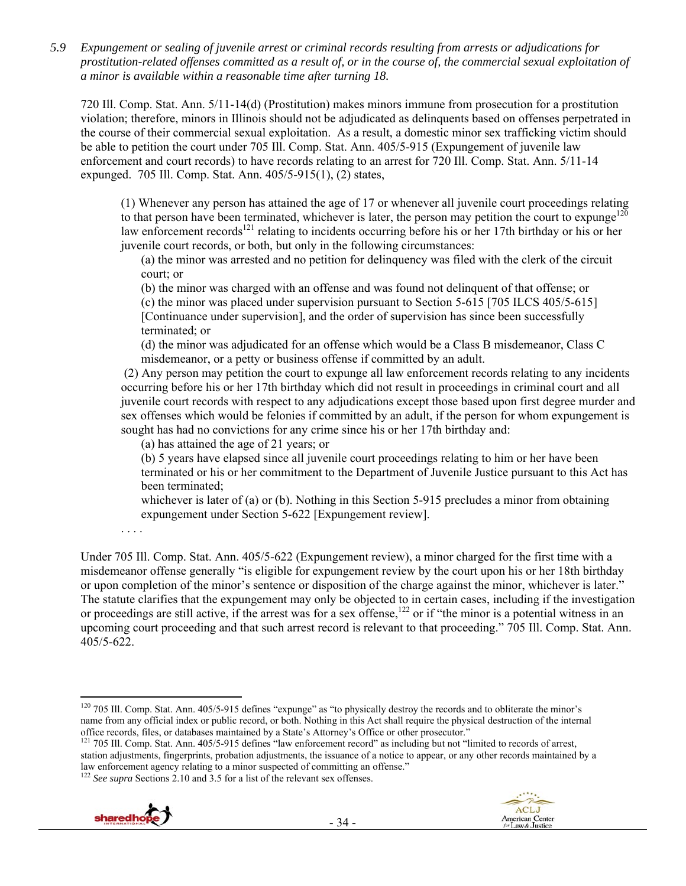*5.9 Expungement or sealing of juvenile arrest or criminal records resulting from arrests or adjudications for prostitution-related offenses committed as a result of, or in the course of, the commercial sexual exploitation of a minor is available within a reasonable time after turning 18.* 

720 Ill. Comp. Stat. Ann. 5/11-14(d) (Prostitution) makes minors immune from prosecution for a prostitution violation; therefore, minors in Illinois should not be adjudicated as delinquents based on offenses perpetrated in the course of their commercial sexual exploitation. As a result, a domestic minor sex trafficking victim should be able to petition the court under 705 Ill. Comp. Stat. Ann. 405/5-915 (Expungement of juvenile law enforcement and court records) to have records relating to an arrest for 720 Ill. Comp. Stat. Ann. 5/11-14 expunged. 705 Ill. Comp. Stat. Ann. 405/5-915(1), (2) states,

(1) Whenever any person has attained the age of 17 or whenever all juvenile court proceedings relating to that person have been terminated, whichever is later, the person may petition the court to expunge<sup>120</sup> law enforcement records<sup>121</sup> relating to incidents occurring before his or her 17th birthday or his or her juvenile court records, or both, but only in the following circumstances:

(a) the minor was arrested and no petition for delinquency was filed with the clerk of the circuit court; or

(b) the minor was charged with an offense and was found not delinquent of that offense; or

(c) the minor was placed under supervision pursuant to Section 5-615 [705 ILCS 405/5-615] [Continuance under supervision], and the order of supervision has since been successfully terminated; or

(d) the minor was adjudicated for an offense which would be a Class B misdemeanor, Class C misdemeanor, or a petty or business offense if committed by an adult.

 (2) Any person may petition the court to expunge all law enforcement records relating to any incidents occurring before his or her 17th birthday which did not result in proceedings in criminal court and all juvenile court records with respect to any adjudications except those based upon first degree murder and sex offenses which would be felonies if committed by an adult, if the person for whom expungement is sought has had no convictions for any crime since his or her 17th birthday and:

(a) has attained the age of 21 years; or

(b) 5 years have elapsed since all juvenile court proceedings relating to him or her have been terminated or his or her commitment to the Department of Juvenile Justice pursuant to this Act has been terminated;

whichever is later of (a) or (b). Nothing in this Section 5-915 precludes a minor from obtaining expungement under Section 5-622 [Expungement review].

. . . .

Under 705 Ill. Comp. Stat. Ann. 405/5-622 (Expungement review), a minor charged for the first time with a misdemeanor offense generally "is eligible for expungement review by the court upon his or her 18th birthday or upon completion of the minor's sentence or disposition of the charge against the minor, whichever is later." The statute clarifies that the expungement may only be objected to in certain cases, including if the investigation or proceedings are still active, if the arrest was for a sex offense, $122$  or if "the minor is a potential witness in an upcoming court proceeding and that such arrest record is relevant to that proceeding." 705 Ill. Comp. Stat. Ann. 405/5-622.

<sup>&</sup>lt;sup>122</sup> *See supra* Sections 2.10 and 3.5 for a list of the relevant sex offenses.



 $\overline{a}$ 



 $120$  705 Ill. Comp. Stat. Ann. 405/5-915 defines "expunge" as "to physically destroy the records and to obliterate the minor's name from any official index or public record, or both. Nothing in this Act shall require the physical destruction of the internal office records, files, or databases maintained by a State's Attorney's Office or other prosecutor." 121 705 Ill. Comp. Stat. Ann. 405/5-915 defines "law enforcement record" as including but not "limited to records of arrest,

station adjustments, fingerprints, probation adjustments, the issuance of a notice to appear, or any other records maintained by a law enforcement agency relating to a minor suspected of committing an offense."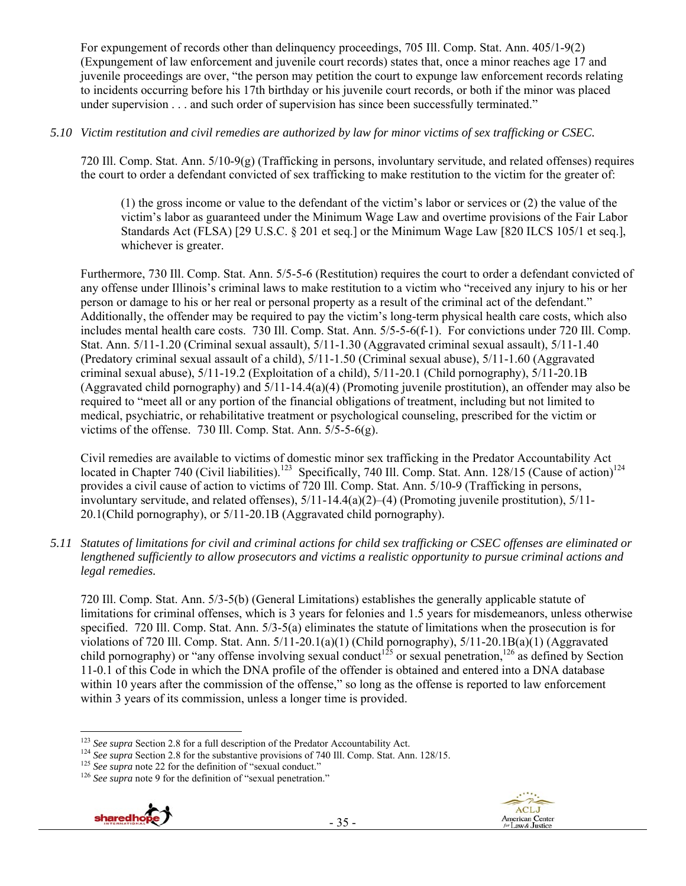For expungement of records other than delinquency proceedings, 705 Ill. Comp. Stat. Ann. 405/1-9(2) (Expungement of law enforcement and juvenile court records) states that, once a minor reaches age 17 and juvenile proceedings are over, "the person may petition the court to expunge law enforcement records relating to incidents occurring before his 17th birthday or his juvenile court records, or both if the minor was placed under supervision . . . and such order of supervision has since been successfully terminated."

## *5.10 Victim restitution and civil remedies are authorized by law for minor victims of sex trafficking or CSEC.*

720 Ill. Comp. Stat. Ann. 5/10-9(g) (Trafficking in persons, involuntary servitude, and related offenses) requires the court to order a defendant convicted of sex trafficking to make restitution to the victim for the greater of:

(1) the gross income or value to the defendant of the victim's labor or services or (2) the value of the victim's labor as guaranteed under the Minimum Wage Law and overtime provisions of the Fair Labor Standards Act (FLSA) [29 U.S.C. § 201 et seq.] or the Minimum Wage Law [820 ILCS 105/1 et seq.], whichever is greater.

Furthermore, 730 Ill. Comp. Stat. Ann. 5/5-5-6 (Restitution) requires the court to order a defendant convicted of any offense under Illinois's criminal laws to make restitution to a victim who "received any injury to his or her person or damage to his or her real or personal property as a result of the criminal act of the defendant." Additionally, the offender may be required to pay the victim's long-term physical health care costs, which also includes mental health care costs. 730 Ill. Comp. Stat. Ann. 5/5-5-6(f-1). For convictions under 720 Ill. Comp. Stat. Ann. 5/11-1.20 (Criminal sexual assault), 5/11-1.30 (Aggravated criminal sexual assault), 5/11-1.40 (Predatory criminal sexual assault of a child), 5/11-1.50 (Criminal sexual abuse), 5/11-1.60 (Aggravated criminal sexual abuse), 5/11-19.2 (Exploitation of a child), 5/11-20.1 (Child pornography), 5/11-20.1B (Aggravated child pornography) and 5/11-14.4(a)(4) (Promoting juvenile prostitution), an offender may also be required to "meet all or any portion of the financial obligations of treatment, including but not limited to medical, psychiatric, or rehabilitative treatment or psychological counseling, prescribed for the victim or victims of the offense. 730 Ill. Comp. Stat. Ann. 5/5-5-6(g).

Civil remedies are available to victims of domestic minor sex trafficking in the Predator Accountability Act located in Chapter 740 (Civil liabilities).<sup>123</sup> Specifically, 740 Ill. Comp. Stat. Ann. 128/15 (Cause of action)<sup>124</sup> provides a civil cause of action to victims of 720 Ill. Comp. Stat. Ann. 5/10-9 (Trafficking in persons, involuntary servitude, and related offenses),  $5/11$ -14.4(a)(2)–(4) (Promoting juvenile prostitution),  $5/11$ -20.1(Child pornography), or 5/11-20.1B (Aggravated child pornography).

*5.11 Statutes of limitations for civil and criminal actions for child sex trafficking or CSEC offenses are eliminated or lengthened sufficiently to allow prosecutors and victims a realistic opportunity to pursue criminal actions and legal remedies.* 

720 Ill. Comp. Stat. Ann. 5/3-5(b) (General Limitations) establishes the generally applicable statute of limitations for criminal offenses, which is 3 years for felonies and 1.5 years for misdemeanors, unless otherwise specified. 720 Ill. Comp. Stat. Ann. 5/3-5(a) eliminates the statute of limitations when the prosecution is for violations of 720 Ill. Comp. Stat. Ann. 5/11-20.1(a)(1) (Child pornography), 5/11-20.1B(a)(1) (Aggravated child pornography) or "any offense involving sexual conduct<sup>125</sup> or sexual penetration,<sup>126</sup> as defined by Section 11-0.1 of this Code in which the DNA profile of the offender is obtained and entered into a DNA database within 10 years after the commission of the offense," so long as the offense is reported to law enforcement within 3 years of its commission, unless a longer time is provided.





<sup>&</sup>lt;sup>123</sup> See supra Section 2.8 for a full description of the Predator Accountability Act.

<sup>&</sup>lt;sup>124</sup> See supra Section 2.8 for the substantive provisions of 740 Ill. Comp. Stat. Ann. 128/15.<br><sup>125</sup> See supra note 22 for the definition of "sexual conduct."<br><sup>126</sup> See supra note 9 for the definition of "sexual penetrat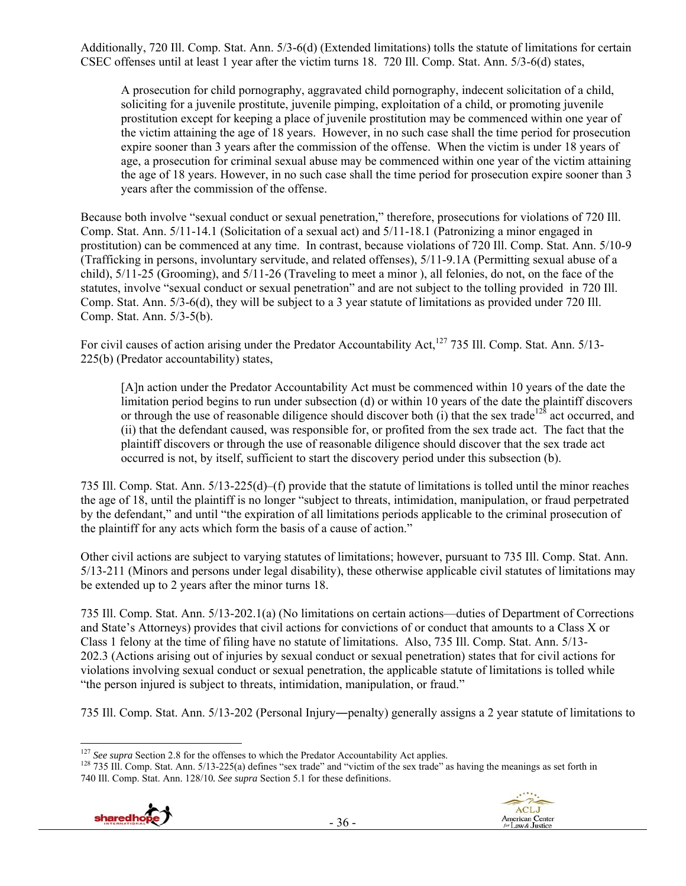Additionally, 720 Ill. Comp. Stat. Ann. 5/3-6(d) (Extended limitations) tolls the statute of limitations for certain CSEC offenses until at least 1 year after the victim turns 18. 720 Ill. Comp. Stat. Ann. 5/3-6(d) states,

A prosecution for child pornography, aggravated child pornography, indecent solicitation of a child, soliciting for a juvenile prostitute, juvenile pimping, exploitation of a child, or promoting juvenile prostitution except for keeping a place of juvenile prostitution may be commenced within one year of the victim attaining the age of 18 years. However, in no such case shall the time period for prosecution expire sooner than 3 years after the commission of the offense. When the victim is under 18 years of age, a prosecution for criminal sexual abuse may be commenced within one year of the victim attaining the age of 18 years. However, in no such case shall the time period for prosecution expire sooner than 3 years after the commission of the offense.

Because both involve "sexual conduct or sexual penetration," therefore, prosecutions for violations of 720 Ill. Comp. Stat. Ann. 5/11-14.1 (Solicitation of a sexual act) and 5/11-18.1 (Patronizing a minor engaged in prostitution) can be commenced at any time. In contrast, because violations of 720 Ill. Comp. Stat. Ann. 5/10-9 (Trafficking in persons, involuntary servitude, and related offenses), 5/11-9.1A (Permitting sexual abuse of a child), 5/11-25 (Grooming), and 5/11-26 (Traveling to meet a minor ), all felonies, do not, on the face of the statutes, involve "sexual conduct or sexual penetration" and are not subject to the tolling provided in 720 Ill. Comp. Stat. Ann. 5/3-6(d), they will be subject to a 3 year statute of limitations as provided under 720 Ill. Comp. Stat. Ann. 5/3-5(b).

For civil causes of action arising under the Predator Accountability Act,<sup>127</sup> 735 Ill. Comp. Stat. Ann. 5/13-225(b) (Predator accountability) states,

[A]n action under the Predator Accountability Act must be commenced within 10 years of the date the limitation period begins to run under subsection (d) or within 10 years of the date the plaintiff discovers or through the use of reasonable diligence should discover both (i) that the sex trade<sup>128</sup> act occurred, and (ii) that the defendant caused, was responsible for, or profited from the sex trade act. The fact that the plaintiff discovers or through the use of reasonable diligence should discover that the sex trade act occurred is not, by itself, sufficient to start the discovery period under this subsection (b).

735 Ill. Comp. Stat. Ann. 5/13-225(d)–(f) provide that the statute of limitations is tolled until the minor reaches the age of 18, until the plaintiff is no longer "subject to threats, intimidation, manipulation, or fraud perpetrated by the defendant," and until "the expiration of all limitations periods applicable to the criminal prosecution of the plaintiff for any acts which form the basis of a cause of action."

Other civil actions are subject to varying statutes of limitations; however, pursuant to 735 Ill. Comp. Stat. Ann. 5/13-211 (Minors and persons under legal disability), these otherwise applicable civil statutes of limitations may be extended up to 2 years after the minor turns 18.

735 Ill. Comp. Stat. Ann. 5/13-202.1(a) (No limitations on certain actions—duties of Department of Corrections and State's Attorneys) provides that civil actions for convictions of or conduct that amounts to a Class X or Class 1 felony at the time of filing have no statute of limitations. Also, 735 Ill. Comp. Stat. Ann. 5/13- 202.3 (Actions arising out of injuries by sexual conduct or sexual penetration) states that for civil actions for violations involving sexual conduct or sexual penetration, the applicable statute of limitations is tolled while "the person injured is subject to threats, intimidation, manipulation, or fraud."

735 Ill. Comp. Stat. Ann. 5/13-202 (Personal Injury―penalty) generally assigns a 2 year statute of limitations to

<sup>&</sup>lt;sup>127</sup> See supra Section 2.8 for the offenses to which the Predator Accountability Act applies.<br><sup>128</sup> 735 Ill. Comp. Stat. Ann. 5/13-225(a) defines "sex trade" and "victim of the sex trade" as having the meanings as set fo 740 Ill. Comp. Stat. Ann. 128/10*. See supra* Section 5.1 for these definitions.





 $\overline{a}$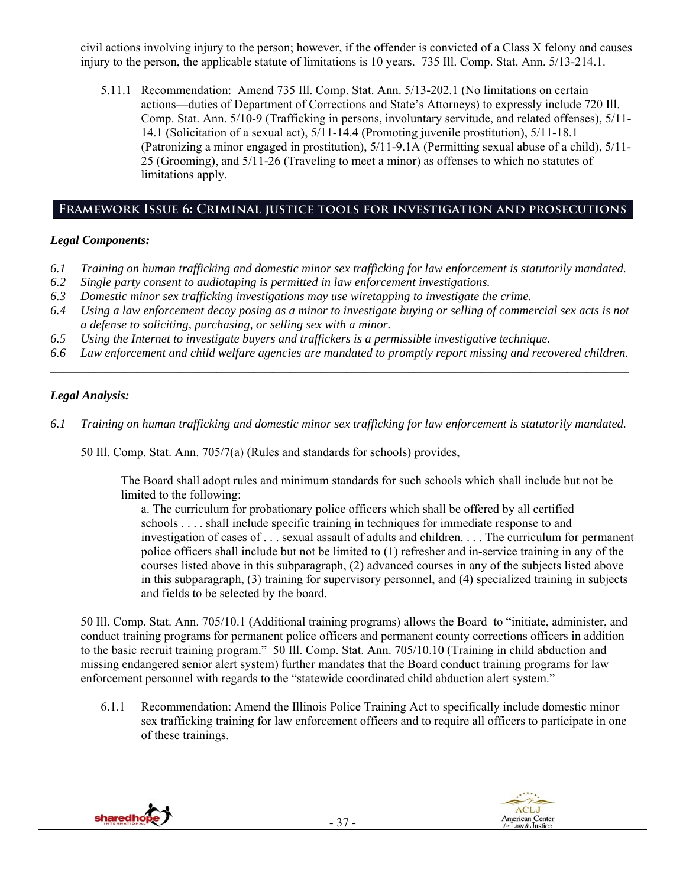civil actions involving injury to the person; however, if the offender is convicted of a Class X felony and causes injury to the person, the applicable statute of limitations is 10 years. 735 Ill. Comp. Stat. Ann. 5/13-214.1.

5.11.1 Recommendation: Amend 735 Ill. Comp. Stat. Ann. 5/13-202.1 (No limitations on certain actions—duties of Department of Corrections and State's Attorneys) to expressly include 720 Ill. Comp. Stat. Ann. 5/10-9 (Trafficking in persons, involuntary servitude, and related offenses), 5/11- 14.1 (Solicitation of a sexual act), 5/11-14.4 (Promoting juvenile prostitution), 5/11-18.1 (Patronizing a minor engaged in prostitution), 5/11-9.1A (Permitting sexual abuse of a child), 5/11- 25 (Grooming), and 5/11-26 (Traveling to meet a minor) as offenses to which no statutes of limitations apply.

## **Framework Issue 6: Criminal justice tools for investigation and prosecutions**

## *Legal Components:*

- *6.1 Training on human trafficking and domestic minor sex trafficking for law enforcement is statutorily mandated.*
- *6.2 Single party consent to audiotaping is permitted in law enforcement investigations.*
- *6.3 Domestic minor sex trafficking investigations may use wiretapping to investigate the crime.*
- *6.4 Using a law enforcement decoy posing as a minor to investigate buying or selling of commercial sex acts is not a defense to soliciting, purchasing, or selling sex with a minor.*
- *6.5 Using the Internet to investigate buyers and traffickers is a permissible investigative technique.*
- *6.6 Law enforcement and child welfare agencies are mandated to promptly report missing and recovered children. \_\_\_\_\_\_\_\_\_\_\_\_\_\_\_\_\_\_\_\_\_\_\_\_\_\_\_\_\_\_\_\_\_\_\_\_\_\_\_\_\_\_\_\_\_\_\_\_\_\_\_\_\_\_\_\_\_\_\_\_\_\_\_\_\_\_\_\_\_\_\_\_\_\_\_\_\_\_\_\_\_\_\_\_\_\_\_\_\_\_\_\_\_\_*

## *Legal Analysis:*

- *6.1 Training on human trafficking and domestic minor sex trafficking for law enforcement is statutorily mandated.* 
	- 50 Ill. Comp. Stat. Ann. 705/7(a) (Rules and standards for schools) provides,

The Board shall adopt rules and minimum standards for such schools which shall include but not be limited to the following:

a. The curriculum for probationary police officers which shall be offered by all certified schools . . . . shall include specific training in techniques for immediate response to and investigation of cases of . . . sexual assault of adults and children. . . . The curriculum for permanent police officers shall include but not be limited to (1) refresher and in-service training in any of the courses listed above in this subparagraph, (2) advanced courses in any of the subjects listed above in this subparagraph, (3) training for supervisory personnel, and (4) specialized training in subjects and fields to be selected by the board.

50 Ill. Comp. Stat. Ann. 705/10.1 (Additional training programs) allows the Board to "initiate, administer, and conduct training programs for permanent police officers and permanent county corrections officers in addition to the basic recruit training program." 50 Ill. Comp. Stat. Ann. 705/10.10 (Training in child abduction and missing endangered senior alert system) further mandates that the Board conduct training programs for law enforcement personnel with regards to the "statewide coordinated child abduction alert system."

6.1.1 Recommendation: Amend the Illinois Police Training Act to specifically include domestic minor sex trafficking training for law enforcement officers and to require all officers to participate in one of these trainings.



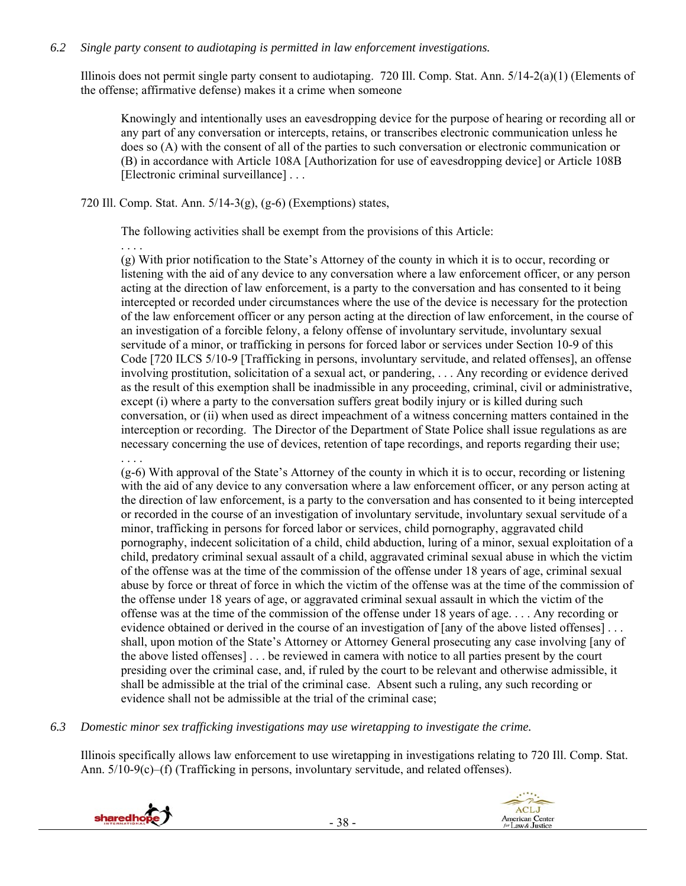#### *6.2 Single party consent to audiotaping is permitted in law enforcement investigations.*

Illinois does not permit single party consent to audiotaping. 720 Ill. Comp. Stat. Ann. 5/14-2(a)(1) (Elements of the offense; affirmative defense) makes it a crime when someone

Knowingly and intentionally uses an eavesdropping device for the purpose of hearing or recording all or any part of any conversation or intercepts, retains, or transcribes electronic communication unless he does so (A) with the consent of all of the parties to such conversation or electronic communication or (B) in accordance with Article 108A [Authorization for use of eavesdropping device] or Article 108B [Electronic criminal surveillance] . . .

720 Ill. Comp. Stat. Ann. 5/14-3(g), (g-6) (Exemptions) states,

The following activities shall be exempt from the provisions of this Article:

. . . . (g) With prior notification to the State's Attorney of the county in which it is to occur, recording or listening with the aid of any device to any conversation where a law enforcement officer, or any person acting at the direction of law enforcement, is a party to the conversation and has consented to it being intercepted or recorded under circumstances where the use of the device is necessary for the protection of the law enforcement officer or any person acting at the direction of law enforcement, in the course of an investigation of a forcible felony, a felony offense of involuntary servitude, involuntary sexual servitude of a minor, or trafficking in persons for forced labor or services under Section 10-9 of this Code [720 ILCS 5/10-9 [Trafficking in persons, involuntary servitude, and related offenses], an offense involving prostitution, solicitation of a sexual act, or pandering, . . . Any recording or evidence derived as the result of this exemption shall be inadmissible in any proceeding, criminal, civil or administrative, except (i) where a party to the conversation suffers great bodily injury or is killed during such conversation, or (ii) when used as direct impeachment of a witness concerning matters contained in the interception or recording. The Director of the Department of State Police shall issue regulations as are necessary concerning the use of devices, retention of tape recordings, and reports regarding their use;

. . . . (g-6) With approval of the State's Attorney of the county in which it is to occur, recording or listening with the aid of any device to any conversation where a law enforcement officer, or any person acting at the direction of law enforcement, is a party to the conversation and has consented to it being intercepted or recorded in the course of an investigation of involuntary servitude, involuntary sexual servitude of a minor, trafficking in persons for forced labor or services, child pornography, aggravated child pornography, indecent solicitation of a child, child abduction, luring of a minor, sexual exploitation of a child, predatory criminal sexual assault of a child, aggravated criminal sexual abuse in which the victim of the offense was at the time of the commission of the offense under 18 years of age, criminal sexual abuse by force or threat of force in which the victim of the offense was at the time of the commission of the offense under 18 years of age, or aggravated criminal sexual assault in which the victim of the offense was at the time of the commission of the offense under 18 years of age. . . . Any recording or evidence obtained or derived in the course of an investigation of [any of the above listed offenses]... shall, upon motion of the State's Attorney or Attorney General prosecuting any case involving [any of the above listed offenses] . . . be reviewed in camera with notice to all parties present by the court presiding over the criminal case, and, if ruled by the court to be relevant and otherwise admissible, it shall be admissible at the trial of the criminal case. Absent such a ruling, any such recording or evidence shall not be admissible at the trial of the criminal case;

*6.3 Domestic minor sex trafficking investigations may use wiretapping to investigate the crime.* 

Illinois specifically allows law enforcement to use wiretapping in investigations relating to 720 Ill. Comp. Stat. Ann.  $5/10-9(c)$ –(f) (Trafficking in persons, involuntary servitude, and related offenses).



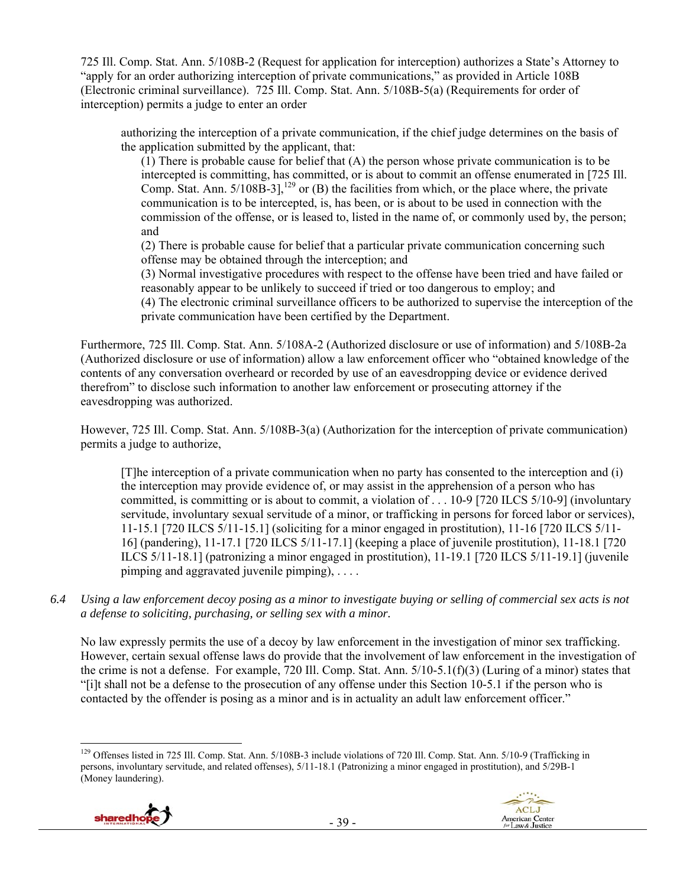725 Ill. Comp. Stat. Ann. 5/108B-2 (Request for application for interception) authorizes a State's Attorney to "apply for an order authorizing interception of private communications," as provided in Article 108B (Electronic criminal surveillance). 725 Ill. Comp. Stat. Ann. 5/108B-5(a) (Requirements for order of interception) permits a judge to enter an order

authorizing the interception of a private communication, if the chief judge determines on the basis of the application submitted by the applicant, that:

 $(1)$  There is probable cause for belief that  $(A)$  the person whose private communication is to be intercepted is committing, has committed, or is about to commit an offense enumerated in [725 Ill.] Comp. Stat. Ann.  $5/108B-3$ ],  $^{129}$  or (B) the facilities from which, or the place where, the private communication is to be intercepted, is, has been, or is about to be used in connection with the commission of the offense, or is leased to, listed in the name of, or commonly used by, the person; and

(2) There is probable cause for belief that a particular private communication concerning such offense may be obtained through the interception; and

(3) Normal investigative procedures with respect to the offense have been tried and have failed or reasonably appear to be unlikely to succeed if tried or too dangerous to employ; and

(4) The electronic criminal surveillance officers to be authorized to supervise the interception of the private communication have been certified by the Department.

Furthermore, 725 Ill. Comp. Stat. Ann. 5/108A-2 (Authorized disclosure or use of information) and 5/108B-2a (Authorized disclosure or use of information) allow a law enforcement officer who "obtained knowledge of the contents of any conversation overheard or recorded by use of an eavesdropping device or evidence derived therefrom" to disclose such information to another law enforcement or prosecuting attorney if the eavesdropping was authorized.

However, 725 Ill. Comp. Stat. Ann. 5/108B-3(a) (Authorization for the interception of private communication) permits a judge to authorize,

[T]he interception of a private communication when no party has consented to the interception and (i) the interception may provide evidence of, or may assist in the apprehension of a person who has committed, is committing or is about to commit, a violation of . . . 10-9 [720 ILCS 5/10-9] (involuntary servitude, involuntary sexual servitude of a minor, or trafficking in persons for forced labor or services), 11-15.1 [720 ILCS 5/11-15.1] (soliciting for a minor engaged in prostitution), 11-16 [720 ILCS 5/11- 16] (pandering), 11-17.1 [720 ILCS 5/11-17.1] (keeping a place of juvenile prostitution), 11-18.1 [720 ILCS 5/11-18.1] (patronizing a minor engaged in prostitution), 11-19.1 [720 ILCS 5/11-19.1] (juvenile pimping and aggravated juvenile pimping), . . . .

*6.4 Using a law enforcement decoy posing as a minor to investigate buying or selling of commercial sex acts is not a defense to soliciting, purchasing, or selling sex with a minor.* 

No law expressly permits the use of a decoy by law enforcement in the investigation of minor sex trafficking. However, certain sexual offense laws do provide that the involvement of law enforcement in the investigation of the crime is not a defense. For example, 720 Ill. Comp. Stat. Ann. 5/10-5.1(f)(3) (Luring of a minor) states that "[i]t shall not be a defense to the prosecution of any offense under this Section 10-5.1 if the person who is contacted by the offender is posing as a minor and is in actuality an adult law enforcement officer."

 $\overline{a}$ <sup>129</sup> Offenses listed in 725 Ill. Comp. Stat. Ann. 5/108B-3 include violations of 720 Ill. Comp. Stat. Ann. 5/10-9 (Trafficking in persons, involuntary servitude, and related offenses), 5/11-18.1 (Patronizing a minor engaged in prostitution), and 5/29B-1 (Money laundering).



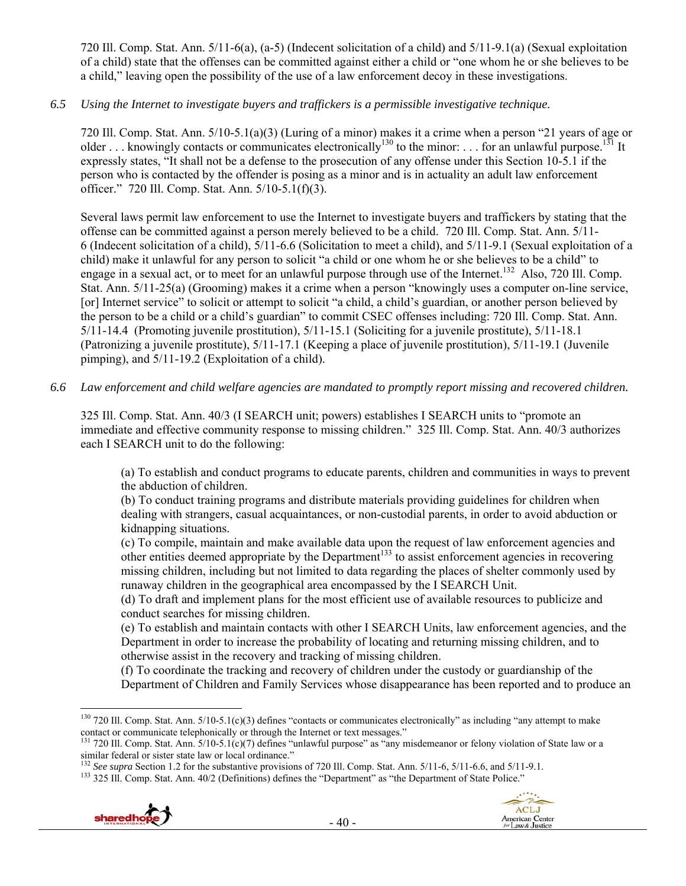720 Ill. Comp. Stat. Ann. 5/11-6(a), (a-5) (Indecent solicitation of a child) and 5/11-9.1(a) (Sexual exploitation of a child) state that the offenses can be committed against either a child or "one whom he or she believes to be a child," leaving open the possibility of the use of a law enforcement decoy in these investigations.

## *6.5 Using the Internet to investigate buyers and traffickers is a permissible investigative technique.*

720 Ill. Comp. Stat. Ann. 5/10-5.1(a)(3) (Luring of a minor) makes it a crime when a person "21 years of age or older . . . knowingly contacts or communicates electronically<sup>130</sup> to the minor: . . . for an unlawful purpose.<sup>131</sup> It expressly states, "It shall not be a defense to the prosecution of any offense under this Section 10-5.1 if the person who is contacted by the offender is posing as a minor and is in actuality an adult law enforcement officer." 720 Ill. Comp. Stat. Ann. 5/10-5.1(f)(3).

Several laws permit law enforcement to use the Internet to investigate buyers and traffickers by stating that the offense can be committed against a person merely believed to be a child. 720 Ill. Comp. Stat. Ann. 5/11- 6 (Indecent solicitation of a child), 5/11-6.6 (Solicitation to meet a child), and 5/11-9.1 (Sexual exploitation of a child) make it unlawful for any person to solicit "a child or one whom he or she believes to be a child" to engage in a sexual act, or to meet for an unlawful purpose through use of the Internet.<sup>132</sup> Also, 720 Ill. Comp. Stat. Ann. 5/11-25(a) (Grooming) makes it a crime when a person "knowingly uses a computer on-line service, [or] Internet service" to solicit or attempt to solicit "a child, a child's guardian, or another person believed by the person to be a child or a child's guardian" to commit CSEC offenses including: 720 Ill. Comp. Stat. Ann. 5/11-14.4 (Promoting juvenile prostitution), 5/11-15.1 (Soliciting for a juvenile prostitute), 5/11-18.1 (Patronizing a juvenile prostitute), 5/11-17.1 (Keeping a place of juvenile prostitution), 5/11-19.1 (Juvenile pimping), and 5/11-19.2 (Exploitation of a child).

*6.6 Law enforcement and child welfare agencies are mandated to promptly report missing and recovered children.* 

325 Ill. Comp. Stat. Ann. 40/3 (I SEARCH unit; powers) establishes I SEARCH units to "promote an immediate and effective community response to missing children." 325 Ill. Comp. Stat. Ann. 40/3 authorizes each I SEARCH unit to do the following:

(a) To establish and conduct programs to educate parents, children and communities in ways to prevent the abduction of children.

(b) To conduct training programs and distribute materials providing guidelines for children when dealing with strangers, casual acquaintances, or non-custodial parents, in order to avoid abduction or kidnapping situations.

(c) To compile, maintain and make available data upon the request of law enforcement agencies and other entities deemed appropriate by the Department<sup>133</sup> to assist enforcement agencies in recovering missing children, including but not limited to data regarding the places of shelter commonly used by runaway children in the geographical area encompassed by the I SEARCH Unit.

(d) To draft and implement plans for the most efficient use of available resources to publicize and conduct searches for missing children.

(e) To establish and maintain contacts with other I SEARCH Units, law enforcement agencies, and the Department in order to increase the probability of locating and returning missing children, and to otherwise assist in the recovery and tracking of missing children.

(f) To coordinate the tracking and recovery of children under the custody or guardianship of the Department of Children and Family Services whose disappearance has been reported and to produce an





 $\overline{a}$  $130$  720 Ill. Comp. Stat. Ann.  $5/10-5.1(c)(3)$  defines "contacts or communicates electronically" as including "any attempt to make

contact or communicate telephonically or through the Internet or text messages."<br><sup>131</sup> 720 Ill. Comp. Stat. Ann. 5/10-5.1(c)(7) defines "unlawful purpose" as "any misdemeanor or felony violation of State law or a<br>similar f

<sup>&</sup>lt;sup>132</sup> See supra Section 1.2 for the substantive provisions of 720 Ill. Comp. Stat. Ann.  $5/11$ -6,  $5/11$ -6.6, and  $5/11$ -9.1.<br><sup>133</sup> 325 Ill. Comp. Stat. Ann. 40/2 (Definitions) defines the "Department" as "the Department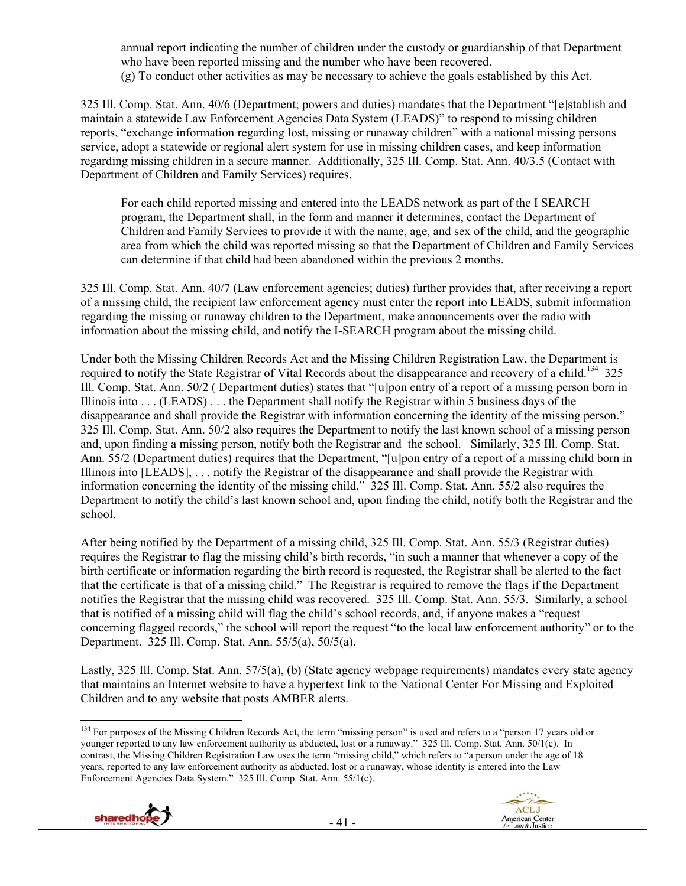annual report indicating the number of children under the custody or guardianship of that Department who have been reported missing and the number who have been recovered. (g) To conduct other activities as may be necessary to achieve the goals established by this Act.

325 Ill. Comp. Stat. Ann. 40/6 (Department; powers and duties) mandates that the Department "[e]stablish and maintain a statewide Law Enforcement Agencies Data System (LEADS)" to respond to missing children reports, "exchange information regarding lost, missing or runaway children" with a national missing persons service, adopt a statewide or regional alert system for use in missing children cases, and keep information regarding missing children in a secure manner. Additionally, 325 Ill. Comp. Stat. Ann. 40/3.5 (Contact with Department of Children and Family Services) requires,

For each child reported missing and entered into the LEADS network as part of the I SEARCH program, the Department shall, in the form and manner it determines, contact the Department of Children and Family Services to provide it with the name, age, and sex of the child, and the geographic area from which the child was reported missing so that the Department of Children and Family Services can determine if that child had been abandoned within the previous 2 months.

325 Ill. Comp. Stat. Ann. 40/7 (Law enforcement agencies; duties) further provides that, after receiving a report of a missing child, the recipient law enforcement agency must enter the report into LEADS, submit information regarding the missing or runaway children to the Department, make announcements over the radio with information about the missing child, and notify the I-SEARCH program about the missing child.

Under both the Missing Children Records Act and the Missing Children Registration Law, the Department is required to notify the State Registrar of Vital Records about the disappearance and recovery of a child.<sup>134</sup> 325 Ill. Comp. Stat. Ann. 50/2 ( Department duties) states that "[u]pon entry of a report of a missing person born in Illinois into . . . (LEADS) . . . the Department shall notify the Registrar within 5 business days of the disappearance and shall provide the Registrar with information concerning the identity of the missing person." 325 Ill. Comp. Stat. Ann. 50/2 also requires the Department to notify the last known school of a missing person and, upon finding a missing person, notify both the Registrar and the school. Similarly, 325 Ill. Comp. Stat. Ann. 55/2 (Department duties) requires that the Department, "[u]pon entry of a report of a missing child born in Illinois into [LEADS], . . . notify the Registrar of the disappearance and shall provide the Registrar with information concerning the identity of the missing child." 325 Ill. Comp. Stat. Ann. 55/2 also requires the Department to notify the child's last known school and, upon finding the child, notify both the Registrar and the school.

After being notified by the Department of a missing child, 325 Ill. Comp. Stat. Ann. 55/3 (Registrar duties) requires the Registrar to flag the missing child's birth records, "in such a manner that whenever a copy of the birth certificate or information regarding the birth record is requested, the Registrar shall be alerted to the fact that the certificate is that of a missing child." The Registrar is required to remove the flags if the Department notifies the Registrar that the missing child was recovered. 325 Ill. Comp. Stat. Ann. 55/3. Similarly, a school that is notified of a missing child will flag the child's school records, and, if anyone makes a "request concerning flagged records," the school will report the request "to the local law enforcement authority" or to the Department. 325 Ill. Comp. Stat. Ann. 55/5(a), 50/5(a).

Lastly, 325 Ill. Comp. Stat. Ann. 57/5(a), (b) (State agency webpage requirements) mandates every state agency that maintains an Internet website to have a hypertext link to the National Center For Missing and Exploited Children and to any website that posts AMBER alerts.

 $\overline{a}$ <sup>134</sup> For purposes of the Missing Children Records Act, the term "missing person" is used and refers to a "person 17 years old or younger reported to any law enforcement authority as abducted, lost or a runaway." 325 Ill. Comp. Stat. Ann. 50/1(c). In contrast, the Missing Children Registration Law uses the term "missing child," which refers to "a person under the age of 18 years, reported to any law enforcement authority as abducted, lost or a runaway, whose identity is entered into the Law Enforcement Agencies Data System." 325 Ill. Comp. Stat. Ann. 55/1(c).